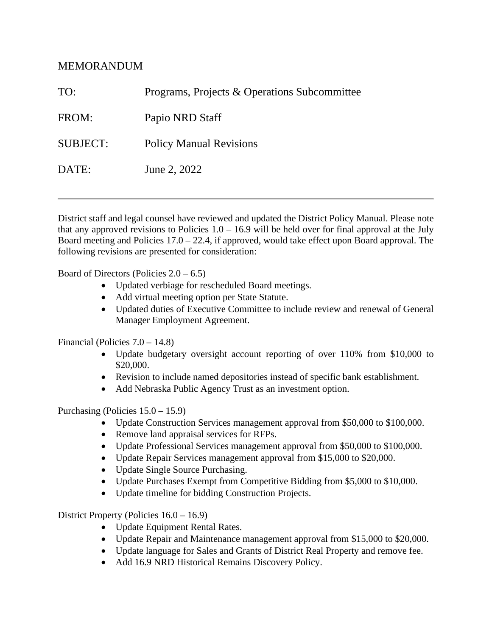# MEMORANDUM

| TO:             | Programs, Projects & Operations Subcommittee |
|-----------------|----------------------------------------------|
| FROM:           | Papio NRD Staff                              |
| <b>SUBJECT:</b> | <b>Policy Manual Revisions</b>               |
| DATE:           | June 2, 2022                                 |
|                 |                                              |

District staff and legal counsel have reviewed and updated the District Policy Manual. Please note that any approved revisions to Policies  $1.0 - 16.9$  will be held over for final approval at the July Board meeting and Policies  $17.0 - 22.4$ , if approved, would take effect upon Board approval. The following revisions are presented for consideration:

Board of Directors (Policies  $2.0 - 6.5$ )

- Updated verbiage for rescheduled Board meetings.
- Add virtual meeting option per State Statute.
- Updated duties of Executive Committee to include review and renewal of General Manager Employment Agreement.

Financial (Policies 7.0 – 14.8)

- Update budgetary oversight account reporting of over 110% from \$10,000 to \$20,000.
- Revision to include named depositories instead of specific bank establishment.
- Add Nebraska Public Agency Trust as an investment option.

Purchasing (Policies 15.0 – 15.9)

- Update Construction Services management approval from \$50,000 to \$100,000.
- Remove land appraisal services for RFPs.
- Update Professional Services management approval from \$50,000 to \$100,000.
- Update Repair Services management approval from \$15,000 to \$20,000.
- Update Single Source Purchasing.
- Update Purchases Exempt from Competitive Bidding from \$5,000 to \$10,000.
- Update timeline for bidding Construction Projects.

District Property (Policies 16.0 – 16.9)

- Update Equipment Rental Rates.
- Update Repair and Maintenance management approval from \$15,000 to \$20,000.
- Update language for Sales and Grants of District Real Property and remove fee.
- Add 16.9 NRD Historical Remains Discovery Policy.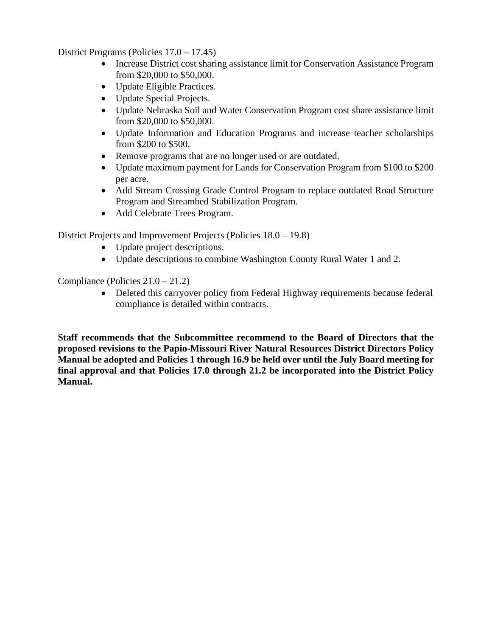District Programs (Policies 17.0 – 17.45)

- Increase District cost sharing assistance limit for Conservation Assistance Program from \$20,000 to \$50,000.
- Update Eligible Practices.
- Update Special Projects.
- Update Nebraska Soil and Water Conservation Program cost share assistance limit from \$20,000 to \$50,000.
- Update Information and Education Programs and increase teacher scholarships from \$200 to \$500.
- Remove programs that are no longer used or are outdated.
- Update maximum payment for Lands for Conservation Program from \$100 to \$200 per acre.
- Add Stream Crossing Grade Control Program to replace outdated Road Structure Program and Streambed Stabilization Program.
- Add Celebrate Trees Program.

District Projects and Improvement Projects (Policies 18.0 – 19.8)

- Update project descriptions.
- Update descriptions to combine Washington County Rural Water 1 and 2.

Compliance (Policies 21.0 – 21.2)

• Deleted this carryover policy from Federal Highway requirements because federal compliance is detailed within contracts.

**Staff recommends that the Subcommittee recommend to the Board of Directors that the proposed revisions to the Papio-Missouri River Natural Resources District Directors Policy Manual be adopted and Policies 1 through 16.9 be held over until the July Board meeting for final approval and that Policies 17.0 through 21.2 be incorporated into the District Policy Manual.**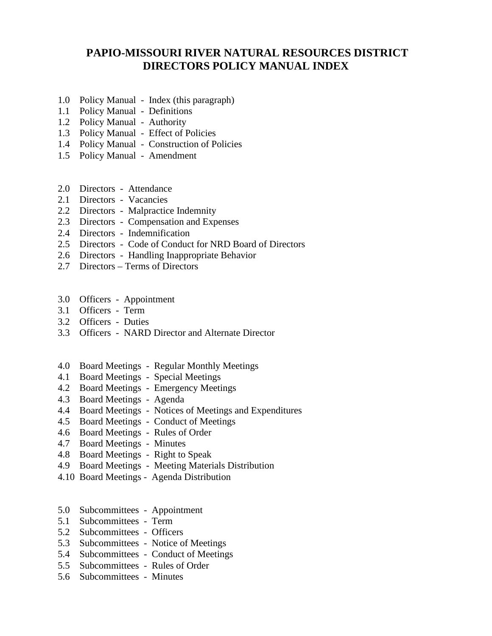# **PAPIO-MISSOURI RIVER NATURAL RESOURCES DISTRICT DIRECTORS POLICY MANUAL INDEX**

- 1.0 Policy Manual Index (this paragraph)
- 1.1 Policy Manual Definitions
- 1.2 Policy Manual Authority
- 1.3 Policy Manual Effect of Policies
- 1.4 Policy Manual Construction of Policies
- 1.5 Policy Manual Amendment
- 2.0 Directors Attendance
- 2.1 Directors Vacancies
- 2.2 Directors Malpractice Indemnity
- 2.3 Directors Compensation and Expenses
- 2.4 Directors Indemnification
- 2.5 Directors Code of Conduct for NRD Board of Directors
- 2.6 Directors Handling Inappropriate Behavior
- 2.7 Directors Terms of Directors
- 3.0 Officers Appointment
- 3.1 Officers Term
- 3.2 Officers Duties
- 3.3 Officers NARD Director and Alternate Director
- 4.0 Board Meetings Regular Monthly Meetings
- 4.1 Board Meetings Special Meetings
- 4.2 Board Meetings Emergency Meetings
- 4.3 Board Meetings Agenda
- 4.4 Board Meetings Notices of Meetings and Expenditures
- 4.5 Board Meetings Conduct of Meetings
- 4.6 Board Meetings Rules of Order
- 4.7 Board Meetings Minutes
- 4.8 Board Meetings Right to Speak
- 4.9 Board Meetings Meeting Materials Distribution
- 4.10 Board Meetings Agenda Distribution
- 5.0 Subcommittees Appointment
- 5.1 Subcommittees Term
- 5.2 Subcommittees Officers
- 5.3 Subcommittees Notice of Meetings
- 5.4 Subcommittees Conduct of Meetings
- 5.5 Subcommittees Rules of Order
- 5.6 Subcommittees Minutes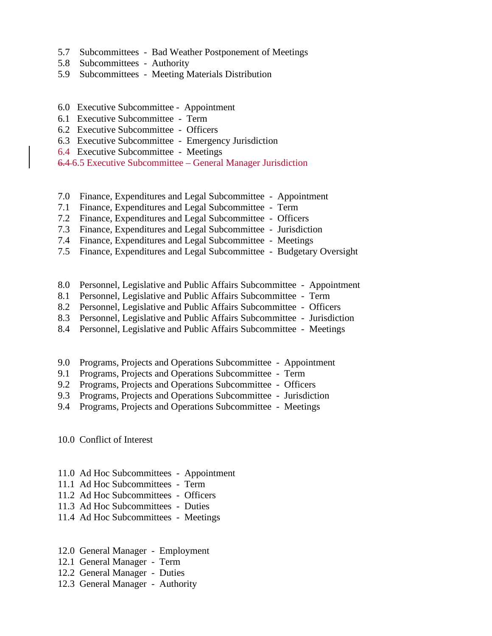- 5.7 Subcommittees Bad Weather Postponement of Meetings
- 5.8 Subcommittees Authority
- 5.9 Subcommittees Meeting Materials Distribution
- 6.0 Executive Subcommittee Appointment
- 6.1 Executive Subcommittee Term
- 6.2 Executive Subcommittee Officers
- 6.3 Executive Subcommittee Emergency Jurisdiction
- 6.4 Executive Subcommittee Meetings

6.4 6.5 Executive Subcommittee – General Manager Jurisdiction

- 7.0 Finance, Expenditures and Legal Subcommittee Appointment
- 7.1 Finance, Expenditures and Legal Subcommittee Term
- 7.2 Finance, Expenditures and Legal Subcommittee Officers
- 7.3 Finance, Expenditures and Legal Subcommittee Jurisdiction
- 7.4 Finance, Expenditures and Legal Subcommittee Meetings
- 7.5 Finance, Expenditures and Legal Subcommittee Budgetary Oversight
- 8.0 Personnel, Legislative and Public Affairs Subcommittee Appointment
- 8.1 Personnel, Legislative and Public Affairs Subcommittee Term
- 8.2 Personnel, Legislative and Public Affairs Subcommittee Officers
- 8.3 Personnel, Legislative and Public Affairs Subcommittee Jurisdiction
- 8.4 Personnel, Legislative and Public Affairs Subcommittee Meetings
- 9.0 Programs, Projects and Operations Subcommittee Appointment
- 9.1 Programs, Projects and Operations Subcommittee Term
- 9.2 Programs, Projects and Operations Subcommittee Officers
- 9.3 Programs, Projects and Operations Subcommittee Jurisdiction
- 9.4 Programs, Projects and Operations Subcommittee Meetings

10.0 Conflict of Interest

- 11.0 Ad Hoc Subcommittees Appointment
- 11.1 Ad Hoc Subcommittees Term
- 11.2 Ad Hoc Subcommittees Officers
- 11.3 Ad Hoc Subcommittees Duties
- 11.4 Ad Hoc Subcommittees Meetings
- 12.0 General Manager Employment
- 12.1 General Manager Term
- 12.2 General Manager Duties
- 12.3 General Manager Authority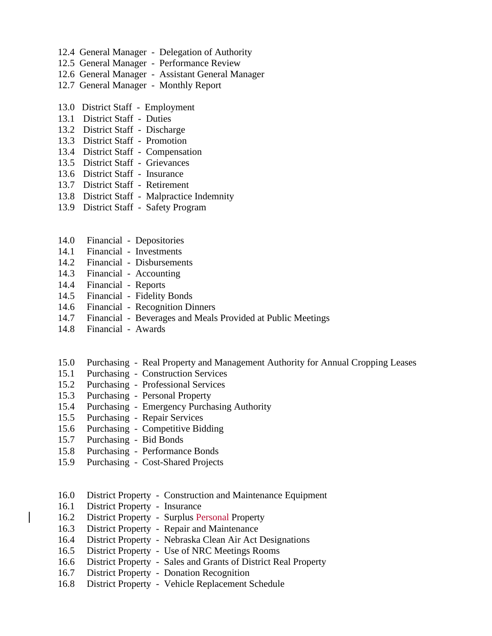- 12.4 General Manager Delegation of Authority
- 12.5 General Manager Performance Review
- 12.6 General Manager Assistant General Manager
- 12.7 General Manager Monthly Report
- 13.0 District Staff Employment
- 13.1 District Staff Duties
- 13.2 District Staff Discharge
- 13.3 District Staff Promotion
- 13.4 District Staff Compensation
- 13.5 District Staff Grievances
- 13.6 District Staff Insurance
- 13.7 District Staff Retirement
- 13.8 District Staff Malpractice Indemnity
- 13.9 District Staff Safety Program
- 14.0 Financial Depositories
- 14.1 Financial Investments
- 14.2 Financial Disbursements
- 14.3 Financial Accounting
- 14.4 Financial Reports
- 14.5 Financial Fidelity Bonds
- 14.6 Financial Recognition Dinners
- 14.7 Financial Beverages and Meals Provided at Public Meetings
- 14.8 Financial Awards
- 15.0 Purchasing Real Property and Management Authority for Annual Cropping Leases
- 15.1 Purchasing Construction Services
- 15.2 Purchasing Professional Services
- 15.3 Purchasing Personal Property
- 15.4 Purchasing Emergency Purchasing Authority
- 15.5 Purchasing Repair Services
- 15.6 Purchasing Competitive Bidding
- 15.7 Purchasing Bid Bonds
- 15.8 Purchasing Performance Bonds
- 15.9 Purchasing Cost-Shared Projects
- 16.0 District Property Construction and Maintenance Equipment
- 16.1 District Property Insurance
- 16.2 District Property Surplus Personal Property
- 16.3 District Property Repair and Maintenance
- 16.4 District Property Nebraska Clean Air Act Designations
- 16.5 District Property Use of NRC Meetings Rooms
- 16.6 District Property Sales and Grants of District Real Property
- 16.7 District Property Donation Recognition
- 16.8 District Property Vehicle Replacement Schedule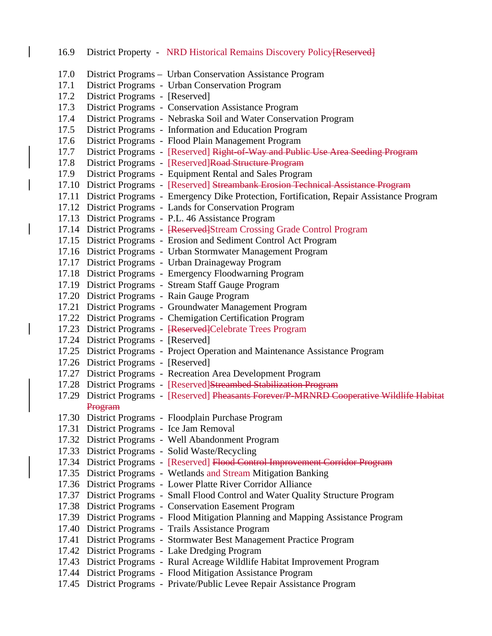16.9 District Property - NRD Historical Remains Discovery Policy [Reserved] 17.0 District Programs – Urban Conservation Assistance Program 17.1 District Programs - Urban Conservation Program 17.2 District Programs - [Reserved] 17.3 District Programs - Conservation Assistance Program 17.4 District Programs - Nebraska Soil and Water Conservation Program 17.5 District Programs - Information and Education Program 17.6 District Programs - Flood Plain Management Program 17.7 District Programs - [Reserved] Right-of-Way and Public Use Area Seeding Program 17.8 District Programs - [Reserved]Road Structure Program 17.9 District Programs - Equipment Rental and Sales Program 17.10 District Programs - [Reserved] Streambank Erosion Technical Assistance Program 17.11 District Programs - Emergency Dike Protection, Fortification, Repair Assistance Program 17.12 District Programs - Lands for Conservation Program 17.13 District Programs - P.L. 46 Assistance Program 17.14 District Programs - [Reserved]Stream Crossing Grade Control Program 17.15 District Programs - Erosion and Sediment Control Act Program 17.16 District Programs - Urban Stormwater Management Program 17.17 District Programs - Urban Drainageway Program 17.18 District Programs - Emergency Floodwarning Program 17.19 District Programs - Stream Staff Gauge Program 17.20 District Programs - Rain Gauge Program 17.21 District Programs - Groundwater Management Program 17.22 District Programs - Chemigation Certification Program 17.23 District Programs - [Reserved]Celebrate Trees Program 17.24 District Programs - [Reserved] 17.25 District Programs - Project Operation and Maintenance Assistance Program 17.26 District Programs - [Reserved] 17.27 District Programs - Recreation Area Development Program 17.28 District Programs - [Reserved]Streambed Stabilization Program 17.29 District Programs - [Reserved] Pheasants Forever/P-MRNRD Cooperative Wildlife Habitat Program 17.30 District Programs - Floodplain Purchase Program 17.31 District Programs - Ice Jam Removal 17.32 District Programs - Well Abandonment Program 17.33 District Programs - Solid Waste/Recycling 17.34 District Programs - [Reserved] Flood Control Improvement Corridor Program 17.35 District Programs - Wetlands and Stream Mitigation Banking 17.36 District Programs - Lower Platte River Corridor Alliance 17.37 District Programs - Small Flood Control and Water Quality Structure Program 17.38 District Programs - Conservation Easement Program 17.39 District Programs - Flood Mitigation Planning and Mapping Assistance Program 17.40 District Programs - Trails Assistance Program 17.41 District Programs - Stormwater Best Management Practice Program 17.42 District Programs - Lake Dredging Program 17.43 District Programs - Rural Acreage Wildlife Habitat Improvement Program 17.44 District Programs - Flood Mitigation Assistance Program 17.45 District Programs - Private/Public Levee Repair Assistance Program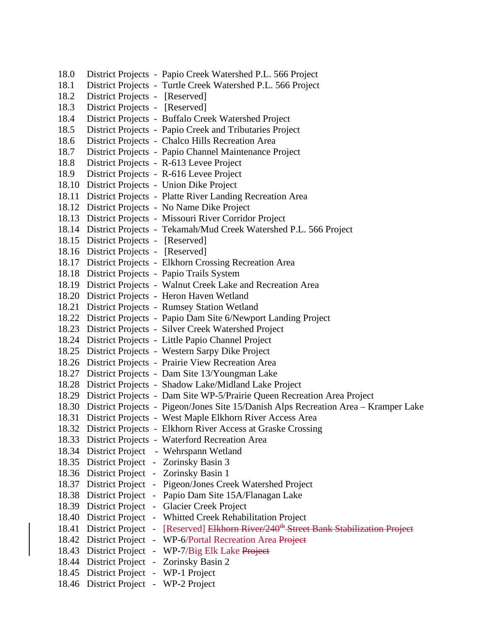18.0 District Projects - Papio Creek Watershed P.L. 566 Project 18.1 District Projects - Turtle Creek Watershed P.L. 566 Project 18.2 District Projects - [Reserved] 18.3 District Projects - [Reserved] 18.4 District Projects - Buffalo Creek Watershed Project 18.5 District Projects - Papio Creek and Tributaries Project 18.6 District Projects - Chalco Hills Recreation Area 18.7 District Projects - Papio Channel Maintenance Project 18.8 District Projects - R-613 Levee Project 18.9 District Projects - R-616 Levee Project 18.10 District Projects - Union Dike Project 18.11 District Projects - Platte River Landing Recreation Area 18.12 District Projects - No Name Dike Project 18.13 District Projects - Missouri River Corridor Project 18.14 District Projects - Tekamah/Mud Creek Watershed P.L. 566 Project 18.15 District Projects - [Reserved] 18.16 District Projects - [Reserved] 18.17 District Projects - Elkhorn Crossing Recreation Area 18.18 District Projects - Papio Trails System 18.19 District Projects - Walnut Creek Lake and Recreation Area 18.20 District Projects - Heron Haven Wetland 18.21 District Projects - Rumsey Station Wetland 18.22 District Projects - Papio Dam Site 6/Newport Landing Project 18.23 District Projects - Silver Creek Watershed Project 18.24 District Projects - Little Papio Channel Project 18.25 District Projects - Western Sarpy Dike Project 18.26 District Projects - Prairie View Recreation Area 18.27 District Projects - Dam Site 13/Youngman Lake 18.28 District Projects - Shadow Lake/Midland Lake Project 18.29 District Projects - Dam Site WP-5/Prairie Queen Recreation Area Project 18.30 District Projects - Pigeon/Jones Site 15/Danish Alps Recreation Area – Kramper Lake 18.31 District Projects - West Maple Elkhorn River Access Area 18.32 District Projects - Elkhorn River Access at Graske Crossing 18.33 District Projects - Waterford Recreation Area 18.34 District Project - Wehrspann Wetland 18.35 District Project - Zorinsky Basin 3 18.36 District Project - Zorinsky Basin 1 18.37 District Project - Pigeon/Jones Creek Watershed Project 18.38 District Project - Papio Dam Site 15A/Flanagan Lake 18.39 District Project - Glacier Creek Project 18.40 District Project - Whitted Creek Rehabilitation Project 18.41 District Project - [Reserved] Elkhorn River/240<sup>th</sup> Street Bank Stabilization Project 18.42 District Project - WP-6/Portal Recreation Area Project 18.43 District Project - WP-7/Big Elk Lake Project 18.44 District Project - Zorinsky Basin 2 18.45 District Project - WP-1 Project 18.46 District Project - WP-2 Project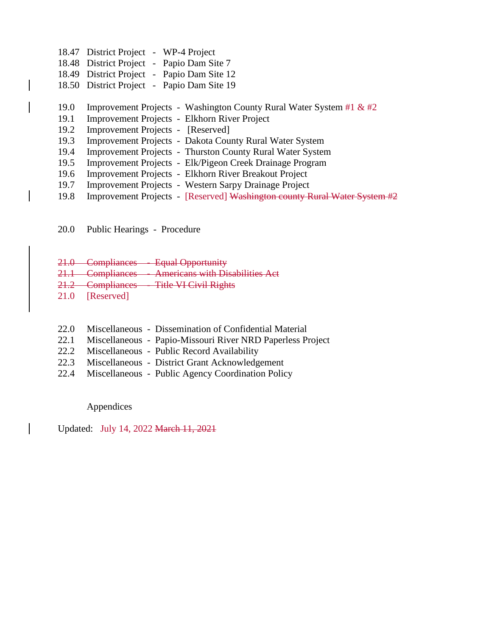- 18.47 District Project WP-4 Project
- 18.48 District Project Papio Dam Site 7
- 18.49 District Project Papio Dam Site 12
- 18.50 District Project Papio Dam Site 19

#### 19.0 Improvement Projects - Washington County Rural Water System #1 & #2

- 19.1 Improvement Projects Elkhorn River Project
- 19.2 Improvement Projects [Reserved]
- 19.3 Improvement Projects Dakota County Rural Water System
- 19.4 Improvement Projects Thurston County Rural Water System
- 19.5 Improvement Projects Elk/Pigeon Creek Drainage Program
- 19.6 Improvement Projects Elkhorn River Breakout Project
- 19.7 Improvement Projects Western Sarpy Drainage Project
- 19.8 Improvement Projects [Reserved] Washington county Rural Water System #2

20.0 Public Hearings - Procedure

- 21.0 Compliances Equal Opportunity
- 21.1 Compliances Americans with Disabilities Act
- 21.2 Compliances Title VI Civil Rights
- 21.0 [Reserved]
- 22.0 Miscellaneous Dissemination of Confidential Material
- 22.1 Miscellaneous Papio-Missouri River NRD Paperless Project
- 22.2 Miscellaneous Public Record Availability
- 22.3 Miscellaneous District Grant Acknowledgement
- 22.4 Miscellaneous Public Agency Coordination Policy

Appendices

Updated: July 14, 2022 March 11, 2021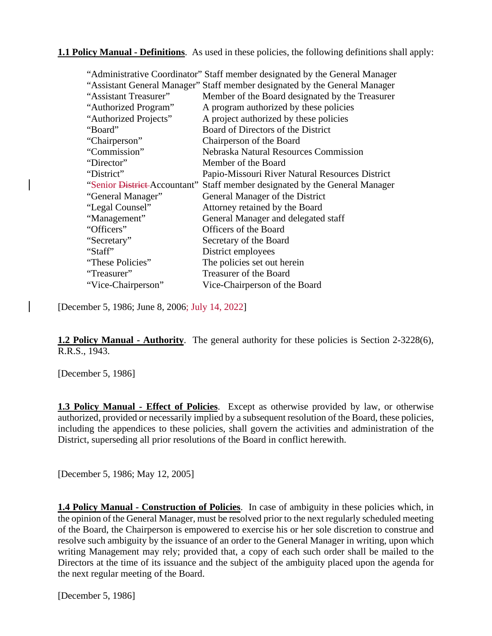### **1.1 Policy Manual - Definitions**. As used in these policies, the following definitions shall apply:

|                              | "Administrative Coordinator" Staff member designated by the General Manager |
|------------------------------|-----------------------------------------------------------------------------|
|                              | "Assistant General Manager" Staff member designated by the General Manager  |
| "Assistant Treasurer"        | Member of the Board designated by the Treasurer                             |
| "Authorized Program"         | A program authorized by these policies                                      |
| "Authorized Projects"        | A project authorized by these policies                                      |
| "Board"                      | Board of Directors of the District                                          |
| "Chairperson"                | Chairperson of the Board                                                    |
| "Commission"                 | <b>Nebraska Natural Resources Commission</b>                                |
| "Director"                   | Member of the Board                                                         |
| "District"                   | Papio-Missouri River Natural Resources District                             |
| "Senior District-Accountant" | Staff member designated by the General Manager                              |
| "General Manager"            | General Manager of the District                                             |
| "Legal Counsel"              | Attorney retained by the Board                                              |
| "Management"                 | General Manager and delegated staff                                         |
| "Officers"                   | Officers of the Board                                                       |
| "Secretary"                  | Secretary of the Board                                                      |
| "Staff"                      | District employees                                                          |
| "These Policies"             | The policies set out herein                                                 |
| "Treasurer"                  | Treasurer of the Board                                                      |
| "Vice-Chairperson"           | Vice-Chairperson of the Board                                               |

[December 5, 1986; June 8, 2006; July 14, 2022]

**1.2 Policy Manual - Authority**. The general authority for these policies is Section 2-3228(6), R.R.S., 1943.

[December 5, 1986]

**1.3 Policy Manual - Effect of Policies**. Except as otherwise provided by law, or otherwise authorized, provided or necessarily implied by a subsequent resolution of the Board, these policies, including the appendices to these policies, shall govern the activities and administration of the District, superseding all prior resolutions of the Board in conflict herewith.

[December 5, 1986; May 12, 2005]

**1.4 Policy Manual - Construction of Policies**. In case of ambiguity in these policies which, in the opinion of the General Manager, must be resolved prior to the next regularly scheduled meeting of the Board, the Chairperson is empowered to exercise his or her sole discretion to construe and resolve such ambiguity by the issuance of an order to the General Manager in writing, upon which writing Management may rely; provided that, a copy of each such order shall be mailed to the Directors at the time of its issuance and the subject of the ambiguity placed upon the agenda for the next regular meeting of the Board.

[December 5, 1986]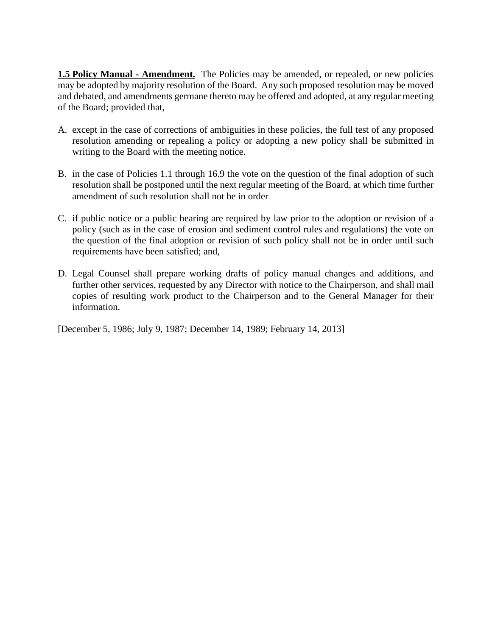**1.5 Policy Manual - Amendment.** The Policies may be amended, or repealed, or new policies may be adopted by majority resolution of the Board. Any such proposed resolution may be moved and debated, and amendments germane thereto may be offered and adopted, at any regular meeting of the Board; provided that,

- A. except in the case of corrections of ambiguities in these policies, the full test of any proposed resolution amending or repealing a policy or adopting a new policy shall be submitted in writing to the Board with the meeting notice.
- B. in the case of Policies 1.1 through 16.9 the vote on the question of the final adoption of such resolution shall be postponed until the next regular meeting of the Board, at which time further amendment of such resolution shall not be in order
- C. if public notice or a public hearing are required by law prior to the adoption or revision of a policy (such as in the case of erosion and sediment control rules and regulations) the vote on the question of the final adoption or revision of such policy shall not be in order until such requirements have been satisfied; and,
- D. Legal Counsel shall prepare working drafts of policy manual changes and additions, and further other services, requested by any Director with notice to the Chairperson, and shall mail copies of resulting work product to the Chairperson and to the General Manager for their information.

[December 5, 1986; July 9, 1987; December 14, 1989; February 14, 2013]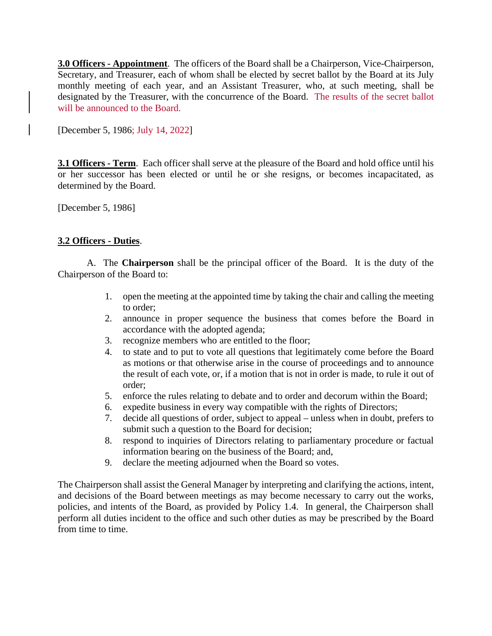**3.0 Officers - Appointment**. The officers of the Board shall be a Chairperson, Vice-Chairperson, Secretary, and Treasurer, each of whom shall be elected by secret ballot by the Board at its July monthly meeting of each year, and an Assistant Treasurer, who, at such meeting, shall be designated by the Treasurer, with the concurrence of the Board. The results of the secret ballot will be announced to the Board.

[December 5, 1986; July 14, 2022]

**3.1 Officers - Term**. Each officer shall serve at the pleasure of the Board and hold office until his or her successor has been elected or until he or she resigns, or becomes incapacitated, as determined by the Board.

[December 5, 1986]

## **3.2 Officers - Duties**.

A. The **Chairperson** shall be the principal officer of the Board. It is the duty of the Chairperson of the Board to:

- 1. open the meeting at the appointed time by taking the chair and calling the meeting to order;
- 2. announce in proper sequence the business that comes before the Board in accordance with the adopted agenda;
- 3. recognize members who are entitled to the floor;
- 4. to state and to put to vote all questions that legitimately come before the Board as motions or that otherwise arise in the course of proceedings and to announce the result of each vote, or, if a motion that is not in order is made, to rule it out of order;
- 5. enforce the rules relating to debate and to order and decorum within the Board;
- 6. expedite business in every way compatible with the rights of Directors;
- 7. decide all questions of order, subject to appeal unless when in doubt, prefers to submit such a question to the Board for decision;
- 8. respond to inquiries of Directors relating to parliamentary procedure or factual information bearing on the business of the Board; and,
- 9. declare the meeting adjourned when the Board so votes.

The Chairperson shall assist the General Manager by interpreting and clarifying the actions, intent, and decisions of the Board between meetings as may become necessary to carry out the works, policies, and intents of the Board, as provided by Policy 1.4. In general, the Chairperson shall perform all duties incident to the office and such other duties as may be prescribed by the Board from time to time.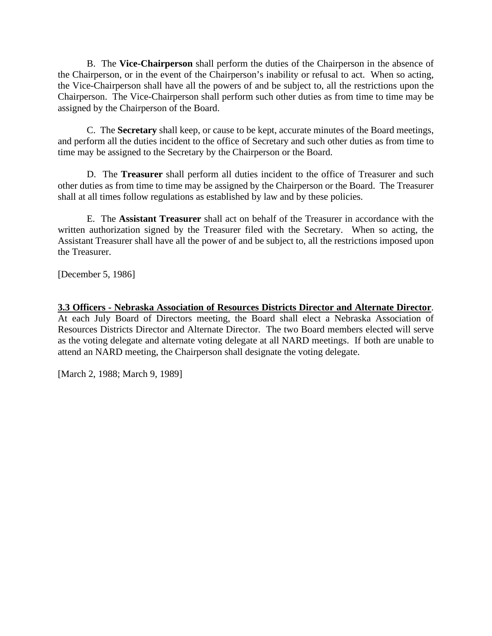B. The **Vice-Chairperson** shall perform the duties of the Chairperson in the absence of the Chairperson, or in the event of the Chairperson's inability or refusal to act. When so acting, the Vice-Chairperson shall have all the powers of and be subject to, all the restrictions upon the Chairperson. The Vice-Chairperson shall perform such other duties as from time to time may be assigned by the Chairperson of the Board.

C. The **Secretary** shall keep, or cause to be kept, accurate minutes of the Board meetings, and perform all the duties incident to the office of Secretary and such other duties as from time to time may be assigned to the Secretary by the Chairperson or the Board.

D. The **Treasurer** shall perform all duties incident to the office of Treasurer and such other duties as from time to time may be assigned by the Chairperson or the Board. The Treasurer shall at all times follow regulations as established by law and by these policies.

E. The **Assistant Treasurer** shall act on behalf of the Treasurer in accordance with the written authorization signed by the Treasurer filed with the Secretary. When so acting, the Assistant Treasurer shall have all the power of and be subject to, all the restrictions imposed upon the Treasurer.

[December 5, 1986]

**3.3 Officers - Nebraska Association of Resources Districts Director and Alternate Director**. At each July Board of Directors meeting, the Board shall elect a Nebraska Association of Resources Districts Director and Alternate Director. The two Board members elected will serve as the voting delegate and alternate voting delegate at all NARD meetings. If both are unable to attend an NARD meeting, the Chairperson shall designate the voting delegate.

[March 2, 1988; March 9, 1989]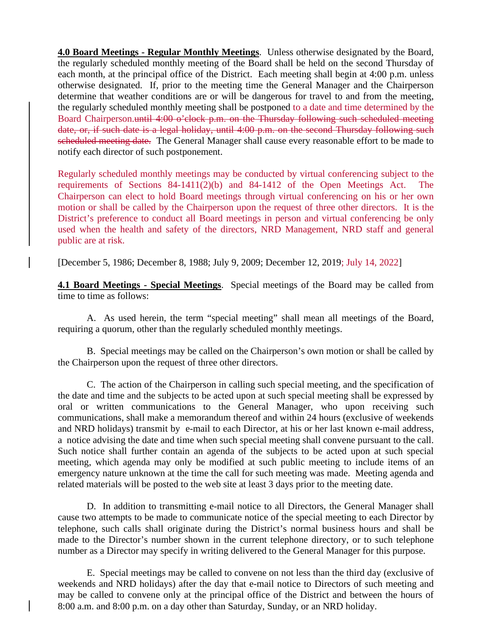**4.0 Board Meetings - Regular Monthly Meetings**. Unless otherwise designated by the Board, the regularly scheduled monthly meeting of the Board shall be held on the second Thursday of each month, at the principal office of the District. Each meeting shall begin at 4:00 p.m. unless otherwise designated. If, prior to the meeting time the General Manager and the Chairperson determine that weather conditions are or will be dangerous for travel to and from the meeting, the regularly scheduled monthly meeting shall be postponed to a date and time determined by the Board Chairperson.until 4:00 o'clock p.m. on the Thursday following such scheduled meeting date, or, if such date is a legal holiday, until 4:00 p.m. on the second Thursday following such scheduled meeting date. The General Manager shall cause every reasonable effort to be made to notify each director of such postponement.

Regularly scheduled monthly meetings may be conducted by virtual conferencing subject to the requirements of Sections 84-1411(2)(b) and 84-1412 of the Open Meetings Act. The Chairperson can elect to hold Board meetings through virtual conferencing on his or her own motion or shall be called by the Chairperson upon the request of three other directors. It is the District's preference to conduct all Board meetings in person and virtual conferencing be only used when the health and safety of the directors, NRD Management, NRD staff and general public are at risk.

[December 5, 1986; December 8, 1988; July 9, 2009; December 12, 2019; July 14, 2022]

**4.1 Board Meetings - Special Meetings**. Special meetings of the Board may be called from time to time as follows:

A. As used herein, the term "special meeting" shall mean all meetings of the Board, requiring a quorum, other than the regularly scheduled monthly meetings.

B. Special meetings may be called on the Chairperson's own motion or shall be called by the Chairperson upon the request of three other directors.

C. The action of the Chairperson in calling such special meeting, and the specification of the date and time and the subjects to be acted upon at such special meeting shall be expressed by oral or written communications to the General Manager, who upon receiving such communications, shall make a memorandum thereof and within 24 hours (exclusive of weekends and NRD holidays) transmit by e-mail to each Director, at his or her last known e-mail address, a notice advising the date and time when such special meeting shall convene pursuant to the call. Such notice shall further contain an agenda of the subjects to be acted upon at such special meeting, which agenda may only be modified at such public meeting to include items of an emergency nature unknown at the time the call for such meeting was made. Meeting agenda and related materials will be posted to the web site at least 3 days prior to the meeting date.

D. In addition to transmitting e-mail notice to all Directors, the General Manager shall cause two attempts to be made to communicate notice of the special meeting to each Director by telephone, such calls shall originate during the District's normal business hours and shall be made to the Director's number shown in the current telephone directory, or to such telephone number as a Director may specify in writing delivered to the General Manager for this purpose.

E. Special meetings may be called to convene on not less than the third day (exclusive of weekends and NRD holidays) after the day that e-mail notice to Directors of such meeting and may be called to convene only at the principal office of the District and between the hours of 8:00 a.m. and 8:00 p.m. on a day other than Saturday, Sunday, or an NRD holiday.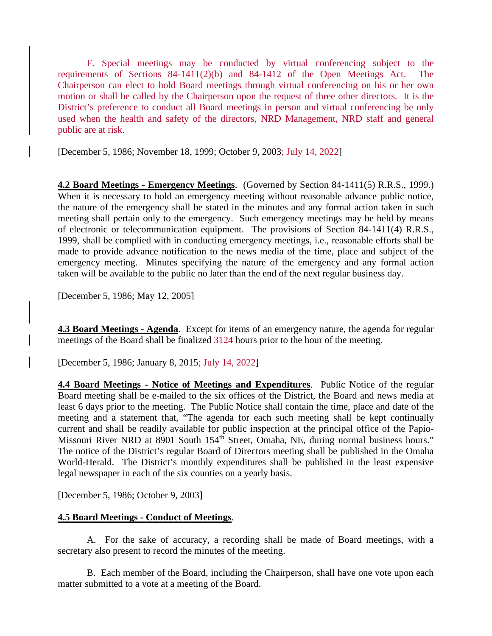F. Special meetings may be conducted by virtual conferencing subject to the requirements of Sections 84-1411(2)(b) and 84-1412 of the Open Meetings Act. The Chairperson can elect to hold Board meetings through virtual conferencing on his or her own motion or shall be called by the Chairperson upon the request of three other directors. It is the District's preference to conduct all Board meetings in person and virtual conferencing be only used when the health and safety of the directors, NRD Management, NRD staff and general public are at risk.

[December 5, 1986; November 18, 1999; October 9, 2003; July 14, 2022]

**4.2 Board Meetings - Emergency Meetings**. (Governed by Section 84-1411(5) R.R.S., 1999.) When it is necessary to hold an emergency meeting without reasonable advance public notice, the nature of the emergency shall be stated in the minutes and any formal action taken in such meeting shall pertain only to the emergency. Such emergency meetings may be held by means of electronic or telecommunication equipment. The provisions of Section 84-1411(4) R.R.S., 1999, shall be complied with in conducting emergency meetings, i.e., reasonable efforts shall be made to provide advance notification to the news media of the time, place and subject of the emergency meeting. Minutes specifying the nature of the emergency and any formal action taken will be available to the public no later than the end of the next regular business day.

[December 5, 1986; May 12, 2005]

**4.3 Board Meetings - Agenda**. Except for items of an emergency nature, the agenda for regular meetings of the Board shall be finalized 3124 hours prior to the hour of the meeting.

[December 5, 1986; January 8, 2015; July 14, 2022]

**4.4 Board Meetings - Notice of Meetings and Expenditures**. Public Notice of the regular Board meeting shall be e-mailed to the six offices of the District, the Board and news media at least 6 days prior to the meeting. The Public Notice shall contain the time, place and date of the meeting and a statement that, "The agenda for each such meeting shall be kept continually current and shall be readily available for public inspection at the principal office of the Papio-Missouri River NRD at 8901 South 154<sup>th</sup> Street, Omaha, NE, during normal business hours." The notice of the District's regular Board of Directors meeting shall be published in the Omaha World-Herald. The District's monthly expenditures shall be published in the least expensive legal newspaper in each of the six counties on a yearly basis.

[December 5, 1986; October 9, 2003]

#### **4.5 Board Meetings - Conduct of Meetings**.

A. For the sake of accuracy, a recording shall be made of Board meetings, with a secretary also present to record the minutes of the meeting.

B. Each member of the Board, including the Chairperson, shall have one vote upon each matter submitted to a vote at a meeting of the Board.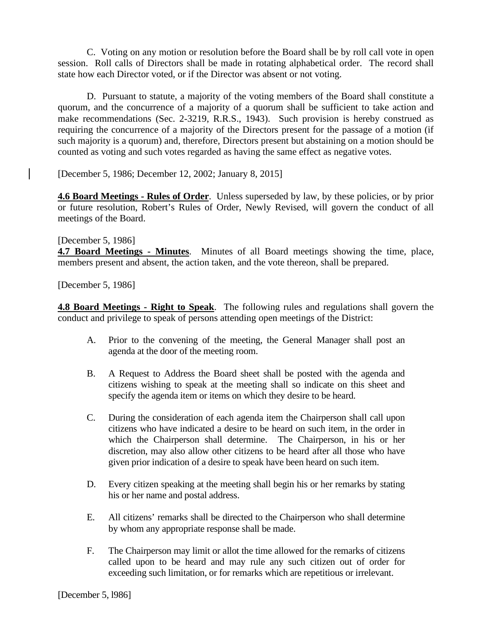C. Voting on any motion or resolution before the Board shall be by roll call vote in open session. Roll calls of Directors shall be made in rotating alphabetical order. The record shall state how each Director voted, or if the Director was absent or not voting.

D. Pursuant to statute, a majority of the voting members of the Board shall constitute a quorum, and the concurrence of a majority of a quorum shall be sufficient to take action and make recommendations (Sec. 2-3219, R.R.S., 1943). Such provision is hereby construed as requiring the concurrence of a majority of the Directors present for the passage of a motion (if such majority is a quorum) and, therefore, Directors present but abstaining on a motion should be counted as voting and such votes regarded as having the same effect as negative votes.

[December 5, 1986; December 12, 2002; January 8, 2015]

**4.6 Board Meetings - Rules of Order**. Unless superseded by law, by these policies, or by prior or future resolution, Robert's Rules of Order, Newly Revised, will govern the conduct of all meetings of the Board.

#### [December 5, 1986]

**4.7 Board Meetings - Minutes**. Minutes of all Board meetings showing the time, place, members present and absent, the action taken, and the vote thereon, shall be prepared.

[December 5, 1986]

**4.8 Board Meetings - Right to Speak**. The following rules and regulations shall govern the conduct and privilege to speak of persons attending open meetings of the District:

- A. Prior to the convening of the meeting, the General Manager shall post an agenda at the door of the meeting room.
- B. A Request to Address the Board sheet shall be posted with the agenda and citizens wishing to speak at the meeting shall so indicate on this sheet and specify the agenda item or items on which they desire to be heard.
- C. During the consideration of each agenda item the Chairperson shall call upon citizens who have indicated a desire to be heard on such item, in the order in which the Chairperson shall determine. The Chairperson, in his or her discretion, may also allow other citizens to be heard after all those who have given prior indication of a desire to speak have been heard on such item.
- D. Every citizen speaking at the meeting shall begin his or her remarks by stating his or her name and postal address.
- E. All citizens' remarks shall be directed to the Chairperson who shall determine by whom any appropriate response shall be made.
- F. The Chairperson may limit or allot the time allowed for the remarks of citizens called upon to be heard and may rule any such citizen out of order for exceeding such limitation, or for remarks which are repetitious or irrelevant.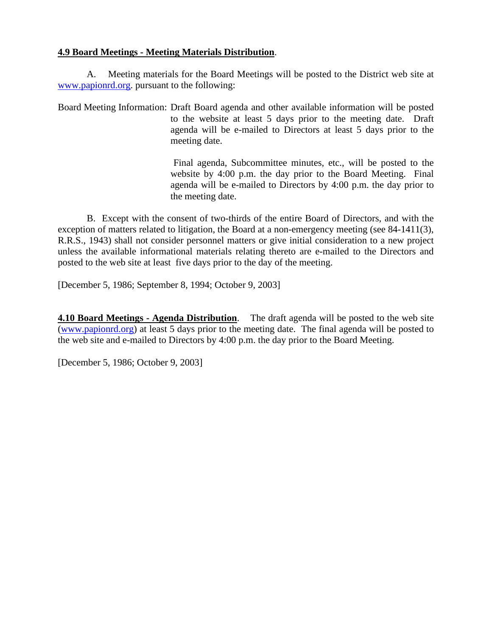### **4.9 Board Meetings - Meeting Materials Distribution**.

A. Meeting materials for the Board Meetings will be posted to the District web site at [www.papionrd.org.](http://www.papionrd.org/) pursuant to the following:

Board Meeting Information: Draft Board agenda and other available information will be posted to the website at least 5 days prior to the meeting date. Draft agenda will be e-mailed to Directors at least 5 days prior to the meeting date.

> Final agenda, Subcommittee minutes, etc., will be posted to the website by 4:00 p.m. the day prior to the Board Meeting. Final agenda will be e-mailed to Directors by 4:00 p.m. the day prior to the meeting date.

B. Except with the consent of two-thirds of the entire Board of Directors, and with the exception of matters related to litigation, the Board at a non-emergency meeting (see 84-1411(3), R.R.S., 1943) shall not consider personnel matters or give initial consideration to a new project unless the available informational materials relating thereto are e-mailed to the Directors and posted to the web site at least five days prior to the day of the meeting.

[December 5, 1986; September 8, 1994; October 9, 2003]

**4.10 Board Meetings - Agenda Distribution**. The draft agenda will be posted to the web site [\(www.papionrd.org\)](http://www.papionrd.org/) at least 5 days prior to the meeting date. The final agenda will be posted to the web site and e-mailed to Directors by 4:00 p.m. the day prior to the Board Meeting.

[December 5, 1986; October 9, 2003]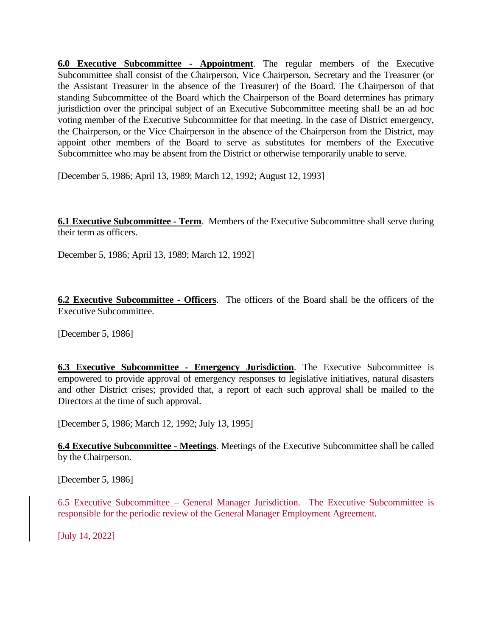**6.0 Executive Subcommittee - Appointment**. The regular members of the Executive Subcommittee shall consist of the Chairperson, Vice Chairperson, Secretary and the Treasurer (or the Assistant Treasurer in the absence of the Treasurer) of the Board. The Chairperson of that standing Subcommittee of the Board which the Chairperson of the Board determines has primary jurisdiction over the principal subject of an Executive Subcommittee meeting shall be an ad hoc voting member of the Executive Subcommittee for that meeting. In the case of District emergency, the Chairperson, or the Vice Chairperson in the absence of the Chairperson from the District, may appoint other members of the Board to serve as substitutes for members of the Executive Subcommittee who may be absent from the District or otherwise temporarily unable to serve.

[December 5, 1986; April 13, 1989; March 12, 1992; August 12, 1993]

**6.1 Executive Subcommittee - Term**. Members of the Executive Subcommittee shall serve during their term as officers.

December 5, 1986; April 13, 1989; March 12, 1992]

**6.2 Executive Subcommittee - Officers**. The officers of the Board shall be the officers of the Executive Subcommittee.

[December 5, 1986]

**6.3 Executive Subcommittee - Emergency Jurisdiction**. The Executive Subcommittee is empowered to provide approval of emergency responses to legislative initiatives, natural disasters and other District crises; provided that, a report of each such approval shall be mailed to the Directors at the time of such approval.

[December 5, 1986; March 12, 1992; July 13, 1995]

**6.4 Executive Subcommittee - Meetings**. Meetings of the Executive Subcommittee shall be called by the Chairperson.

[December 5, 1986]

6.5 Executive Subcommittee – General Manager Jurisdiction. The Executive Subcommittee is responsible for the periodic review of the General Manager Employment Agreement.

[July 14, 2022]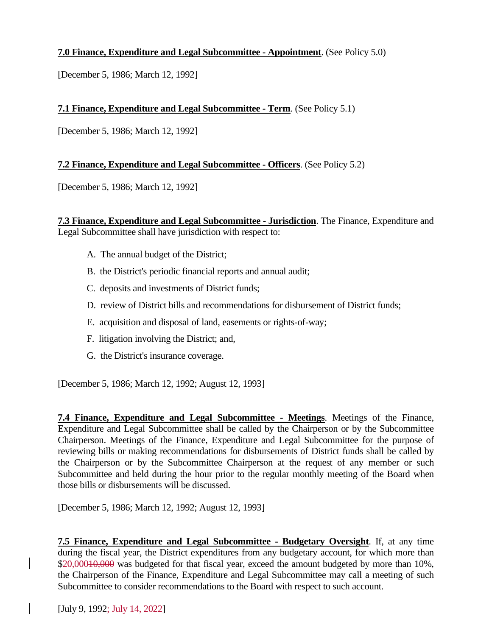## **7.0 Finance, Expenditure and Legal Subcommittee - Appointment**. (See Policy 5.0)

[December 5, 1986; March 12, 1992]

### **7.1 Finance, Expenditure and Legal Subcommittee - Term**. (See Policy 5.1)

[December 5, 1986; March 12, 1992]

#### **7.2 Finance, Expenditure and Legal Subcommittee - Officers**. (See Policy 5.2)

[December 5, 1986; March 12, 1992]

**7.3 Finance, Expenditure and Legal Subcommittee - Jurisdiction**. The Finance, Expenditure and Legal Subcommittee shall have jurisdiction with respect to:

- A. The annual budget of the District;
- B. the District's periodic financial reports and annual audit;
- C. deposits and investments of District funds;
- D. review of District bills and recommendations for disbursement of District funds;
- E. acquisition and disposal of land, easements or rights-of-way;
- F. litigation involving the District; and,
- G. the District's insurance coverage.

[December 5, 1986; March 12, 1992; August 12, 1993]

**7.4 Finance, Expenditure and Legal Subcommittee - Meetings**. Meetings of the Finance, Expenditure and Legal Subcommittee shall be called by the Chairperson or by the Subcommittee Chairperson. Meetings of the Finance, Expenditure and Legal Subcommittee for the purpose of reviewing bills or making recommendations for disbursements of District funds shall be called by the Chairperson or by the Subcommittee Chairperson at the request of any member or such Subcommittee and held during the hour prior to the regular monthly meeting of the Board when those bills or disbursements will be discussed.

[December 5, 1986; March 12, 1992; August 12, 1993]

**7.5 Finance, Expenditure and Legal Subcommittee - Budgetary Oversight**. If, at any time during the fiscal year, the District expenditures from any budgetary account, for which more than \$20,000<del>10,000</del> was budgeted for that fiscal year, exceed the amount budgeted by more than 10%, the Chairperson of the Finance, Expenditure and Legal Subcommittee may call a meeting of such Subcommittee to consider recommendations to the Board with respect to such account.

[July 9, 1992; July 14, 2022]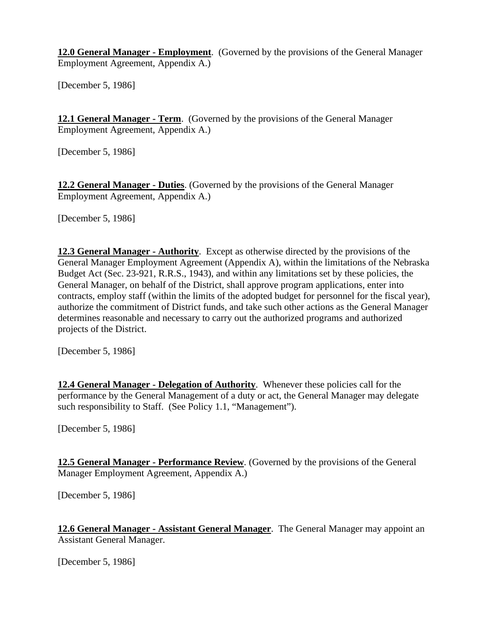**12.0 General Manager - Employment**. (Governed by the provisions of the General Manager Employment Agreement, Appendix A.)

[December 5, 1986]

**12.1 General Manager - Term**. (Governed by the provisions of the General Manager Employment Agreement, Appendix A.)

[December 5, 1986]

**12.2 General Manager - Duties**. (Governed by the provisions of the General Manager Employment Agreement, Appendix A.)

[December 5, 1986]

**12.3 General Manager - Authority**. Except as otherwise directed by the provisions of the General Manager Employment Agreement (Appendix A), within the limitations of the Nebraska Budget Act (Sec. 23-921, R.R.S., 1943), and within any limitations set by these policies, the General Manager, on behalf of the District, shall approve program applications, enter into contracts, employ staff (within the limits of the adopted budget for personnel for the fiscal year), authorize the commitment of District funds, and take such other actions as the General Manager determines reasonable and necessary to carry out the authorized programs and authorized projects of the District.

[December 5, 1986]

**12.4 General Manager - Delegation of Authority**. Whenever these policies call for the performance by the General Management of a duty or act, the General Manager may delegate such responsibility to Staff. (See Policy 1.1, "Management").

[December 5, 1986]

**12.5 General Manager - Performance Review**. (Governed by the provisions of the General Manager Employment Agreement, Appendix A.)

[December 5, 1986]

**12.6 General Manager - Assistant General Manager**. The General Manager may appoint an Assistant General Manager.

[December 5, 1986]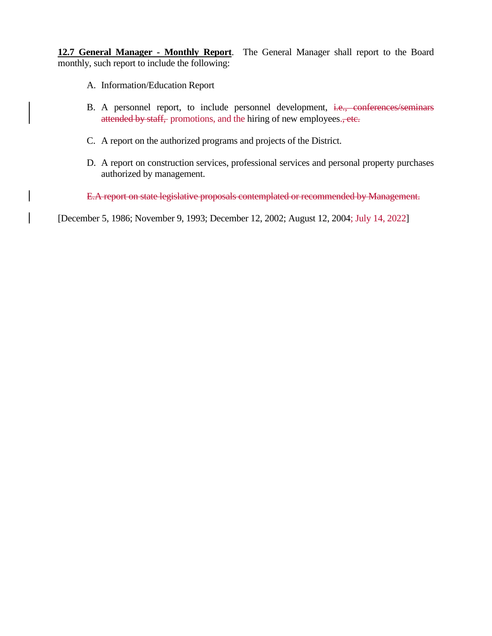**12.7 General Manager - Monthly Report**. The General Manager shall report to the Board monthly, such report to include the following:

- A. Information/Education Report
- B. A personnel report, to include personnel development, i.e., conferences/seminars attended by staff, promotions, and the hiring of new employees., etc.
- C. A report on the authorized programs and projects of the District.
- D. A report on construction services, professional services and personal property purchases authorized by management.

E.A report on state legislative proposals contemplated or recommended by Management.

[December 5, 1986; November 9, 1993; December 12, 2002; August 12, 2004; July 14, 2022]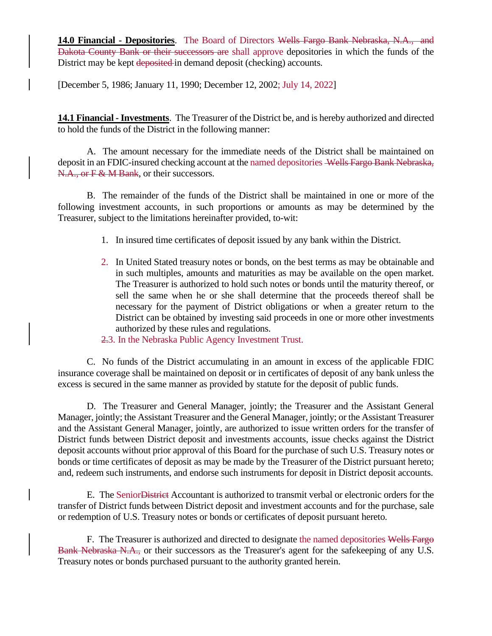**14.0 Financial - Depositories**. The Board of Directors Wells Fargo Bank Nebraska, N.A., and Dakota County Bank or their successors are shall approve depositories in which the funds of the District may be kept deposited in demand deposit (checking) accounts.

[December 5, 1986; January 11, 1990; December 12, 2002; July 14, 2022]

**14.1 Financial -Investments**. The Treasurer of the District be, and is hereby authorized and directed to hold the funds of the District in the following manner:

A. The amount necessary for the immediate needs of the District shall be maintained on deposit in an FDIC-insured checking account at the named depositories Wells Fargo Bank Nebraska, N.A., or F & M Bank, or their successors.

B. The remainder of the funds of the District shall be maintained in one or more of the following investment accounts, in such proportions or amounts as may be determined by the Treasurer, subject to the limitations hereinafter provided, to-wit:

- 1. In insured time certificates of deposit issued by any bank within the District.
- 2. In United Stated treasury notes or bonds, on the best terms as may be obtainable and in such multiples, amounts and maturities as may be available on the open market. The Treasurer is authorized to hold such notes or bonds until the maturity thereof, or sell the same when he or she shall determine that the proceeds thereof shall be necessary for the payment of District obligations or when a greater return to the District can be obtained by investing said proceeds in one or more other investments authorized by these rules and regulations.

2.3. In the Nebraska Public Agency Investment Trust.

C. No funds of the District accumulating in an amount in excess of the applicable FDIC insurance coverage shall be maintained on deposit or in certificates of deposit of any bank unless the excess is secured in the same manner as provided by statute for the deposit of public funds.

D. The Treasurer and General Manager, jointly; the Treasurer and the Assistant General Manager, jointly; the Assistant Treasurer and the General Manager, jointly; or the Assistant Treasurer and the Assistant General Manager, jointly, are authorized to issue written orders for the transfer of District funds between District deposit and investments accounts, issue checks against the District deposit accounts without prior approval of this Board for the purchase of such U.S. Treasury notes or bonds or time certificates of deposit as may be made by the Treasurer of the District pursuant hereto; and, redeem such instruments, and endorse such instruments for deposit in District deposit accounts.

E. The SeniorDistrict Accountant is authorized to transmit verbal or electronic orders for the transfer of District funds between District deposit and investment accounts and for the purchase, sale or redemption of U.S. Treasury notes or bonds or certificates of deposit pursuant hereto.

F. The Treasurer is authorized and directed to designate the named depositories Wells Fargo Bank Nebraska N.A., or their successors as the Treasurer's agent for the safekeeping of any U.S. Treasury notes or bonds purchased pursuant to the authority granted herein.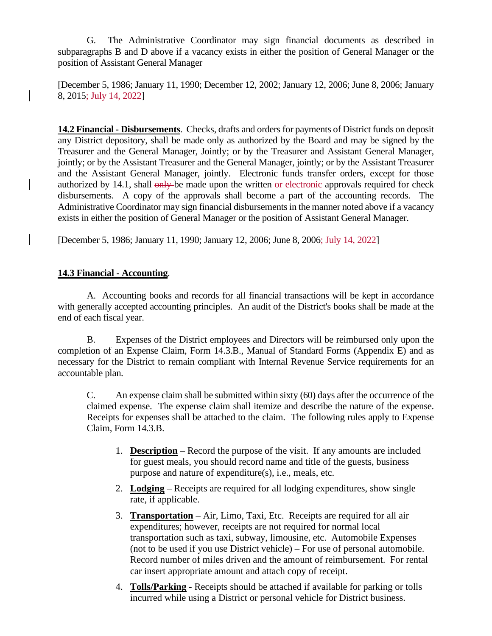G. The Administrative Coordinator may sign financial documents as described in subparagraphs B and D above if a vacancy exists in either the position of General Manager or the position of Assistant General Manager

[December 5, 1986; January 11, 1990; December 12, 2002; January 12, 2006; June 8, 2006; January 8, 2015; July 14, 2022]

**14.2 Financial - Disbursements**. Checks, drafts and orders for payments of District funds on deposit any District depository, shall be made only as authorized by the Board and may be signed by the Treasurer and the General Manager, Jointly; or by the Treasurer and Assistant General Manager, jointly; or by the Assistant Treasurer and the General Manager, jointly; or by the Assistant Treasurer and the Assistant General Manager, jointly. Electronic funds transfer orders, except for those authorized by 14.1, shall only be made upon the written or electronic approvals required for check disbursements. A copy of the approvals shall become a part of the accounting records. The Administrative Coordinator may sign financial disbursements in the manner noted above if a vacancy exists in either the position of General Manager or the position of Assistant General Manager.

[December 5, 1986; January 11, 1990; January 12, 2006; June 8, 2006; July 14, 2022]

## **14.3 Financial - Accounting**.

A. Accounting books and records for all financial transactions will be kept in accordance with generally accepted accounting principles. An audit of the District's books shall be made at the end of each fiscal year.

B. Expenses of the District employees and Directors will be reimbursed only upon the completion of an Expense Claim, Form 14.3.B., Manual of Standard Forms (Appendix E) and as necessary for the District to remain compliant with Internal Revenue Service requirements for an accountable plan.

C. An expense claim shall be submitted within sixty (60) days after the occurrence of the claimed expense. The expense claim shall itemize and describe the nature of the expense. Receipts for expenses shall be attached to the claim. The following rules apply to Expense Claim, Form 14.3.B.

- 1. **Description** Record the purpose of the visit. If any amounts are included for guest meals, you should record name and title of the guests, business purpose and nature of expenditure(s), i.e., meals, etc.
- 2. **Lodging** Receipts are required for all lodging expenditures, show single rate, if applicable.
- 3. **Transportation** Air, Limo, Taxi, Etc. Receipts are required for all air expenditures; however, receipts are not required for normal local transportation such as taxi, subway, limousine, etc. Automobile Expenses (not to be used if you use District vehicle) – For use of personal automobile. Record number of miles driven and the amount of reimbursement. For rental car insert appropriate amount and attach copy of receipt.
- 4. **Tolls/Parking** Receipts should be attached if available for parking or tolls incurred while using a District or personal vehicle for District business.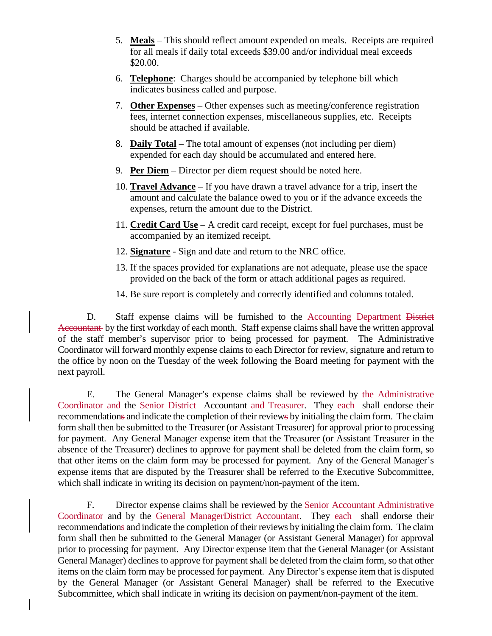- 5. **Meals** This should reflect amount expended on meals. Receipts are required for all meals if daily total exceeds \$39.00 and/or individual meal exceeds \$20.00.
- 6. **Telephone**: Charges should be accompanied by telephone bill which indicates business called and purpose.
- 7. **Other Expenses** Other expenses such as meeting/conference registration fees, internet connection expenses, miscellaneous supplies, etc. Receipts should be attached if available.
- 8. **Daily Total** The total amount of expenses (not including per diem) expended for each day should be accumulated and entered here.
- 9. **Per Diem** Director per diem request should be noted here.
- 10. **Travel Advance** If you have drawn a travel advance for a trip, insert the amount and calculate the balance owed to you or if the advance exceeds the expenses, return the amount due to the District.
- 11. **Credit Card Use** A credit card receipt, except for fuel purchases, must be accompanied by an itemized receipt.
- 12. **Signature** Sign and date and return to the NRC office.
- 13. If the spaces provided for explanations are not adequate, please use the space provided on the back of the form or attach additional pages as required.
- 14. Be sure report is completely and correctly identified and columns totaled.

D. Staff expense claims will be furnished to the Accounting Department District Accountant by the first workday of each month. Staff expense claims shall have the written approval of the staff member's supervisor prior to being processed for payment. The Administrative Coordinator will forward monthly expense claims to each Director for review, signature and return to the office by noon on the Tuesday of the week following the Board meeting for payment with the next payroll.

E. The General Manager's expense claims shall be reviewed by the Administrative Coordinator and the Senior District Accountant and Treasurer. They each shall endorse their recommendations and indicate the completion of their reviews by initialing the claim form. The claim form shall then be submitted to the Treasurer (or Assistant Treasurer) for approval prior to processing for payment. Any General Manager expense item that the Treasurer (or Assistant Treasurer in the absence of the Treasurer) declines to approve for payment shall be deleted from the claim form, so that other items on the claim form may be processed for payment. Any of the General Manager's expense items that are disputed by the Treasurer shall be referred to the Executive Subcommittee, which shall indicate in writing its decision on payment/non-payment of the item.

F. Director expense claims shall be reviewed by the Senior Accountant Administrative Coordinator and by the General ManagerDistrict Accountant. They each shall endorse their recommendations and indicate the completion of their reviews by initialing the claim form. The claim form shall then be submitted to the General Manager (or Assistant General Manager) for approval prior to processing for payment. Any Director expense item that the General Manager (or Assistant General Manager) declines to approve for payment shall be deleted from the claim form, so that other items on the claim form may be processed for payment. Any Director's expense item that is disputed by the General Manager (or Assistant General Manager) shall be referred to the Executive Subcommittee, which shall indicate in writing its decision on payment/non-payment of the item.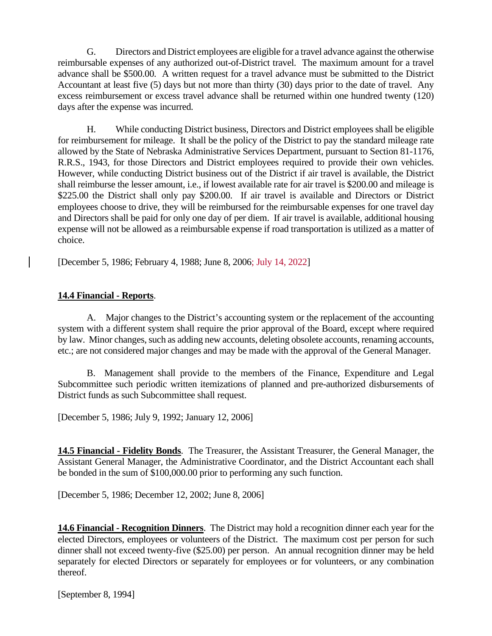G. Directors and District employees are eligible for a travel advance against the otherwise reimbursable expenses of any authorized out-of-District travel. The maximum amount for a travel advance shall be \$500.00. A written request for a travel advance must be submitted to the District Accountant at least five (5) days but not more than thirty (30) days prior to the date of travel. Any excess reimbursement or excess travel advance shall be returned within one hundred twenty (120) days after the expense was incurred.

H. While conducting District business, Directors and District employees shall be eligible for reimbursement for mileage. It shall be the policy of the District to pay the standard mileage rate allowed by the State of Nebraska Administrative Services Department, pursuant to Section 81-1176, R.R.S., 1943, for those Directors and District employees required to provide their own vehicles. However, while conducting District business out of the District if air travel is available, the District shall reimburse the lesser amount, i.e., if lowest available rate for air travel is \$200.00 and mileage is \$225.00 the District shall only pay \$200.00. If air travel is available and Directors or District employees choose to drive, they will be reimbursed for the reimbursable expenses for one travel day and Directors shall be paid for only one day of per diem. If air travel is available, additional housing expense will not be allowed as a reimbursable expense if road transportation is utilized as a matter of choice.

[December 5, 1986; February 4, 1988; June 8, 2006; July 14, 2022]

## **14.4 Financial - Reports**.

A. Major changes to the District's accounting system or the replacement of the accounting system with a different system shall require the prior approval of the Board, except where required by law. Minor changes, such as adding new accounts, deleting obsolete accounts, renaming accounts, etc.; are not considered major changes and may be made with the approval of the General Manager.

B. Management shall provide to the members of the Finance, Expenditure and Legal Subcommittee such periodic written itemizations of planned and pre-authorized disbursements of District funds as such Subcommittee shall request.

[December 5, 1986; July 9, 1992; January 12, 2006]

**14.5 Financial - Fidelity Bonds**. The Treasurer, the Assistant Treasurer, the General Manager, the Assistant General Manager, the Administrative Coordinator, and the District Accountant each shall be bonded in the sum of \$100,000.00 prior to performing any such function.

[December 5, 1986; December 12, 2002; June 8, 2006]

**14.6 Financial - Recognition Dinners**. The District may hold a recognition dinner each year for the elected Directors, employees or volunteers of the District. The maximum cost per person for such dinner shall not exceed twenty-five (\$25.00) per person. An annual recognition dinner may be held separately for elected Directors or separately for employees or for volunteers, or any combination thereof.

[September 8, 1994]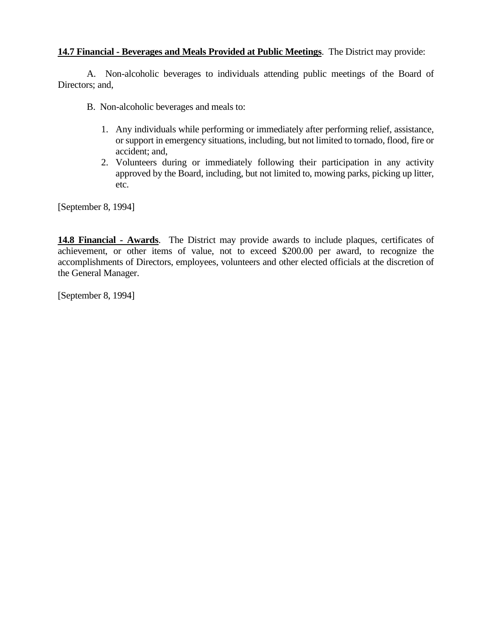#### **14.7 Financial - Beverages and Meals Provided at Public Meetings**. The District may provide:

A. Non-alcoholic beverages to individuals attending public meetings of the Board of Directors; and,

- B. Non-alcoholic beverages and meals to:
	- 1. Any individuals while performing or immediately after performing relief, assistance, or support in emergency situations, including, but not limited to tornado, flood, fire or accident; and,
	- 2. Volunteers during or immediately following their participation in any activity approved by the Board, including, but not limited to, mowing parks, picking up litter, etc.

[September 8, 1994]

**14.8 Financial - Awards**. The District may provide awards to include plaques, certificates of achievement, or other items of value, not to exceed \$200.00 per award, to recognize the accomplishments of Directors, employees, volunteers and other elected officials at the discretion of the General Manager.

[September 8, 1994]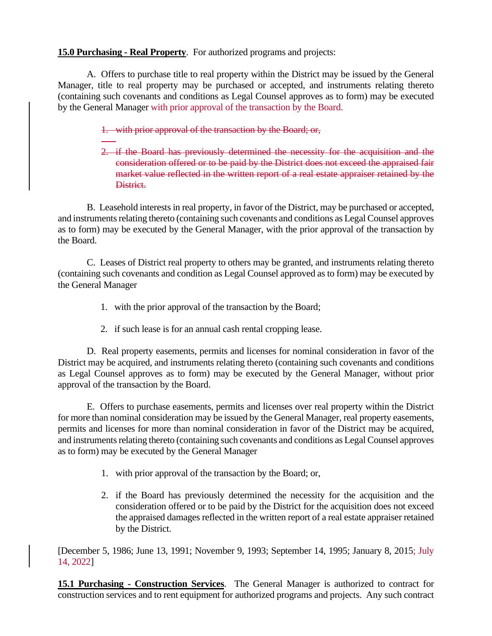## **15.0 Purchasing - Real Property**. For authorized programs and projects:

A. Offers to purchase title to real property within the District may be issued by the General Manager, title to real property may be purchased or accepted, and instruments relating thereto (containing such covenants and conditions as Legal Counsel approves as to form) may be executed by the General Manager with prior approval of the transaction by the Board.

## 1. with prior approval of the transaction by the Board; or,

2. if the Board has previously determined the necessity for the acquisition and the consideration offered or to be paid by the District does not exceed the appraised fair market value reflected in the written report of a real estate appraiser retained by the District.

B. Leasehold interests in real property, in favor of the District, may be purchased or accepted, and instruments relating thereto (containing such covenants and conditions as Legal Counsel approves as to form) may be executed by the General Manager, with the prior approval of the transaction by the Board.

C. Leases of District real property to others may be granted, and instruments relating thereto (containing such covenants and condition as Legal Counsel approved as to form) may be executed by the General Manager

- 1. with the prior approval of the transaction by the Board;
- 2. if such lease is for an annual cash rental cropping lease.

D. Real property easements, permits and licenses for nominal consideration in favor of the District may be acquired, and instruments relating thereto (containing such covenants and conditions as Legal Counsel approves as to form) may be executed by the General Manager, without prior approval of the transaction by the Board.

E. Offers to purchase easements, permits and licenses over real property within the District for more than nominal consideration may be issued by the General Manager, real property easements, permits and licenses for more than nominal consideration in favor of the District may be acquired, and instruments relating thereto (containing such covenants and conditions as Legal Counsel approves as to form) may be executed by the General Manager

- 1. with prior approval of the transaction by the Board; or,
- 2. if the Board has previously determined the necessity for the acquisition and the consideration offered or to be paid by the District for the acquisition does not exceed the appraised damages reflected in the written report of a real estate appraiser retained by the District.

[December 5, 1986; June 13, 1991; November 9, 1993; September 14, 1995; January 8, 2015; July 14, 2022]

**15.1 Purchasing - Construction Services**. The General Manager is authorized to contract for construction services and to rent equipment for authorized programs and projects. Any such contract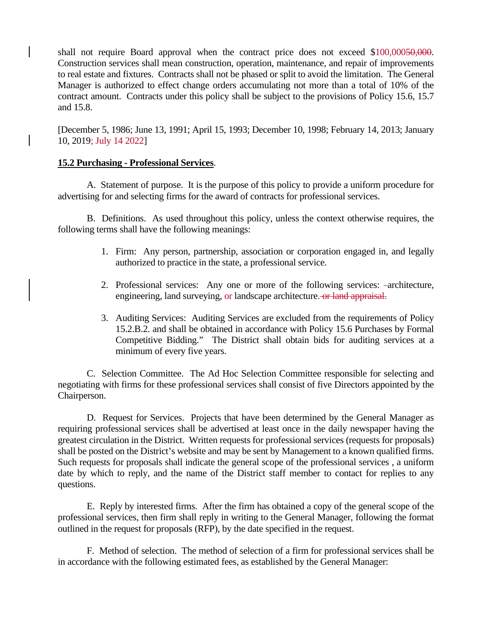shall not require Board approval when the contract price does not exceed \$100,00050,000. Construction services shall mean construction, operation, maintenance, and repair of improvements to real estate and fixtures. Contracts shall not be phased or split to avoid the limitation. The General Manager is authorized to effect change orders accumulating not more than a total of 10% of the contract amount. Contracts under this policy shall be subject to the provisions of Policy 15.6, 15.7 and 15.8.

[December 5, 1986; June 13, 1991; April 15, 1993; December 10, 1998; February 14, 2013; January 10, 2019; July 14 2022]

#### **15.2 Purchasing - Professional Services**.

A. Statement of purpose. It is the purpose of this policy to provide a uniform procedure for advertising for and selecting firms for the award of contracts for professional services.

B. Definitions. As used throughout this policy, unless the context otherwise requires, the following terms shall have the following meanings:

- 1. Firm: Any person, partnership, association or corporation engaged in, and legally authorized to practice in the state, a professional service.
- 2. Professional services: Any one or more of the following services: architecture, engineering, land surveying, or landscape architecture. or land appraisal.
- 3. Auditing Services: Auditing Services are excluded from the requirements of Policy 15.2.B.2. and shall be obtained in accordance with Policy 15.6 Purchases by Formal Competitive Bidding." The District shall obtain bids for auditing services at a minimum of every five years.

C. Selection Committee. The Ad Hoc Selection Committee responsible for selecting and negotiating with firms for these professional services shall consist of five Directors appointed by the Chairperson.

D. Request for Services. Projects that have been determined by the General Manager as requiring professional services shall be advertised at least once in the daily newspaper having the greatest circulation in the District. Written requests for professional services (requests for proposals) shall be posted on the District's website and may be sent by Management to a known qualified firms. Such requests for proposals shall indicate the general scope of the professional services , a uniform date by which to reply, and the name of the District staff member to contact for replies to any questions.

E. Reply by interested firms. After the firm has obtained a copy of the general scope of the professional services, then firm shall reply in writing to the General Manager, following the format outlined in the request for proposals (RFP), by the date specified in the request.

F. Method of selection. The method of selection of a firm for professional services shall be in accordance with the following estimated fees, as established by the General Manager: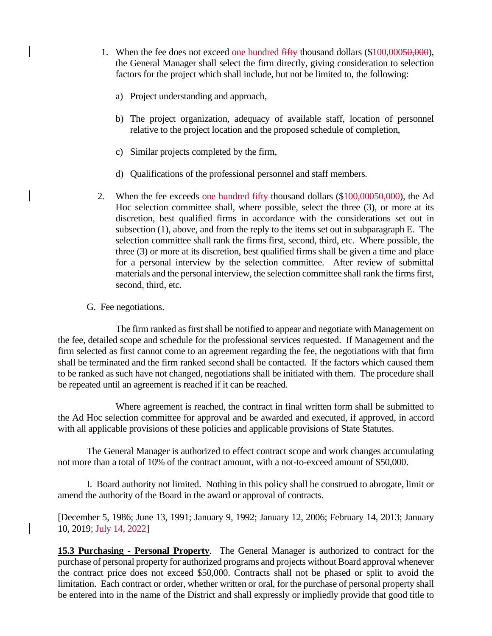- 1. When the fee does not exceed one hundred fifty thousand dollars (\$100,00050,000), the General Manager shall select the firm directly, giving consideration to selection factors for the project which shall include, but not be limited to, the following:
	- a) Project understanding and approach,
	- b) The project organization, adequacy of available staff, location of personnel relative to the project location and the proposed schedule of completion,
	- c) Similar projects completed by the firm,
	- d) Qualifications of the professional personnel and staff members.
- 2. When the fee exceeds one hundred  $\frac{f}{f}$  thousand dollars (\$100,00050,000), the Ad Hoc selection committee shall, where possible, select the three (3), or more at its discretion, best qualified firms in accordance with the considerations set out in subsection (1), above, and from the reply to the items set out in subparagraph E. The selection committee shall rank the firms first, second, third, etc. Where possible, the three (3) or more at its discretion, best qualified firms shall be given a time and place for a personal interview by the selection committee. After review of submittal materials and the personal interview, the selection committee shall rank the firms first, second, third, etc.
- G. Fee negotiations.

The firm ranked as first shall be notified to appear and negotiate with Management on the fee, detailed scope and schedule for the professional services requested. If Management and the firm selected as first cannot come to an agreement regarding the fee, the negotiations with that firm shall be terminated and the firm ranked second shall be contacted. If the factors which caused them to be ranked as such have not changed, negotiations shall be initiated with them. The procedure shall be repeated until an agreement is reached if it can be reached.

Where agreement is reached, the contract in final written form shall be submitted to the Ad Hoc selection committee for approval and be awarded and executed, if approved, in accord with all applicable provisions of these policies and applicable provisions of State Statutes.

The General Manager is authorized to effect contract scope and work changes accumulating not more than a total of 10% of the contract amount, with a not-to-exceed amount of \$50,000.

I. Board authority not limited. Nothing in this policy shall be construed to abrogate, limit or amend the authority of the Board in the award or approval of contracts.

[December 5, 1986; June 13, 1991; January 9, 1992; January 12, 2006; February 14, 2013; January 10, 2019; July 14, 2022]

**15.3 Purchasing - Personal Property**. The General Manager is authorized to contract for the purchase of personal property for authorized programs and projects without Board approval whenever the contract price does not exceed \$50,000. Contracts shall not be phased or split to avoid the limitation. Each contract or order, whether written or oral, for the purchase of personal property shall be entered into in the name of the District and shall expressly or impliedly provide that good title to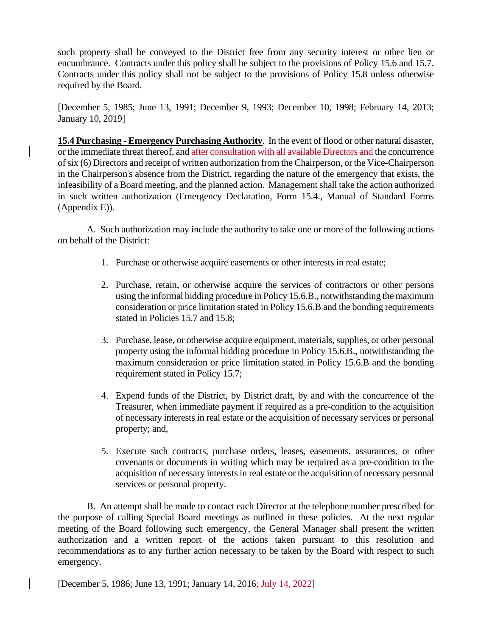such property shall be conveyed to the District free from any security interest or other lien or encumbrance. Contracts under this policy shall be subject to the provisions of Policy 15.6 and 15.7. Contracts under this policy shall not be subject to the provisions of Policy 15.8 unless otherwise required by the Board.

[December 5, 1985; June 13, 1991; December 9, 1993; December 10, 1998; February 14, 2013; January 10, 2019]

**15.4 Purchasing - Emergency Purchasing Authority**. In the event of flood or other natural disaster, or the immediate threat thereof, and after consultation with all available Directors and the concurrence of six (6) Directors and receipt of written authorization from the Chairperson, or the Vice-Chairperson in the Chairperson's absence from the District, regarding the nature of the emergency that exists, the infeasibility of a Board meeting, and the planned action. Management shall take the action authorized in such written authorization (Emergency Declaration, Form 15.4., Manual of Standard Forms (Appendix E)).

A. Such authorization may include the authority to take one or more of the following actions on behalf of the District:

- 1. Purchase or otherwise acquire easements or other interests in real estate;
- 2. Purchase, retain, or otherwise acquire the services of contractors or other persons using the informal bidding procedure in Policy 15.6.B., notwithstanding the maximum consideration or price limitation stated in Policy 15.6.B and the bonding requirements stated in Policies 15.7 and 15.8;
- 3. Purchase, lease, or otherwise acquire equipment, materials, supplies, or other personal property using the informal bidding procedure in Policy 15.6.B., notwithstanding the maximum consideration or price limitation stated in Policy 15.6.B and the bonding requirement stated in Policy 15.7;
- 4. Expend funds of the District, by District draft, by and with the concurrence of the Treasurer, when immediate payment if required as a pre-condition to the acquisition of necessary interests in real estate or the acquisition of necessary services or personal property; and,
- 5. Execute such contracts, purchase orders, leases, easements, assurances, or other covenants or documents in writing which may be required as a pre-condition to the acquisition of necessary interests in real estate or the acquisition of necessary personal services or personal property.

B. An attempt shall be made to contact each Director at the telephone number prescribed for the purpose of calling Special Board meetings as outlined in these policies. At the next regular meeting of the Board following such emergency, the General Manager shall present the written authorization and a written report of the actions taken pursuant to this resolution and recommendations as to any further action necessary to be taken by the Board with respect to such emergency.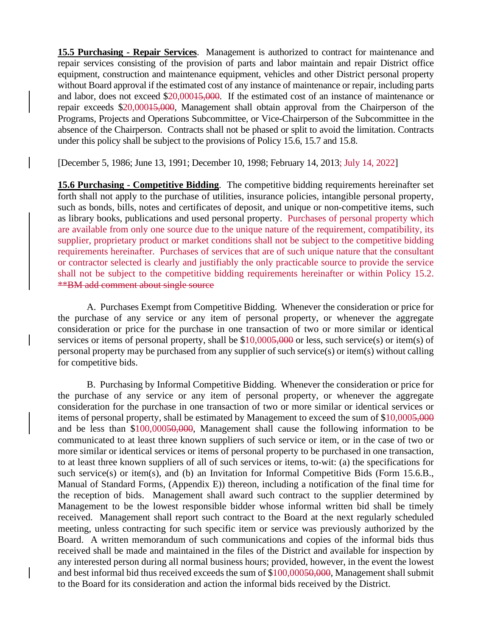**15.5 Purchasing - Repair Services**. Management is authorized to contract for maintenance and repair services consisting of the provision of parts and labor maintain and repair District office equipment, construction and maintenance equipment, vehicles and other District personal property without Board approval if the estimated cost of any instance of maintenance or repair, including parts and labor, does not exceed \$20,00015,000. If the estimated cost of an instance of maintenance or repair exceeds \$20,00015,000, Management shall obtain approval from the Chairperson of the Programs, Projects and Operations Subcommittee, or Vice-Chairperson of the Subcommittee in the absence of the Chairperson. Contracts shall not be phased or split to avoid the limitation. Contracts under this policy shall be subject to the provisions of Policy 15.6, 15.7 and 15.8.

[December 5, 1986; June 13, 1991; December 10, 1998; February 14, 2013; July 14, 2022]

**15.6 Purchasing - Competitive Bidding**. The competitive bidding requirements hereinafter set forth shall not apply to the purchase of utilities, insurance policies, intangible personal property, such as bonds, bills, notes and certificates of deposit, and unique or non-competitive items, such as library books, publications and used personal property. Purchases of personal property which are available from only one source due to the unique nature of the requirement, compatibility, its supplier, proprietary product or market conditions shall not be subject to the competitive bidding requirements hereinafter. Purchases of services that are of such unique nature that the consultant or contractor selected is clearly and justifiably the only practicable source to provide the service shall not be subject to the competitive bidding requirements hereinafter or within Policy 15.2. \*\*BM add comment about single source

A. Purchases Exempt from Competitive Bidding. Whenever the consideration or price for the purchase of any service or any item of personal property, or whenever the aggregate consideration or price for the purchase in one transaction of two or more similar or identical services or items of personal property, shall be \$10,0005,000 or less, such service(s) or item(s) of personal property may be purchased from any supplier of such service(s) or item(s) without calling for competitive bids.

B. Purchasing by Informal Competitive Bidding. Whenever the consideration or price for the purchase of any service or any item of personal property, or whenever the aggregate consideration for the purchase in one transaction of two or more similar or identical services or items of personal property, shall be estimated by Management to exceed the sum of \$10,0005,000 and be less than \$100,00050,000, Management shall cause the following information to be communicated to at least three known suppliers of such service or item, or in the case of two or more similar or identical services or items of personal property to be purchased in one transaction, to at least three known suppliers of all of such services or items, to-wit: (a) the specifications for such service(s) or item(s), and (b) an Invitation for Informal Competitive Bids (Form 15.6.B., Manual of Standard Forms, (Appendix E)) thereon, including a notification of the final time for the reception of bids. Management shall award such contract to the supplier determined by Management to be the lowest responsible bidder whose informal written bid shall be timely received. Management shall report such contract to the Board at the next regularly scheduled meeting, unless contracting for such specific item or service was previously authorized by the Board. A written memorandum of such communications and copies of the informal bids thus received shall be made and maintained in the files of the District and available for inspection by any interested person during all normal business hours; provided, however, in the event the lowest and best informal bid thus received exceeds the sum of \$100,00050,000, Management shall submit to the Board for its consideration and action the informal bids received by the District.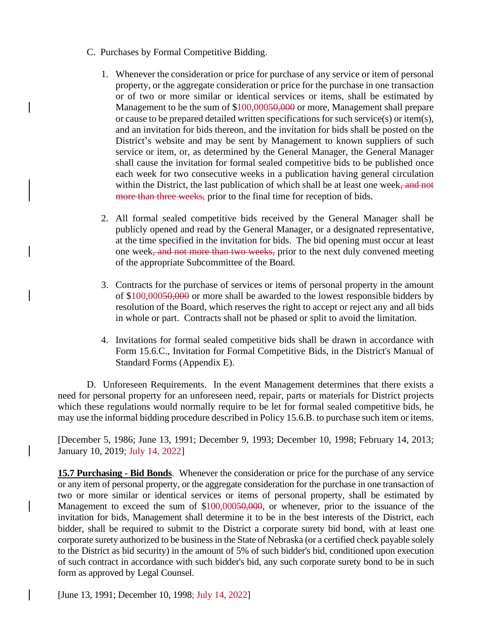- C. Purchases by Formal Competitive Bidding.
	- 1. Whenever the consideration or price for purchase of any service or item of personal property, or the aggregate consideration or price for the purchase in one transaction or of two or more similar or identical services or items, shall be estimated by Management to be the sum of \$100,00050,000 or more, Management shall prepare or cause to be prepared detailed written specifications for such service(s) or item(s), and an invitation for bids thereon, and the invitation for bids shall be posted on the District's website and may be sent by Management to known suppliers of such service or item, or, as determined by the General Manager, the General Manager shall cause the invitation for formal sealed competitive bids to be published once each week for two consecutive weeks in a publication having general circulation within the District, the last publication of which shall be at least one week, and not more than three weeks, prior to the final time for reception of bids.
	- 2. All formal sealed competitive bids received by the General Manager shall be publicly opened and read by the General Manager, or a designated representative, at the time specified in the invitation for bids. The bid opening must occur at least one week<del>, and not more than two weeks,</del> prior to the next duly convened meeting of the appropriate Subcommittee of the Board.
	- 3. Contracts for the purchase of services or items of personal property in the amount of \$100,00050,000 or more shall be awarded to the lowest responsible bidders by resolution of the Board, which reserves the right to accept or reject any and all bids in whole or part. Contracts shall not be phased or split to avoid the limitation.
	- 4. Invitations for formal sealed competitive bids shall be drawn in accordance with Form 15.6.C., Invitation for Formal Competitive Bids, in the District's Manual of Standard Forms (Appendix E).

D. Unforeseen Requirements. In the event Management determines that there exists a need for personal property for an unforeseen need, repair, parts or materials for District projects which these regulations would normally require to be let for formal sealed competitive bids, he may use the informal bidding procedure described in Policy 15.6.B. to purchase such item or items.

[December 5, 1986; June 13, 1991; December 9, 1993; December 10, 1998; February 14, 2013; January 10, 2019; July 14, 2022]

**15.7 Purchasing - Bid Bonds**. Whenever the consideration or price for the purchase of any service or any item of personal property, or the aggregate consideration for the purchase in one transaction of two or more similar or identical services or items of personal property, shall be estimated by Management to exceed the sum of \$100,00050,000, or whenever, prior to the issuance of the invitation for bids, Management shall determine it to be in the best interests of the District, each bidder, shall be required to submit to the District a corporate surety bid bond, with at least one corporate surety authorized to be business in the State of Nebraska (or a certified check payable solely to the District as bid security) in the amount of 5% of such bidder's bid, conditioned upon execution of such contract in accordance with such bidder's bid, any such corporate surety bond to be in such form as approved by Legal Counsel.

[June 13, 1991; December 10, 1998; July 14, 2022]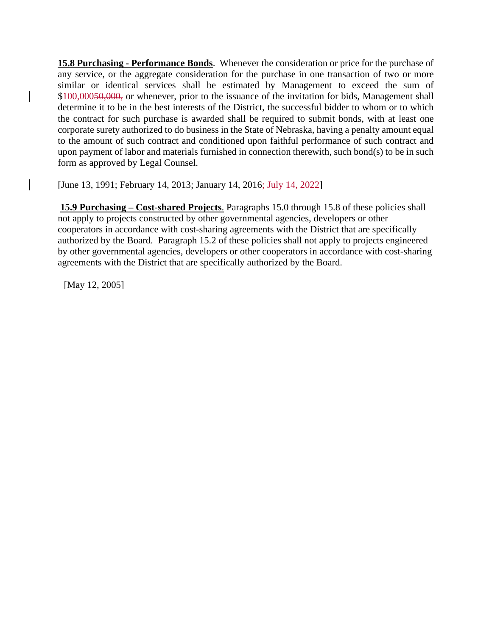**15.8 Purchasing - Performance Bonds**. Whenever the consideration or price for the purchase of any service, or the aggregate consideration for the purchase in one transaction of two or more similar or identical services shall be estimated by Management to exceed the sum of \$100,00050,000, or whenever, prior to the issuance of the invitation for bids, Management shall determine it to be in the best interests of the District, the successful bidder to whom or to which the contract for such purchase is awarded shall be required to submit bonds, with at least one corporate surety authorized to do business in the State of Nebraska, having a penalty amount equal to the amount of such contract and conditioned upon faithful performance of such contract and upon payment of labor and materials furnished in connection therewith, such bond(s) to be in such form as approved by Legal Counsel.

[June 13, 1991; February 14, 2013; January 14, 2016; July 14, 2022]

**15.9 Purchasing – Cost**-**shared Projects**. Paragraphs 15.0 through 15.8 of these policies shall not apply to projects constructed by other governmental agencies, developers or other cooperators in accordance with cost-sharing agreements with the District that are specifically authorized by the Board. Paragraph 15.2 of these policies shall not apply to projects engineered by other governmental agencies, developers or other cooperators in accordance with cost-sharing agreements with the District that are specifically authorized by the Board.

[May 12, 2005]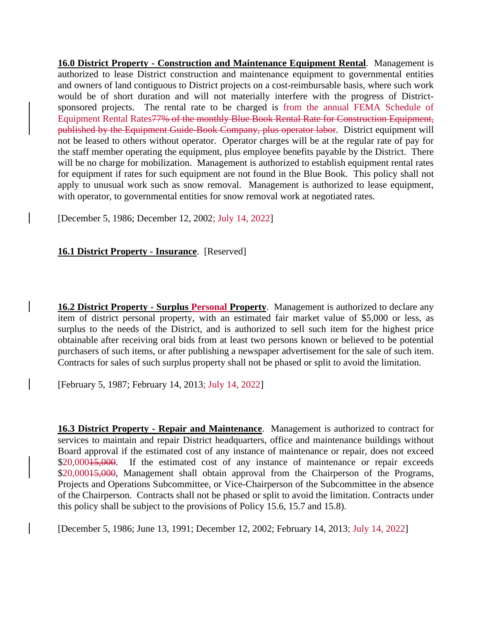**16.0 District Property - Construction and Maintenance Equipment Rental**. Management is authorized to lease District construction and maintenance equipment to governmental entities and owners of land contiguous to District projects on a cost-reimbursable basis, where such work would be of short duration and will not materially interfere with the progress of Districtsponsored projects. The rental rate to be charged is from the annual FEMA Schedule of Equipment Rental Rates77% of the monthly Blue Book Rental Rate for Construction Equipment, published by the Equipment Guide-Book Company, plus operator labor. District equipment will not be leased to others without operator. Operator charges will be at the regular rate of pay for the staff member operating the equipment, plus employee benefits payable by the District. There will be no charge for mobilization. Management is authorized to establish equipment rental rates for equipment if rates for such equipment are not found in the Blue Book. This policy shall not apply to unusual work such as snow removal. Management is authorized to lease equipment, with operator, to governmental entities for snow removal work at negotiated rates.

[December 5, 1986; December 12, 2002; July 14, 2022]

## **16.1 District Property - Insurance**. [Reserved]

**16.2 District Property - Surplus Personal Property.** Management is authorized to declare any item of district personal property, with an estimated fair market value of \$5,000 or less, as surplus to the needs of the District, and is authorized to sell such item for the highest price obtainable after receiving oral bids from at least two persons known or believed to be potential purchasers of such items, or after publishing a newspaper advertisement for the sale of such item. Contracts for sales of such surplus property shall not be phased or split to avoid the limitation.

[February 5, 1987; February 14, 2013; July 14, 2022]

**16.3 District Property - Repair and Maintenance**. Management is authorized to contract for services to maintain and repair District headquarters, office and maintenance buildings without Board approval if the estimated cost of any instance of maintenance or repair, does not exceed \$20,000<del>15,000</del>. If the estimated cost of any instance of maintenance or repair exceeds \$20,000<del>15,000</del>, Management shall obtain approval from the Chairperson of the Programs, Projects and Operations Subcommittee, or Vice-Chairperson of the Subcommittee in the absence of the Chairperson. Contracts shall not be phased or split to avoid the limitation. Contracts under this policy shall be subject to the provisions of Policy 15.6, 15.7 and 15.8).

[December 5, 1986; June 13, 1991; December 12, 2002; February 14, 2013; July 14, 2022]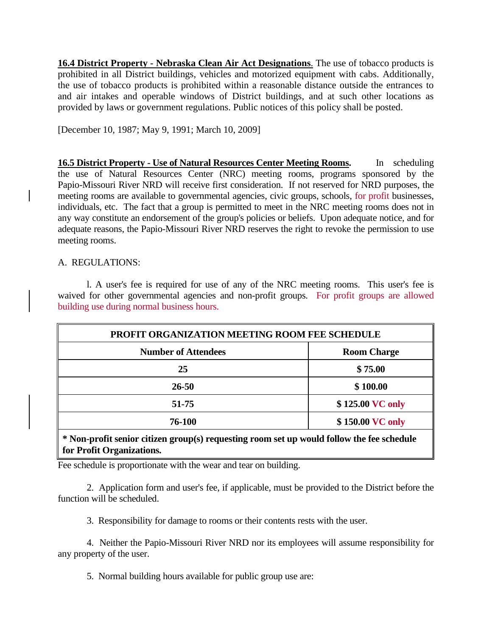**16.4 District Property - Nebraska Clean Air Act Designations**. The use of tobacco products is prohibited in all District buildings, vehicles and motorized equipment with cabs. Additionally, the use of tobacco products is prohibited within a reasonable distance outside the entrances to and air intakes and operable windows of District buildings, and at such other locations as provided by laws or government regulations. Public notices of this policy shall be posted.

[December 10, 1987; May 9, 1991; March 10, 2009]

**16.5 District Property - Use of Natural Resources Center Meeting Rooms.** In scheduling the use of Natural Resources Center (NRC) meeting rooms, programs sponsored by the Papio-Missouri River NRD will receive first consideration. If not reserved for NRD purposes, the meeting rooms are available to governmental agencies, civic groups, schools, for profit businesses, individuals, etc. The fact that a group is permitted to meet in the NRC meeting rooms does not in any way constitute an endorsement of the group's policies or beliefs. Upon adequate notice, and for adequate reasons, the Papio-Missouri River NRD reserves the right to revoke the permission to use meeting rooms.

### A. REGULATIONS:

l. A user's fee is required for use of any of the NRC meeting rooms. This user's fee is waived for other governmental agencies and non-profit groups. For profit groups are allowed building use during normal business hours.

| PROFIT ORGANIZATION MEETING ROOM FEE SCHEDULE |  |  |
|-----------------------------------------------|--|--|
| <b>Room Charge</b>                            |  |  |
| \$75.00                                       |  |  |
| \$100.00                                      |  |  |
| \$125.00 VC only                              |  |  |
| \$150.00 VC only                              |  |  |
|                                               |  |  |

**\* Non-profit senior citizen group(s) requesting room set up would follow the fee schedule for Profit Organizations.**

Fee schedule is proportionate with the wear and tear on building.

2. Application form and user's fee, if applicable, must be provided to the District before the function will be scheduled.

3. Responsibility for damage to rooms or their contents rests with the user.

4. Neither the Papio-Missouri River NRD nor its employees will assume responsibility for any property of the user.

5. Normal building hours available for public group use are: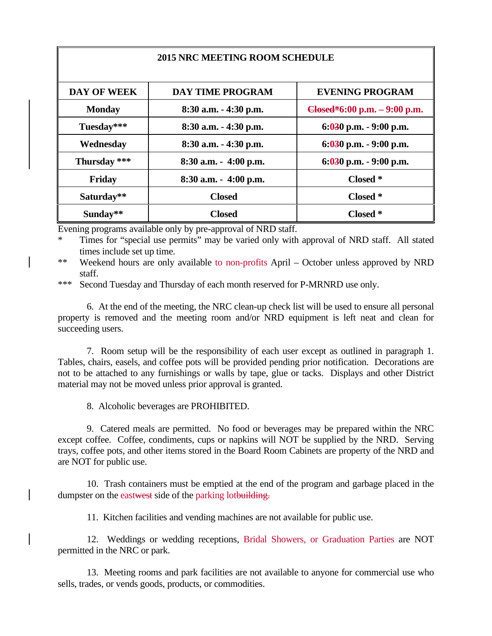| <b>2015 NRC MEETING ROOM SCHEDULE</b> |                          |                                       |  |  |
|---------------------------------------|--------------------------|---------------------------------------|--|--|
|                                       |                          |                                       |  |  |
| <b>DAY OF WEEK</b>                    | <b>DAY TIME PROGRAM</b>  | <b>EVENING PROGRAM</b>                |  |  |
| <b>Monday</b>                         | $8:30$ a.m. $-4:30$ p.m. | $\theta$ Closed*6:00 p.m. – 9:00 p.m. |  |  |
| Tuesday***                            | 8:30 a.m. - 4:30 p.m.    | $6:030$ p.m. $-9:00$ p.m.             |  |  |
| Wednesday                             | 8:30 a.m. - 4:30 p.m.    | $6:030$ p.m. $-9:00$ p.m.             |  |  |
| Thursday ***                          | $8:30$ a.m. $-4:00$ p.m. | $6:030$ p.m. $-9:00$ p.m.             |  |  |
| Friday                                | $8:30$ a.m. $-4:00$ p.m. | Closed *                              |  |  |
| Saturday**                            | <b>Closed</b>            | Closed *                              |  |  |
| Sunday**                              | <b>Closed</b>            | Closed *                              |  |  |

Evening programs available only by pre-approval of NRD staff.

Times for "special use permits" may be varied only with approval of NRD staff. All stated times include set up time.

\*\* Weekend hours are only available to non-profits April – October unless approved by NRD staff.

\*\*\* Second Tuesday and Thursday of each month reserved for P-MRNRD use only.

6. At the end of the meeting, the NRC clean-up check list will be used to ensure all personal property is removed and the meeting room and/or NRD equipment is left neat and clean for succeeding users.

7. Room setup will be the responsibility of each user except as outlined in paragraph 1. Tables, chairs, easels, and coffee pots will be provided pending prior notification. Decorations are not to be attached to any furnishings or walls by tape, glue or tacks. Displays and other District material may not be moved unless prior approval is granted.

8. Alcoholic beverages are PROHIBITED.

9. Catered meals are permitted. No food or beverages may be prepared within the NRC except coffee. Coffee, condiments, cups or napkins will NOT be supplied by the NRD. Serving trays, coffee pots, and other items stored in the Board Room Cabinets are property of the NRD and are NOT for public use.

10. Trash containers must be emptied at the end of the program and garbage placed in the dumpster on the eastwest side of the parking lotbuilding.

11. Kitchen facilities and vending machines are not available for public use.

12. Weddings or wedding receptions, Bridal Showers, or Graduation Parties are NOT permitted in the NRC or park.

13. Meeting rooms and park facilities are not available to anyone for commercial use who sells, trades, or vends goods, products, or commodities.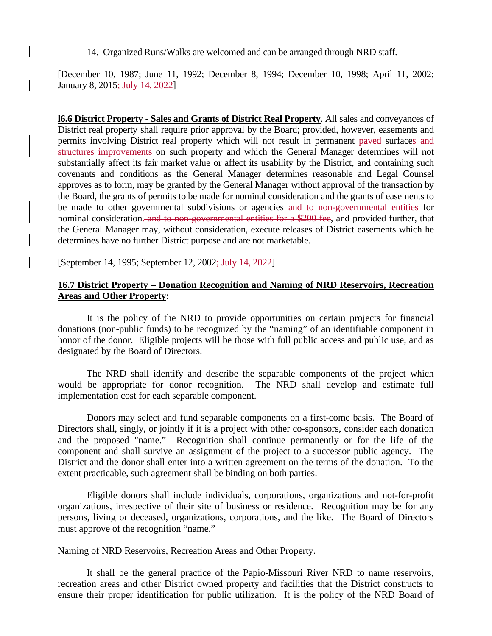14. Organized Runs/Walks are welcomed and can be arranged through NRD staff.

[December 10, 1987; June 11, 1992; December 8, 1994; December 10, 1998; April 11, 2002; January 8, 2015; July 14, 2022]

**l6.6 District Property - Sales and Grants of District Real Property**. All sales and conveyances of District real property shall require prior approval by the Board; provided, however, easements and permits involving District real property which will not result in permanent paved surfaces and structures improvements on such property and which the General Manager determines will not substantially affect its fair market value or affect its usability by the District, and containing such covenants and conditions as the General Manager determines reasonable and Legal Counsel approves as to form, may be granted by the General Manager without approval of the transaction by the Board, the grants of permits to be made for nominal consideration and the grants of easements to be made to other governmental subdivisions or agencies and to non-governmental entities for nominal consideration. and to non-governmental entities for a \$200 fee, and provided further, that the General Manager may, without consideration, execute releases of District easements which he determines have no further District purpose and are not marketable.

[September 14, 1995; September 12, 2002; July 14, 2022]

#### **16.7 District Property – Donation Recognition and Naming of NRD Reservoirs, Recreation Areas and Other Property**:

It is the policy of the NRD to provide opportunities on certain projects for financial donations (non-public funds) to be recognized by the "naming" of an identifiable component in honor of the donor. Eligible projects will be those with full public access and public use, and as designated by the Board of Directors.

The NRD shall identify and describe the separable components of the project which would be appropriate for donor recognition. The NRD shall develop and estimate full implementation cost for each separable component.

Donors may select and fund separable components on a first-come basis. The Board of Directors shall, singly, or jointly if it is a project with other co-sponsors, consider each donation and the proposed "name." Recognition shall continue permanently or for the life of the component and shall survive an assignment of the project to a successor public agency. The District and the donor shall enter into a written agreement on the terms of the donation. To the extent practicable, such agreement shall be binding on both parties.

Eligible donors shall include individuals, corporations, organizations and not-for-profit organizations, irrespective of their site of business or residence. Recognition may be for any persons, living or deceased, organizations, corporations, and the like. The Board of Directors must approve of the recognition "name."

Naming of NRD Reservoirs, Recreation Areas and Other Property.

It shall be the general practice of the Papio-Missouri River NRD to name reservoirs, recreation areas and other District owned property and facilities that the District constructs to ensure their proper identification for public utilization. It is the policy of the NRD Board of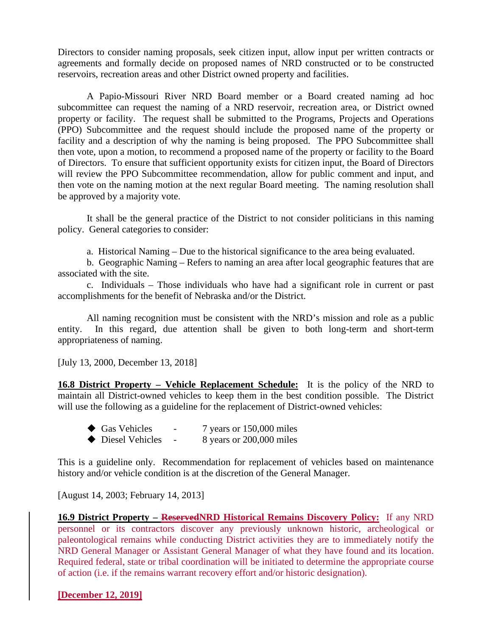Directors to consider naming proposals, seek citizen input, allow input per written contracts or agreements and formally decide on proposed names of NRD constructed or to be constructed reservoirs, recreation areas and other District owned property and facilities.

A Papio-Missouri River NRD Board member or a Board created naming ad hoc subcommittee can request the naming of a NRD reservoir, recreation area, or District owned property or facility. The request shall be submitted to the Programs, Projects and Operations (PPO) Subcommittee and the request should include the proposed name of the property or facility and a description of why the naming is being proposed. The PPO Subcommittee shall then vote, upon a motion, to recommend a proposed name of the property or facility to the Board of Directors. To ensure that sufficient opportunity exists for citizen input, the Board of Directors will review the PPO Subcommittee recommendation, allow for public comment and input, and then vote on the naming motion at the next regular Board meeting. The naming resolution shall be approved by a majority vote.

It shall be the general practice of the District to not consider politicians in this naming policy. General categories to consider:

a. Historical Naming – Due to the historical significance to the area being evaluated.

b. Geographic Naming – Refers to naming an area after local geographic features that are associated with the site.

c. Individuals – Those individuals who have had a significant role in current or past accomplishments for the benefit of Nebraska and/or the District.

All naming recognition must be consistent with the NRD's mission and role as a public entity. In this regard, due attention shall be given to both long-term and short-term appropriateness of naming.

[July 13, 2000, December 13, 2018]

**16.8 District Property – Vehicle Replacement Schedule:** It is the policy of the NRD to maintain all District-owned vehicles to keep them in the best condition possible. The District will use the following as a guideline for the replacement of District-owned vehicles:

| $\blacklozenge$ Gas Vehicles | $\overline{\phantom{0}}$ | 7 years or 150,000 miles |
|------------------------------|--------------------------|--------------------------|
| ◆ Diesel Vehicles            | $\overline{\phantom{0}}$ | 8 years or 200,000 miles |

This is a guideline only. Recommendation for replacement of vehicles based on maintenance history and/or vehicle condition is at the discretion of the General Manager.

[August 14, 2003; February 14, 2013]

**16.9 District Property – ReservedNRD Historical Remains Discovery Policy:** If any NRD personnel or its contractors discover any previously unknown historic, archeological or paleontological remains while conducting District activities they are to immediately notify the NRD General Manager or Assistant General Manager of what they have found and its location. Required federal, state or tribal coordination will be initiated to determine the appropriate course of action (i.e. if the remains warrant recovery effort and/or historic designation).

**[December 12, 2019]**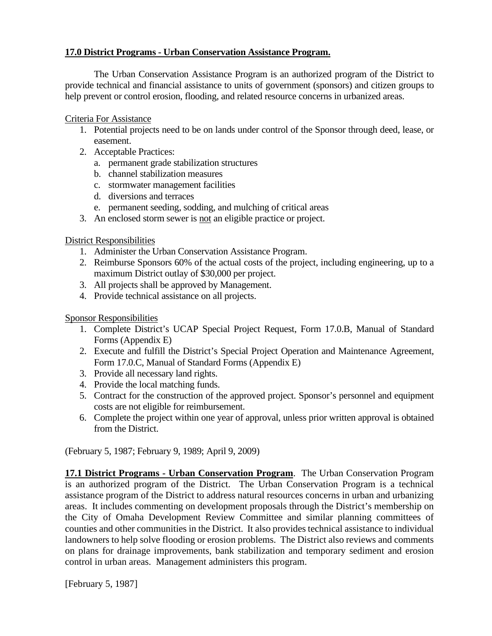### **17.0 District Programs - Urban Conservation Assistance Program.**

The Urban Conservation Assistance Program is an authorized program of the District to provide technical and financial assistance to units of government (sponsors) and citizen groups to help prevent or control erosion, flooding, and related resource concerns in urbanized areas.

### Criteria For Assistance

- 1. Potential projects need to be on lands under control of the Sponsor through deed, lease, or easement.
- 2. Acceptable Practices:
	- a. permanent grade stabilization structures
	- b. channel stabilization measures
	- c. stormwater management facilities
	- d. diversions and terraces
	- e. permanent seeding, sodding, and mulching of critical areas
- 3. An enclosed storm sewer is not an eligible practice or project.

### District Responsibilities

- 1. Administer the Urban Conservation Assistance Program.
- 2. Reimburse Sponsors 60% of the actual costs of the project, including engineering, up to a maximum District outlay of \$30,000 per project.
- 3. All projects shall be approved by Management.
- 4. Provide technical assistance on all projects.

## Sponsor Responsibilities

- 1. Complete District's UCAP Special Project Request, Form 17.0.B, Manual of Standard Forms (Appendix E)
- 2. Execute and fulfill the District's Special Project Operation and Maintenance Agreement, Form 17.0.C, Manual of Standard Forms (Appendix E)
- 3. Provide all necessary land rights.
- 4. Provide the local matching funds.
- 5. Contract for the construction of the approved project. Sponsor's personnel and equipment costs are not eligible for reimbursement.
- 6. Complete the project within one year of approval, unless prior written approval is obtained from the District.

(February 5, 1987; February 9, 1989; April 9, 2009)

**17.1 District Programs - Urban Conservation Program**. The Urban Conservation Program is an authorized program of the District. The Urban Conservation Program is a technical assistance program of the District to address natural resources concerns in urban and urbanizing areas. It includes commenting on development proposals through the District's membership on the City of Omaha Development Review Committee and similar planning committees of counties and other communities in the District. It also provides technical assistance to individual landowners to help solve flooding or erosion problems. The District also reviews and comments on plans for drainage improvements, bank stabilization and temporary sediment and erosion control in urban areas. Management administers this program.

[February 5, 1987]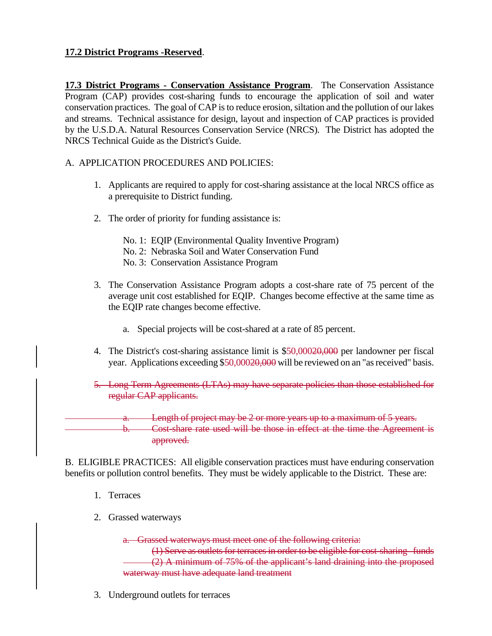## **17.2 District Programs -Reserved**.

**17.3 District Programs - Conservation Assistance Program**. The Conservation Assistance Program (CAP) provides cost-sharing funds to encourage the application of soil and water conservation practices. The goal of CAP is to reduce erosion, siltation and the pollution of our lakes and streams. Technical assistance for design, layout and inspection of CAP practices is provided by the U.S.D.A. Natural Resources Conservation Service (NRCS). The District has adopted the NRCS Technical Guide as the District's Guide.

### A. APPLICATION PROCEDURES AND POLICIES:

- 1. Applicants are required to apply for cost-sharing assistance at the local NRCS office as a prerequisite to District funding.
- 2. The order of priority for funding assistance is:
	- No. 1: EQIP (Environmental Quality Inventive Program)
	- No. 2: Nebraska Soil and Water Conservation Fund
	- No. 3: Conservation Assistance Program
- 3. The Conservation Assistance Program adopts a cost-share rate of 75 percent of the average unit cost established for EQIP. Changes become effective at the same time as the EQIP rate changes become effective.
	- a. Special projects will be cost-shared at a rate of 85 percent.
- 4. The District's cost-sharing assistance limit is \$50,00020,000 per landowner per fiscal year. Applications exceeding \$50,00020,000 will be reviewed on an "as received" basis.
- 5. Long Term Agreements (LTAs) may have separate policies than those established for regular CAP applicants.

Length of project may be 2 or more years up to a maximum of 5 years. b. Cost-share rate used will be those in effect at the time the Agreement is approved.

B. ELIGIBLE PRACTICES: All eligible conservation practices must have enduring conservation benefits or pollution control benefits. They must be widely applicable to the District. These are:

- 1. Terraces
- 2. Grassed waterways

a. Grassed waterways must meet one of the following criteria:

(1) Serve as outlets for terraces in order to be eligible for cost-sharing funds (2) A minimum of 75% of the applicant's land draining into the proposed waterway must have adequate land treatment

3. Underground outlets for terraces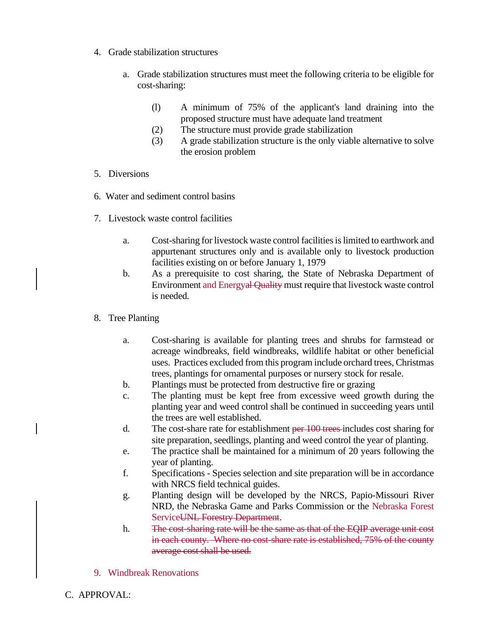- 4. Grade stabilization structures
	- a. Grade stabilization structures must meet the following criteria to be eligible for cost-sharing:
		- (l) A minimum of 75% of the applicant's land draining into the proposed structure must have adequate land treatment
		- (2) The structure must provide grade stabilization
		- (3) A grade stabilization structure is the only viable alternative to solve the erosion problem
- 5. Diversions
- 6. Water and sediment control basins
- 7. Livestock waste control facilities
	- a. Cost-sharing for livestock waste control facilities is limited to earthwork and appurtenant structures only and is available only to livestock production facilities existing on or before January 1, 1979
	- b. As a prerequisite to cost sharing, the State of Nebraska Department of Environment and Energyal Quality must require that livestock waste control is needed.
- 8. Tree Planting
	- a. Cost-sharing is available for planting trees and shrubs for farmstead or acreage windbreaks, field windbreaks, wildlife habitat or other beneficial uses. Practices excluded from this program include orchard trees, Christmas trees, plantings for ornamental purposes or nursery stock for resale.
	- b. Plantings must be protected from destructive fire or grazing
	- c. The planting must be kept free from excessive weed growth during the planting year and weed control shall be continued in succeeding years until the trees are well established.
	- d. The cost-share rate for establishment per 100 trees includes cost sharing for site preparation, seedlings, planting and weed control the year of planting.
	- e. The practice shall be maintained for a minimum of 20 years following the year of planting.
	- f. Specifications Species selection and site preparation will be in accordance with NRCS field technical guides.
	- g. Planting design will be developed by the NRCS, Papio-Missouri River NRD, the Nebraska Game and Parks Commission or the Nebraska Forest ServiceUNL Forestry Department.
	- h. The cost-sharing rate will be the same as that of the EQIP average unit cost in each county. Where no cost-share rate is established, 75% of the county average cost shall be used.
- 9. Windbreak Renovations
- C. APPROVAL: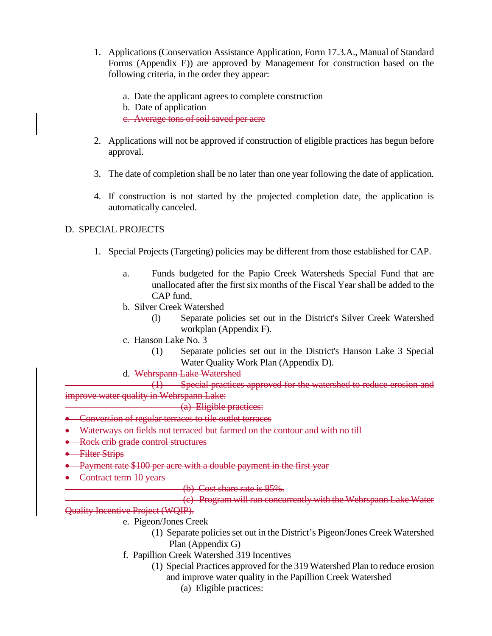- 1. Applications (Conservation Assistance Application, Form 17.3.A., Manual of Standard Forms (Appendix E)) are approved by Management for construction based on the following criteria, in the order they appear:
	- a. Date the applicant agrees to complete construction
	- b. Date of application

c. Average tons of soil saved per acre

- 2. Applications will not be approved if construction of eligible practices has begun before approval.
- 3. The date of completion shall be no later than one year following the date of application.
- 4. If construction is not started by the projected completion date, the application is automatically canceled.

## D. SPECIAL PROJECTS

- 1. Special Projects (Targeting) policies may be different from those established for CAP.
	- a. Funds budgeted for the Papio Creek Watersheds Special Fund that are unallocated after the first six months of the Fiscal Year shall be added to the CAP fund.
	- b. Silver Creek Watershed
		- (l) Separate policies set out in the District's Silver Creek Watershed workplan (Appendix F).
	- c. Hanson Lake No. 3
		- (1) Separate policies set out in the District's Hanson Lake 3 Special Water Quality Work Plan (Appendix D).
	- d. Wehrspann Lake Watershed

(1) Special practices approved for the watershed to reduce erosion and improve water quality in Wehrspann Lake:

- (a) Eligible practices:
- Conversion of regular terraces to tile outlet terraces
- Waterways on fields not terraced but farmed on the contour and with no till
- Rock crib grade control structures
- Filter Strips
- Payment rate \$100 per acre with a double payment in the first year
- Contract term 10 years
- (b) Cost share rate is 85%.

(c) Program will run concurrently with the Wehrspann Lake Water Quality Incentive Project (WQIP).

- e. Pigeon/Jones Creek
	- (1) Separate policies set out in the District's Pigeon/Jones Creek Watershed Plan (Appendix G)
- f. Papillion Creek Watershed 319 Incentives
	- (1) Special Practices approved for the 319 Watershed Plan to reduce erosion and improve water quality in the Papillion Creek Watershed
		- (a) Eligible practices: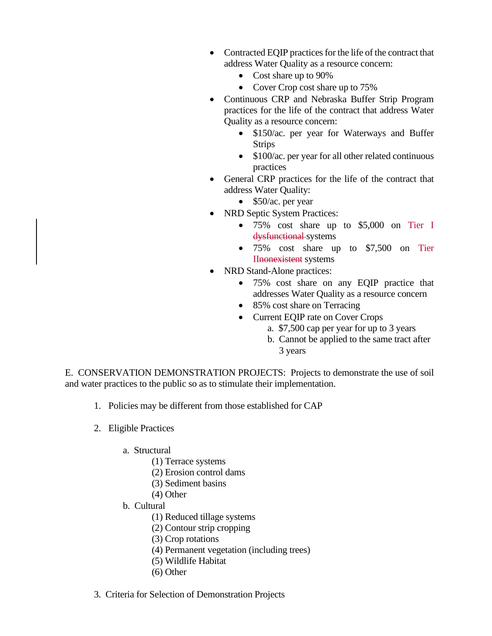- Contracted EQIP practices for the life of the contract that address Water Quality as a resource concern:
	- Cost share up to 90%
	- Cover Crop cost share up to 75%
- Continuous CRP and Nebraska Buffer Strip Program practices for the life of the contract that address Water Quality as a resource concern:
	- \$150/ac. per year for Waterways and Buffer Strips
	- \$100/ac. per year for all other related continuous practices
- General CRP practices for the life of the contract that address Water Quality:
	- \$50/ac. per year
- NRD Septic System Practices:
	- 75% cost share up to \$5,000 on Tier I dysfunctional systems
	- 75% cost share up to \$7,500 on Tier IInonexistent systems
- NRD Stand-Alone practices:
	- 75% cost share on any EQIP practice that addresses Water Quality as a resource concern
	- 85% cost share on Terracing
	- Current EQIP rate on Cover Crops
		- a. \$7,500 cap per year for up to 3 years
		- b. Cannot be applied to the same tract after 3 years

E. CONSERVATION DEMONSTRATION PROJECTS: Projects to demonstrate the use of soil and water practices to the public so as to stimulate their implementation.

- 1. Policies may be different from those established for CAP
- 2. Eligible Practices
	- a. Structural
		- (1) Terrace systems
		- (2) Erosion control dams
		- (3) Sediment basins
		- (4) Other
	- b. Cultural
		- (1) Reduced tillage systems
		- (2) Contour strip cropping
		- (3) Crop rotations
		- (4) Permanent vegetation (including trees)
		- (5) Wildlife Habitat
		- (6) Other
- 3. Criteria for Selection of Demonstration Projects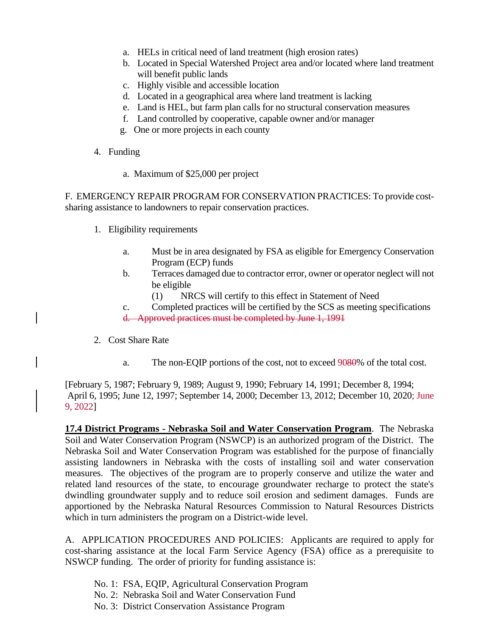- a. HELs in critical need of land treatment (high erosion rates)
- b. Located in Special Watershed Project area and/or located where land treatment will benefit public lands
- c. Highly visible and accessible location
- d. Located in a geographical area where land treatment is lacking
- e. Land is HEL, but farm plan calls for no structural conservation measures
- f. Land controlled by cooperative, capable owner and/or manager
- g. One or more projects in each county
- 4. Funding
	- a. Maximum of \$25,000 per project

F. EMERGENCY REPAIR PROGRAM FOR CONSERVATION PRACTICES: To provide costsharing assistance to landowners to repair conservation practices.

- 1. Eligibility requirements
	- a. Must be in area designated by FSA as eligible for Emergency Conservation Program (ECP) funds
	- b. Terraces damaged due to contractor error, owner or operator neglect will not be eligible
		- (1) NRCS will certify to this effect in Statement of Need
	- c. Completed practices will be certified by the SCS as meeting specifications d. Approved practices must be completed by June 1, 1991
- 2. Cost Share Rate
	- a. The non-EQIP portions of the cost, not to exceed 9080% of the total cost.

[February 5, 1987; February 9, 1989; August 9, 1990; February 14, 1991; December 8, 1994; April 6, 1995; June 12, 1997; September 14, 2000; December 13, 2012; December 10, 2020; June 9, 2022]

**17.4 District Programs - Nebraska Soil and Water Conservation Program**. The Nebraska Soil and Water Conservation Program (NSWCP) is an authorized program of the District. The Nebraska Soil and Water Conservation Program was established for the purpose of financially assisting landowners in Nebraska with the costs of installing soil and water conservation measures. The objectives of the program are to properly conserve and utilize the water and related land resources of the state, to encourage groundwater recharge to protect the state's dwindling groundwater supply and to reduce soil erosion and sediment damages. Funds are apportioned by the Nebraska Natural Resources Commission to Natural Resources Districts which in turn administers the program on a District-wide level.

A. APPLICATION PROCEDURES AND POLICIES: Applicants are required to apply for cost-sharing assistance at the local Farm Service Agency (FSA) office as a prerequisite to NSWCP funding. The order of priority for funding assistance is:

- No. 1: FSA, EQIP, Agricultural Conservation Program
- No. 2: Nebraska Soil and Water Conservation Fund
- No. 3: District Conservation Assistance Program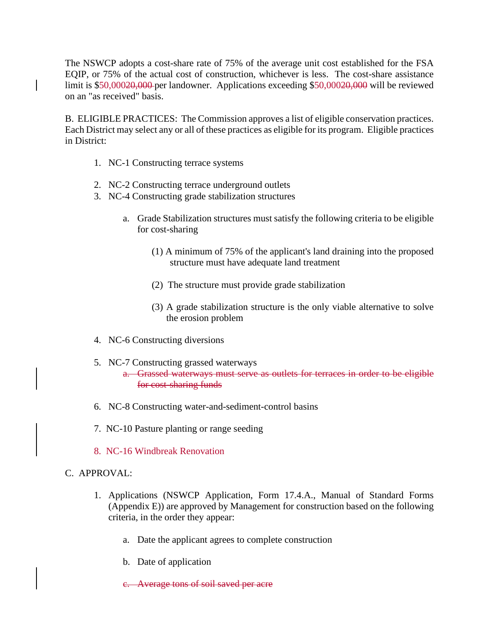The NSWCP adopts a cost-share rate of 75% of the average unit cost established for the FSA EQIP, or 75% of the actual cost of construction, whichever is less. The cost-share assistance limit is \$50,00020,000 per landowner. Applications exceeding \$50,00020,000 will be reviewed on an "as received" basis.

B. ELIGIBLE PRACTICES: The Commission approves a list of eligible conservation practices. Each District may select any or all of these practices as eligible for its program. Eligible practices in District:

- 1. NC-1 Constructing terrace systems
- 2. NC-2 Constructing terrace underground outlets
- 3. NC-4 Constructing grade stabilization structures
	- a. Grade Stabilization structures must satisfy the following criteria to be eligible for cost-sharing
		- (1) A minimum of 75% of the applicant's land draining into the proposed structure must have adequate land treatment
		- (2) The structure must provide grade stabilization
		- (3) A grade stabilization structure is the only viable alternative to solve the erosion problem
- 4. NC-6 Constructing diversions
- 5. NC-7 Constructing grassed waterways a. Grassed waterways must serve as outlets for terraces in order to be eligible for cost-sharing funds
- 6. NC-8 Constructing water-and-sediment-control basins
- 7. NC-10 Pasture planting or range seeding
- 8. NC-16 Windbreak Renovation

## C. APPROVAL:

- 1. Applications (NSWCP Application, Form 17.4.A., Manual of Standard Forms (Appendix E)) are approved by Management for construction based on the following criteria, in the order they appear:
	- a. Date the applicant agrees to complete construction
	- b. Date of application
	- c. Average tons of soil saved per acre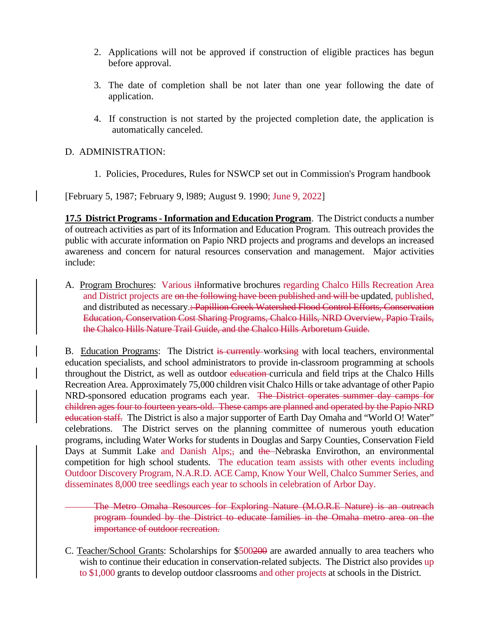- 2. Applications will not be approved if construction of eligible practices has begun before approval.
- 3. The date of completion shall be not later than one year following the date of application.
- 4. If construction is not started by the projected completion date, the application is automatically canceled.

### D. ADMINISTRATION:

1. Policies, Procedures, Rules for NSWCP set out in Commission's Program handbook

[February 5, 1987; February 9, l989; August 9. 1990; June 9, 2022]

**17.5 District Programs - Information and Education Program.** The District conducts a number of outreach activities as part of its Information and Education Program. This outreach provides the public with accurate information on Papio NRD projects and programs and develops an increased awareness and concern for natural resources conservation and management. Major activities include:

A. Program Brochures: Various iInformative brochures regarding Chalco Hills Recreation Area and District projects are on the following have been published and will be updated, published, and distributed as necessary.: Papillion Creek Watershed Flood Control Efforts, Conservation Education, Conservation Cost Sharing Programs, Chalco Hills, NRD Overview, Papio Trails, the Chalco Hills Nature Trail Guide, and the Chalco Hills Arboretum Guide.

B. Education Programs: The District is currently worksing with local teachers, environmental education specialists, and school administrators to provide in-classroom programming at schools throughout the District, as well as outdoor education-curricula and field trips at the Chalco Hills Recreation Area. Approximately 75,000 children visit Chalco Hills or take advantage of other Papio NRD-sponsored education programs each year. The District operates summer day camps for children ages four to fourteen years-old. These camps are planned and operated by the Papio NRD education staff. The District is also a major supporter of Earth Day Omaha and "World O! Water" celebrations. The District serves on the planning committee of numerous youth education programs, including Water Works for students in Douglas and Sarpy Counties, Conservation Field Days at Summit Lake and Danish Alps; and the Nebraska Envirothon, an environmental competition for high school students. The education team assists with other events including Outdoor Discovery Program, N.A.R.D. ACE Camp, Know Your Well, Chalco Summer Series, and disseminates 8,000 tree seedlings each year to schools in celebration of Arbor Day.

The Metro Omaha Resources for Exploring Nature (M.O.R.E Nature) is an outreach program founded by the District to educate families in the Omaha metro area on the importance of outdoor recreation.

C. Teacher/School Grants: Scholarships for \$500200 are awarded annually to area teachers who wish to continue their education in conservation-related subjects. The District also provides up to \$1,000 grants to develop outdoor classrooms and other projects at schools in the District.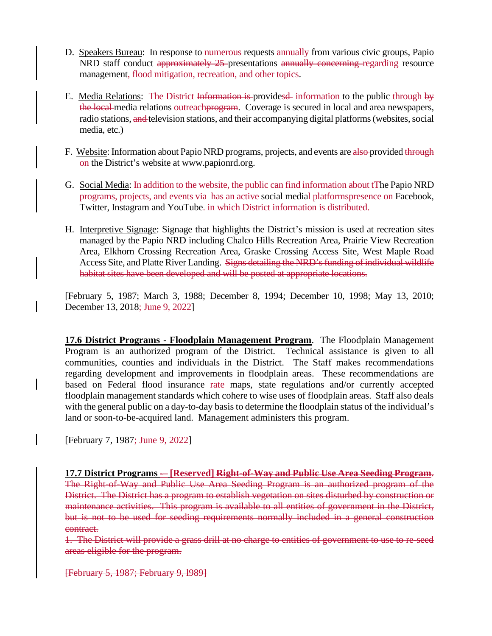- D. Speakers Bureau: In response to numerous requests annually from various civic groups, Papio NRD staff conduct approximately 25-presentations annually concerning regarding resource management, flood mitigation, recreation, and other topics.
- E. Media Relations: The District Information is provides information to the public through by the local media relations outreachprogram. Coverage is secured in local and area newspapers, radio stations, and television stations, and their accompanying digital platforms (websites, social media, etc.)
- F. Website: Information about Papio NRD programs, projects, and events are also provided through on the District's website at www.papionrd.org.
- G. Social Media: In addition to the website, the public can find information about tThe Papio NRD programs, projects, and events via has an active social medial platformspresence on Facebook, Twitter, Instagram and YouTube. in which District information is distributed.
- H. Interpretive Signage: Signage that highlights the District's mission is used at recreation sites managed by the Papio NRD including Chalco Hills Recreation Area, Prairie View Recreation Area, Elkhorn Crossing Recreation Area, Graske Crossing Access Site, West Maple Road Access Site, and Platte River Landing. Signs detailing the NRD's funding of individual wildlife habitat sites have been developed and will be posted at appropriate locations.

[February 5, 1987; March 3, 1988; December 8, 1994; December 10, 1998; May 13, 2010; December 13, 2018; June 9, 2022]

**17.6 District Programs - Floodplain Management Program**. The Floodplain Management Program is an authorized program of the District. Technical assistance is given to all communities, counties and individuals in the District. The Staff makes recommendations regarding development and improvements in floodplain areas. These recommendations are based on Federal flood insurance rate maps, state regulations and/or currently accepted floodplain management standards which cohere to wise uses of floodplain areas. Staff also deals with the general public on a day-to-day basis to determine the floodplain status of the individual's land or soon-to-be-acquired land. Management administers this program.

[February 7, 1987; June 9, 2022]

**17.7 District Programs -– [Reserved] Right-of-Way and Public Use Area Seeding Program**. The Right-of-Way and Public Use Area Seeding Program is an authorized program of the District. The District has a program to establish vegetation on sites disturbed by construction or maintenance activities. This program is available to all entities of government in the District, but is not to be used for seeding requirements normally included in a general construction contract.

1. The District will provide a grass drill at no charge to entities of government to use to re-seed areas eligible for the program.

[February 5, 1987; February 9, l989]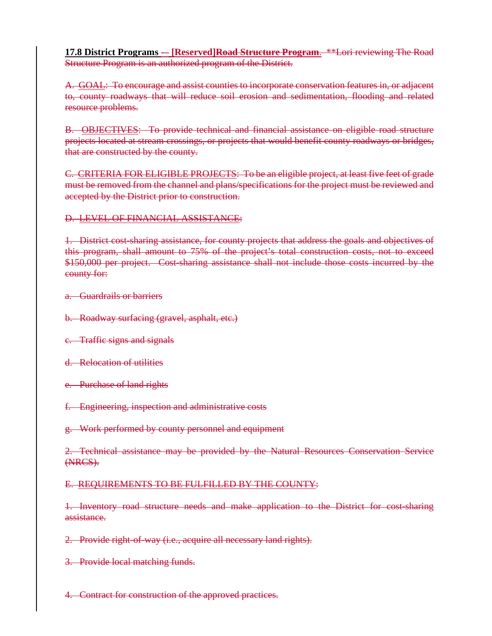**17.8 District Programs -– [Reserved]Road Structure Program**. \*\*Lori reviewing The Road Structure Program is an authorized program of the District.

A. GOAL: To encourage and assist counties to incorporate conservation features in, or adjacent to, county roadways that will reduce soil erosion and sedimentation, flooding and related resource problems.

B. OBJECTIVES: To provide technical and financial assistance on eligible road structure projects located at stream crossings, or projects that would benefit county roadways or bridges, that are constructed by the county.

C. CRITERIA FOR ELIGIBLE PROJECTS: To be an eligible project, at least five feet of grade must be removed from the channel and plans/specifications for the project must be reviewed and accepted by the District prior to construction.

### D. LEVEL OF FINANCIAL ASSISTANCE:

1. District cost-sharing assistance, for county projects that address the goals and objectives of this program, shall amount to 75% of the project's total construction costs, not to exceed \$150,000 per project. Cost-sharing assistance shall not include those costs incurred by the county for:

a. Guardrails or barriers

- b. Roadway surfacing (gravel, asphalt, etc.)
- c. Traffic signs and signals
- d. Relocation of utilities
- e. Purchase of land rights
- f. Engineering, inspection and administrative costs
- g. Work performed by county personnel and equipment

2. Technical assistance may be provided by the Natural Resources Conservation Service (NRCS).

### E. REQUIREMENTS TO BE FULFILLED BY THE COUNTY:

1. Inventory road structure needs and make application to the District for cost-sharing assistance.

2. Provide right-of-way (i.e., acquire all necessary land rights).

3. Provide local matching funds.

4. Contract for construction of the approved practices.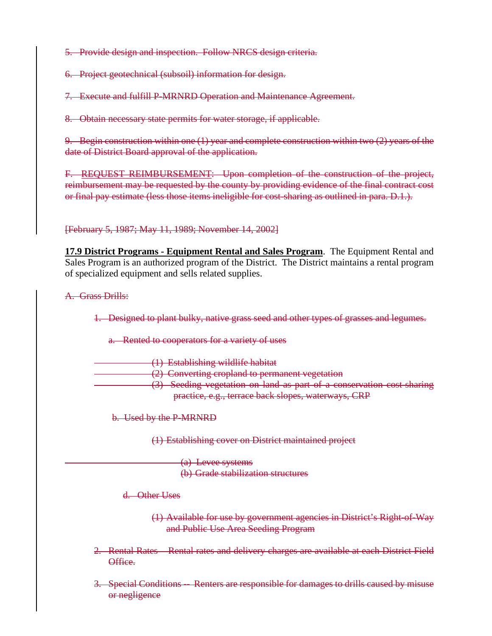5. Provide design and inspection. Follow NRCS design criteria.

6. Project geotechnical (subsoil) information for design.

7. Execute and fulfill P-MRNRD Operation and Maintenance Agreement.

8. Obtain necessary state permits for water storage, if applicable.

9. Begin construction within one (1) year and complete construction within two (2) years of the date of District Board approval of the application.

F. REQUEST REIMBURSEMENT: Upon completion of the construction of the project, reimbursement may be requested by the county by providing evidence of the final contract cost or final pay estimate (less those items ineligible for cost-sharing as outlined in para. D.1.).

[February 5, 1987; May 11, 1989; November 14, 2002]

**17.9 District Programs - Equipment Rental and Sales Program**. The Equipment Rental and Sales Program is an authorized program of the District. The District maintains a rental program of specialized equipment and sells related supplies.

A. Grass Drills:

1. Designed to plant bulky, native grass seed and other types of grasses and legumes.

a. Rented to cooperators for a variety of uses

(1) Establishing wildlife habitat

(2) Converting cropland to permanent vegetation

(3) Seeding vegetation on land as part of a conservation cost-sharing practice, e.g., terrace back slopes, waterways, CRP

b. Used by the P-MRNRD

(1) Establishing cover on District maintained project

(a) Levee systems (b) Grade stabilization structures

d. Other Uses

(1) Available for use by government agencies in District's Right-of-Way and Public Use Area Seeding Program

- 2. Rental Rates Rental rates and delivery charges are available at each District Field Office.
- 3. Special Conditions -- Renters are responsible for damages to drills caused by misuse or negligence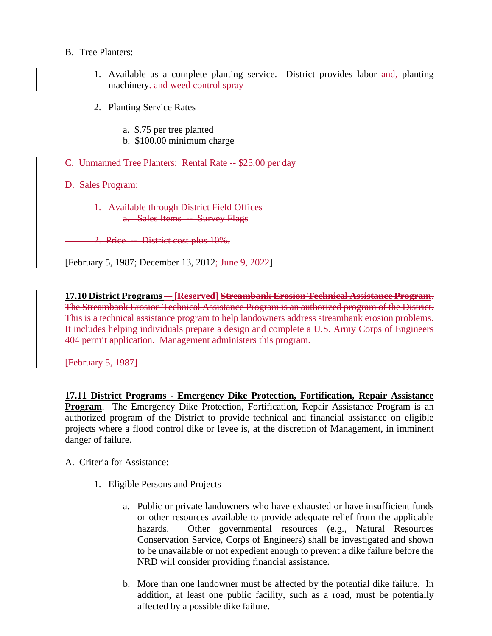### B. Tree Planters:

- 1. Available as a complete planting service. District provides labor and, planting machinery. and weed control spray
- 2. Planting Service Rates
	- a. \$.75 per tree planted
	- b. \$100.00 minimum charge

C. Unmanned Tree Planters: Rental Rate -- \$25.00 per day

D. Sales Program:

1. Available through District Field Offices a. Sales Items -- Survey Flags

2. Price -- District cost plus 10%.

[February 5, 1987; December 13, 2012; June 9, 2022]

**17.10 District Programs -– [Reserved] Streambank Erosion Technical Assistance Program**. The Streambank Erosion Technical Assistance Program is an authorized program of the District. This is a technical assistance program to help landowners address streambank erosion problems. It includes helping individuals prepare a design and complete a U.S. Army Corps of Engineers 404 permit application. Management administers this program.

[February 5, 1987]

**17.11 District Programs - Emergency Dike Protection, Fortification, Repair Assistance Program**. The Emergency Dike Protection, Fortification, Repair Assistance Program is an authorized program of the District to provide technical and financial assistance on eligible projects where a flood control dike or levee is, at the discretion of Management, in imminent danger of failure.

A. Criteria for Assistance:

- 1. Eligible Persons and Projects
	- a. Public or private landowners who have exhausted or have insufficient funds or other resources available to provide adequate relief from the applicable hazards. Other governmental resources (e.g., Natural Resources Conservation Service, Corps of Engineers) shall be investigated and shown to be unavailable or not expedient enough to prevent a dike failure before the NRD will consider providing financial assistance.
	- b. More than one landowner must be affected by the potential dike failure. In addition, at least one public facility, such as a road, must be potentially affected by a possible dike failure.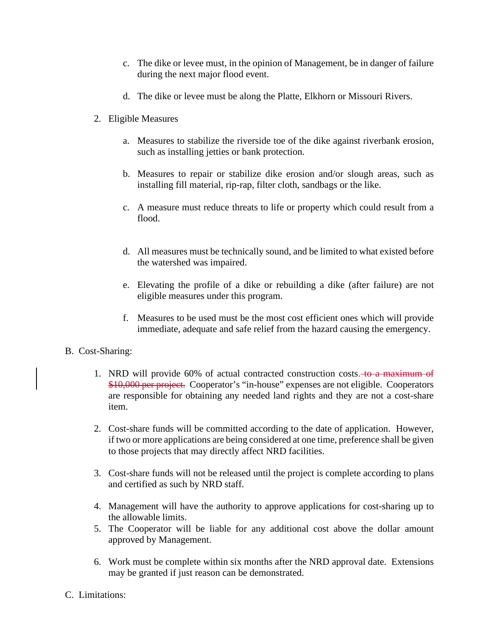- c. The dike or levee must, in the opinion of Management, be in danger of failure during the next major flood event.
- d. The dike or levee must be along the Platte, Elkhorn or Missouri Rivers.
- 2. Eligible Measures
	- a. Measures to stabilize the riverside toe of the dike against riverbank erosion, such as installing jetties or bank protection.
	- b. Measures to repair or stabilize dike erosion and/or slough areas, such as installing fill material, rip-rap, filter cloth, sandbags or the like.
	- c. A measure must reduce threats to life or property which could result from a flood.
	- d. All measures must be technically sound, and be limited to what existed before the watershed was impaired.
	- e. Elevating the profile of a dike or rebuilding a dike (after failure) are not eligible measures under this program.
	- f. Measures to be used must be the most cost efficient ones which will provide immediate, adequate and safe relief from the hazard causing the emergency.

### B. Cost-Sharing:

- 1. NRD will provide 60% of actual contracted construction costs. to a maximum of \$10,000 per project. Cooperator's "in-house" expenses are not eligible. Cooperators are responsible for obtaining any needed land rights and they are not a cost-share item.
- 2. Cost-share funds will be committed according to the date of application. However, if two or more applications are being considered at one time, preference shall be given to those projects that may directly affect NRD facilities.
- 3. Cost-share funds will not be released until the project is complete according to plans and certified as such by NRD staff.
- 4. Management will have the authority to approve applications for cost-sharing up to the allowable limits.
- 5. The Cooperator will be liable for any additional cost above the dollar amount approved by Management.
- 6. Work must be complete within six months after the NRD approval date. Extensions may be granted if just reason can be demonstrated.
- C. Limitations: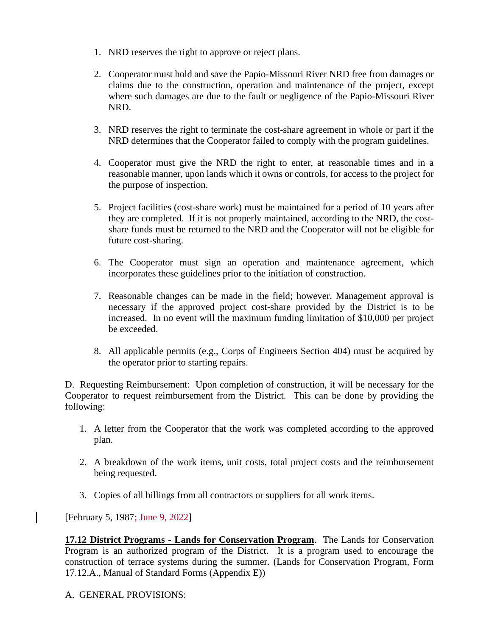- 1. NRD reserves the right to approve or reject plans.
- 2. Cooperator must hold and save the Papio-Missouri River NRD free from damages or claims due to the construction, operation and maintenance of the project, except where such damages are due to the fault or negligence of the Papio-Missouri River NRD.
- 3. NRD reserves the right to terminate the cost-share agreement in whole or part if the NRD determines that the Cooperator failed to comply with the program guidelines.
- 4. Cooperator must give the NRD the right to enter, at reasonable times and in a reasonable manner, upon lands which it owns or controls, for access to the project for the purpose of inspection.
- 5. Project facilities (cost-share work) must be maintained for a period of 10 years after they are completed. If it is not properly maintained, according to the NRD, the costshare funds must be returned to the NRD and the Cooperator will not be eligible for future cost-sharing.
- 6. The Cooperator must sign an operation and maintenance agreement, which incorporates these guidelines prior to the initiation of construction.
- 7. Reasonable changes can be made in the field; however, Management approval is necessary if the approved project cost-share provided by the District is to be increased. In no event will the maximum funding limitation of \$10,000 per project be exceeded.
- 8. All applicable permits (e.g., Corps of Engineers Section 404) must be acquired by the operator prior to starting repairs.

D. Requesting Reimbursement: Upon completion of construction, it will be necessary for the Cooperator to request reimbursement from the District. This can be done by providing the following:

- 1. A letter from the Cooperator that the work was completed according to the approved plan.
- 2. A breakdown of the work items, unit costs, total project costs and the reimbursement being requested.
- 3. Copies of all billings from all contractors or suppliers for all work items.

[February 5, 1987; June 9, 2022]

**17.12 District Programs - Lands for Conservation Program**. The Lands for Conservation Program is an authorized program of the District. It is a program used to encourage the construction of terrace systems during the summer. (Lands for Conservation Program, Form 17.12.A., Manual of Standard Forms (Appendix E))

A. GENERAL PROVISIONS: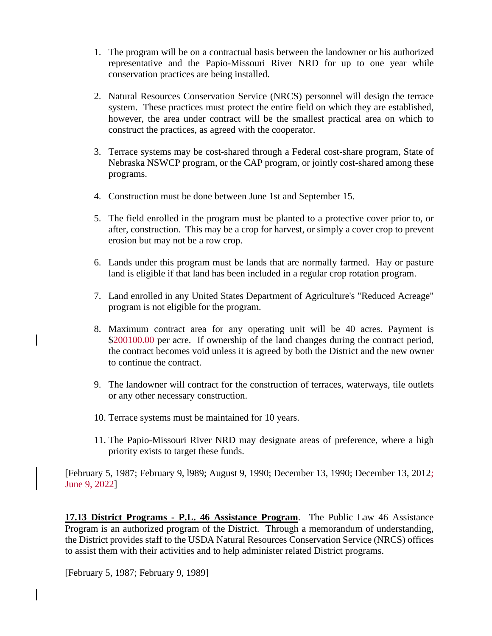- 1. The program will be on a contractual basis between the landowner or his authorized representative and the Papio-Missouri River NRD for up to one year while conservation practices are being installed.
- 2. Natural Resources Conservation Service (NRCS) personnel will design the terrace system. These practices must protect the entire field on which they are established, however, the area under contract will be the smallest practical area on which to construct the practices, as agreed with the cooperator.
- 3. Terrace systems may be cost-shared through a Federal cost-share program, State of Nebraska NSWCP program, or the CAP program, or jointly cost-shared among these programs.
- 4. Construction must be done between June 1st and September 15.
- 5. The field enrolled in the program must be planted to a protective cover prior to, or after, construction. This may be a crop for harvest, or simply a cover crop to prevent erosion but may not be a row crop.
- 6. Lands under this program must be lands that are normally farmed. Hay or pasture land is eligible if that land has been included in a regular crop rotation program.
- 7. Land enrolled in any United States Department of Agriculture's "Reduced Acreage" program is not eligible for the program.
- 8. Maximum contract area for any operating unit will be 40 acres. Payment is \$200100.00 per acre. If ownership of the land changes during the contract period, the contract becomes void unless it is agreed by both the District and the new owner to continue the contract.
- 9. The landowner will contract for the construction of terraces, waterways, tile outlets or any other necessary construction.
- 10. Terrace systems must be maintained for 10 years.
- 11. The Papio-Missouri River NRD may designate areas of preference, where a high priority exists to target these funds.

[February 5, 1987; February 9, l989; August 9, 1990; December 13, 1990; December 13, 2012; June 9, 2022]

**17.13 District Programs - P.L. 46 Assistance Program**. The Public Law 46 Assistance Program is an authorized program of the District. Through a memorandum of understanding, the District provides staff to the USDA Natural Resources Conservation Service (NRCS) offices to assist them with their activities and to help administer related District programs.

[February 5, 1987; February 9, 1989]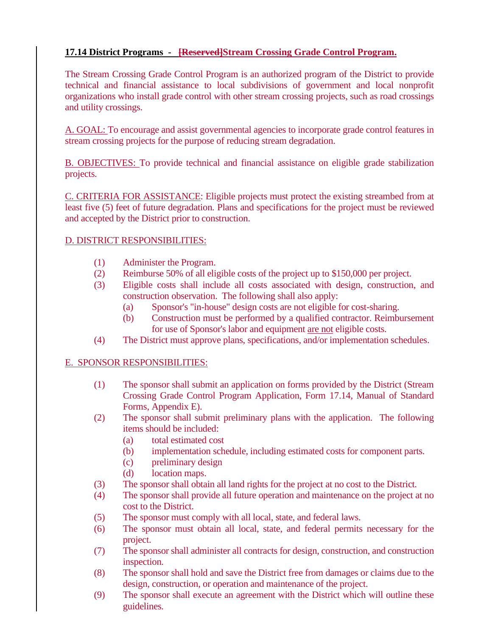## **17.14 District Programs - [Reserved]Stream Crossing Grade Control Program.**

The Stream Crossing Grade Control Program is an authorized program of the District to provide technical and financial assistance to local subdivisions of government and local nonprofit organizations who install grade control with other stream crossing projects, such as road crossings and utility crossings.

A. GOAL: To encourage and assist governmental agencies to incorporate grade control features in stream crossing projects for the purpose of reducing stream degradation.

B. OBJECTIVES: To provide technical and financial assistance on eligible grade stabilization projects.

C. CRITERIA FOR ASSISTANCE: Eligible projects must protect the existing streambed from at least five (5) feet of future degradation. Plans and specifications for the project must be reviewed and accepted by the District prior to construction.

### D. DISTRICT RESPONSIBILITIES:

- (1) Administer the Program.
- (2) Reimburse 50% of all eligible costs of the project up to \$150,000 per project.
- (3) Eligible costs shall include all costs associated with design, construction, and construction observation. The following shall also apply:
	- (a) Sponsor's "in-house" design costs are not eligible for cost-sharing.
	- (b) Construction must be performed by a qualified contractor. Reimbursement for use of Sponsor's labor and equipment are not eligible costs.
- (4) The District must approve plans, specifications, and/or implementation schedules.

## E. SPONSOR RESPONSIBILITIES:

- (1) The sponsor shall submit an application on forms provided by the District (Stream Crossing Grade Control Program Application, Form 17.14, Manual of Standard Forms, Appendix E).
- (2) The sponsor shall submit preliminary plans with the application. The following items should be included:
	- (a) total estimated cost
	- (b) implementation schedule, including estimated costs for component parts.
	- (c) preliminary design
	- (d) location maps.
- (3) The sponsor shall obtain all land rights for the project at no cost to the District.
- (4) The sponsor shall provide all future operation and maintenance on the project at no cost to the District.
- (5) The sponsor must comply with all local, state, and federal laws.
- (6) The sponsor must obtain all local, state, and federal permits necessary for the project.
- (7) The sponsor shall administer all contracts for design, construction, and construction inspection.
- (8) The sponsor shall hold and save the District free from damages or claims due to the design, construction, or operation and maintenance of the project.
- (9) The sponsor shall execute an agreement with the District which will outline these guidelines.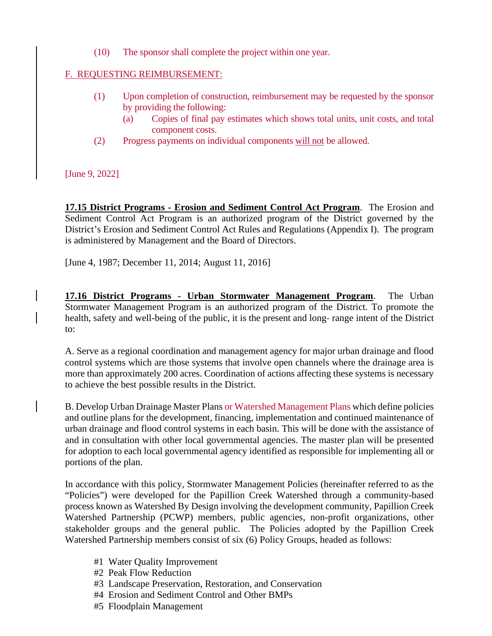(10) The sponsor shall complete the project within one year.

## F. REQUESTING REIMBURSEMENT:

- (1) Upon completion of construction, reimbursement may be requested by the sponsor by providing the following:
	- (a) Copies of final pay estimates which shows total units, unit costs, and total component costs.
- (2) Progress payments on individual components will not be allowed.

[June 9, 2022]

**17.15 District Programs - Erosion and Sediment Control Act Program**. The Erosion and Sediment Control Act Program is an authorized program of the District governed by the District's Erosion and Sediment Control Act Rules and Regulations (Appendix I). The program is administered by Management and the Board of Directors.

[June 4, 1987; December 11, 2014; August 11, 2016]

**17.16 District Programs - Urban Stormwater Management Program**. The Urban Stormwater Management Program is an authorized program of the District. To promote the health, safety and well-being of the public, it is the present and long- range intent of the District to:

A. Serve as a regional coordination and management agency for major urban drainage and flood control systems which are those systems that involve open channels where the drainage area is more than approximately 200 acres. Coordination of actions affecting these systems is necessary to achieve the best possible results in the District.

B. Develop Urban Drainage Master Plans or Watershed Management Plans which define policies and outline plans for the development, financing, implementation and continued maintenance of urban drainage and flood control systems in each basin. This will be done with the assistance of and in consultation with other local governmental agencies. The master plan will be presented for adoption to each local governmental agency identified as responsible for implementing all or portions of the plan.

In accordance with this policy, Stormwater Management Policies (hereinafter referred to as the "Policies") were developed for the Papillion Creek Watershed through a community-based process known as Watershed By Design involving the development community, Papillion Creek Watershed Partnership (PCWP) members, public agencies, non-profit organizations, other stakeholder groups and the general public. The Policies adopted by the Papillion Creek Watershed Partnership members consist of six (6) Policy Groups, headed as follows:

- #1 Water Quality Improvement
- #2 Peak Flow Reduction
- #3 Landscape Preservation, Restoration, and Conservation
- #4 Erosion and Sediment Control and Other BMPs
- #5 Floodplain Management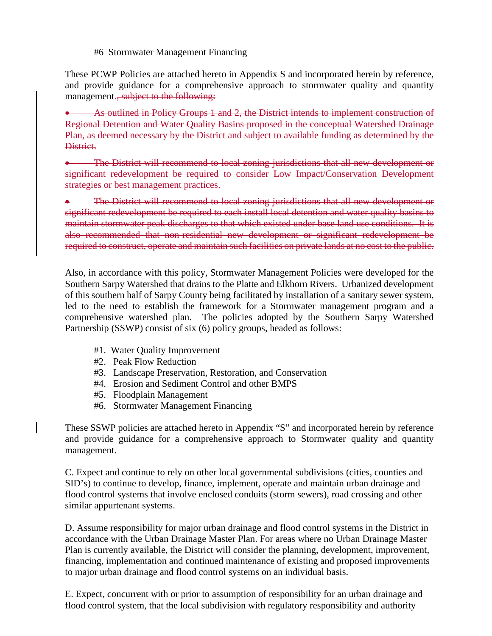#6 Stormwater Management Financing

These PCWP Policies are attached hereto in Appendix S and incorporated herein by reference, and provide guidance for a comprehensive approach to stormwater quality and quantity management., subject to the following:

• As outlined in Policy Groups 1 and 2, the District intends to implement construction of Regional Detention and Water Quality Basins proposed in the conceptual Watershed Drainage Plan, as deemed necessary by the District and subject to available funding as determined by the District.

• The District will recommend to local zoning jurisdictions that all new development or significant redevelopment be required to consider Low Impact/Conservation Development strategies or best management practices.

The District will recommend to local zoning jurisdictions that all new development or significant redevelopment be required to each install local detention and water quality basins to maintain stormwater peak discharges to that which existed under base land use conditions. It is also recommended that non-residential new development or significant redevelopment be required to construct, operate and maintain such facilities on private lands at no cost to the public.

Also, in accordance with this policy, Stormwater Management Policies were developed for the Southern Sarpy Watershed that drains to the Platte and Elkhorn Rivers. Urbanized development of this southern half of Sarpy County being facilitated by installation of a sanitary sewer system, led to the need to establish the framework for a Stormwater management program and a comprehensive watershed plan. The policies adopted by the Southern Sarpy Watershed Partnership (SSWP) consist of six (6) policy groups, headed as follows:

- #1. Water Quality Improvement
- #2. Peak Flow Reduction
- #3. Landscape Preservation, Restoration, and Conservation
- #4. Erosion and Sediment Control and other BMPS
- #5. Floodplain Management
- #6. Stormwater Management Financing

These SSWP policies are attached hereto in Appendix "S" and incorporated herein by reference and provide guidance for a comprehensive approach to Stormwater quality and quantity management.

C. Expect and continue to rely on other local governmental subdivisions (cities, counties and SID's) to continue to develop, finance, implement, operate and maintain urban drainage and flood control systems that involve enclosed conduits (storm sewers), road crossing and other similar appurtenant systems.

D. Assume responsibility for major urban drainage and flood control systems in the District in accordance with the Urban Drainage Master Plan. For areas where no Urban Drainage Master Plan is currently available, the District will consider the planning, development, improvement, financing, implementation and continued maintenance of existing and proposed improvements to major urban drainage and flood control systems on an individual basis.

E. Expect, concurrent with or prior to assumption of responsibility for an urban drainage and flood control system, that the local subdivision with regulatory responsibility and authority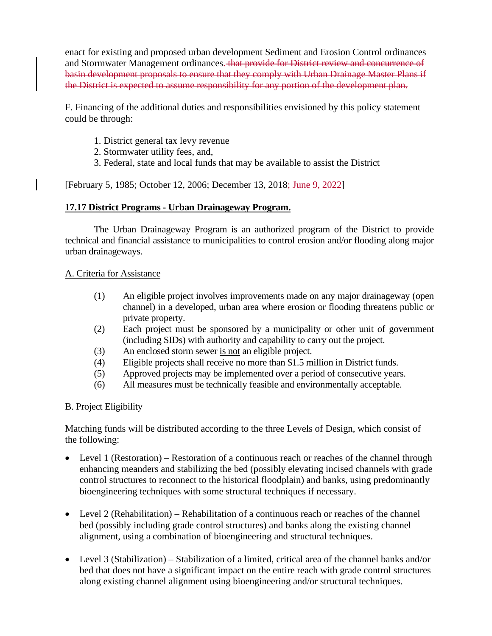enact for existing and proposed urban development Sediment and Erosion Control ordinances and Stormwater Management ordinances. that provide for District review and concurrence of basin development proposals to ensure that they comply with Urban Drainage Master Plans if the District is expected to assume responsibility for any portion of the development plan.

F. Financing of the additional duties and responsibilities envisioned by this policy statement could be through:

- 1. District general tax levy revenue
- 2. Stormwater utility fees, and,
- 3. Federal, state and local funds that may be available to assist the District

[February 5, 1985; October 12, 2006; December 13, 2018; June 9, 2022]

## **17.17 District Programs - Urban Drainageway Program.**

The Urban Drainageway Program is an authorized program of the District to provide technical and financial assistance to municipalities to control erosion and/or flooding along major urban drainageways.

## A. Criteria for Assistance

- (1) An eligible project involves improvements made on any major drainageway (open channel) in a developed, urban area where erosion or flooding threatens public or private property.
- (2) Each project must be sponsored by a municipality or other unit of government (including SIDs) with authority and capability to carry out the project.
- (3) An enclosed storm sewer is not an eligible project.
- (4) Eligible projects shall receive no more than \$1.5 million in District funds.
- (5) Approved projects may be implemented over a period of consecutive years.
- (6) All measures must be technically feasible and environmentally acceptable.

## B. Project Eligibility

Matching funds will be distributed according to the three Levels of Design, which consist of the following:

- Level 1 (Restoration) Restoration of a continuous reach or reaches of the channel through enhancing meanders and stabilizing the bed (possibly elevating incised channels with grade control structures to reconnect to the historical floodplain) and banks, using predominantly bioengineering techniques with some structural techniques if necessary.
- Level 2 (Rehabilitation) Rehabilitation of a continuous reach or reaches of the channel bed (possibly including grade control structures) and banks along the existing channel alignment, using a combination of bioengineering and structural techniques.
- Level 3 (Stabilization) Stabilization of a limited, critical area of the channel banks and/or bed that does not have a significant impact on the entire reach with grade control structures along existing channel alignment using bioengineering and/or structural techniques.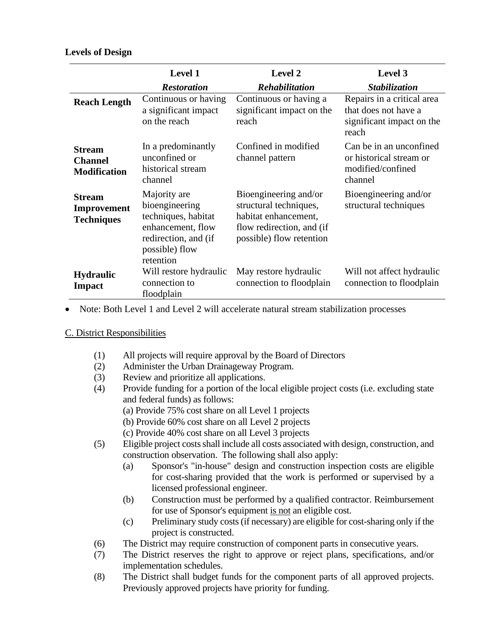### **Levels of Design**

|                                                        | <b>Level 1</b>                                                                                                                    | Level 2                                                                                                                          | Level 3                                                                                  |
|--------------------------------------------------------|-----------------------------------------------------------------------------------------------------------------------------------|----------------------------------------------------------------------------------------------------------------------------------|------------------------------------------------------------------------------------------|
|                                                        | <b>Restoration</b>                                                                                                                | <b>Rehabilitation</b>                                                                                                            | Stabilization                                                                            |
| <b>Reach Length</b>                                    | Continuous or having<br>a significant impact<br>on the reach                                                                      | Continuous or having a<br>significant impact on the<br>reach                                                                     | Repairs in a critical area<br>that does not have a<br>significant impact on the<br>reach |
| <b>Stream</b><br><b>Channel</b><br><b>Modification</b> | In a predominantly<br>unconfined or<br>historical stream<br>channel                                                               | Confined in modified<br>channel pattern                                                                                          | Can be in an unconfined<br>or historical stream or<br>modified/confined<br>channel       |
| <b>Stream</b><br>Improvement<br><b>Techniques</b>      | Majority are<br>bioengineering<br>techniques, habitat<br>enhancement, flow<br>redirection, and (if<br>possible) flow<br>retention | Bioengineering and/or<br>structural techniques,<br>habitat enhancement,<br>flow redirection, and (if<br>possible) flow retention | Bioengineering and/or<br>structural techniques                                           |
| <b>Hydraulic</b><br><b>Impact</b>                      | Will restore hydraulic<br>connection to<br>floodplain                                                                             | May restore hydraulic<br>connection to floodplain                                                                                | Will not affect hydraulic<br>connection to floodplain                                    |

• Note: Both Level 1 and Level 2 will accelerate natural stream stabilization processes

## C. District Responsibilities

- (1) All projects will require approval by the Board of Directors
- (2) Administer the Urban Drainageway Program.
- (3) Review and prioritize all applications.
- (4) Provide funding for a portion of the local eligible project costs (i.e. excluding state and federal funds) as follows:
	- (a) Provide 75% cost share on all Level 1 projects
	- (b) Provide 60% cost share on all Level 2 projects
	- (c) Provide 40% cost share on all Level 3 projects
- (5) Eligible project costs shall include all costs associated with design, construction, and construction observation. The following shall also apply:
	- (a) Sponsor's "in-house" design and construction inspection costs are eligible for cost-sharing provided that the work is performed or supervised by a licensed professional engineer.
	- (b) Construction must be performed by a qualified contractor. Reimbursement for use of Sponsor's equipment is not an eligible cost.
	- (c) Preliminary study costs (if necessary) are eligible for cost-sharing only if the project is constructed.
- (6) The District may require construction of component parts in consecutive years.
- (7) The District reserves the right to approve or reject plans, specifications, and/or implementation schedules.
- (8) The District shall budget funds for the component parts of all approved projects. Previously approved projects have priority for funding.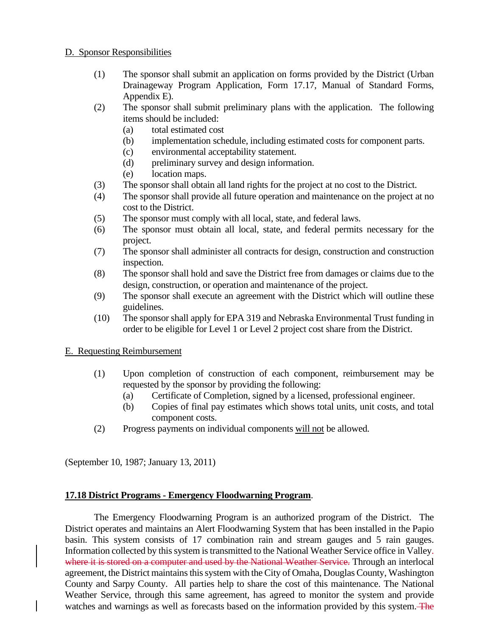### D. Sponsor Responsibilities

- (1) The sponsor shall submit an application on forms provided by the District (Urban Drainageway Program Application, Form 17.17, Manual of Standard Forms, Appendix E).
- (2) The sponsor shall submit preliminary plans with the application. The following items should be included:
	- (a) total estimated cost
	- (b) implementation schedule, including estimated costs for component parts.
	- (c) environmental acceptability statement.
	- (d) preliminary survey and design information.
	- (e) location maps.
- (3) The sponsor shall obtain all land rights for the project at no cost to the District.
- (4) The sponsor shall provide all future operation and maintenance on the project at no cost to the District.
- (5) The sponsor must comply with all local, state, and federal laws.
- (6) The sponsor must obtain all local, state, and federal permits necessary for the project.
- (7) The sponsor shall administer all contracts for design, construction and construction inspection.
- (8) The sponsor shall hold and save the District free from damages or claims due to the design, construction, or operation and maintenance of the project.
- (9) The sponsor shall execute an agreement with the District which will outline these guidelines.
- (10) The sponsor shall apply for EPA 319 and Nebraska Environmental Trust funding in order to be eligible for Level 1 or Level 2 project cost share from the District.

## E. Requesting Reimbursement

- (1) Upon completion of construction of each component, reimbursement may be requested by the sponsor by providing the following:
	- (a) Certificate of Completion, signed by a licensed, professional engineer.
	- (b) Copies of final pay estimates which shows total units, unit costs, and total component costs.
- (2) Progress payments on individual components will not be allowed.

(September 10, 1987; January 13, 2011)

## **17.18 District Programs - Emergency Floodwarning Program**.

The Emergency Floodwarning Program is an authorized program of the District. The District operates and maintains an Alert Floodwarning System that has been installed in the Papio basin. This system consists of 17 combination rain and stream gauges and 5 rain gauges. Information collected by this system is transmitted to the National Weather Service office in Valley. where it is stored on a computer and used by the National Weather Service. Through an interlocal agreement, the District maintains this system with the City of Omaha, Douglas County, Washington County and Sarpy County. All parties help to share the cost of this maintenance. The National Weather Service, through this same agreement, has agreed to monitor the system and provide watches and warnings as well as forecasts based on the information provided by this system. The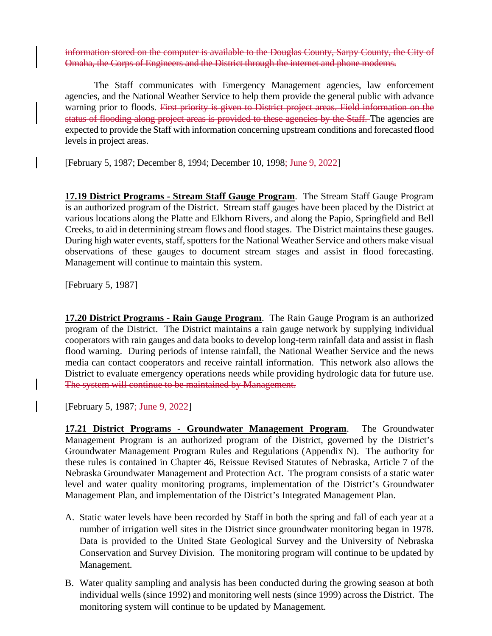information stored on the computer is available to the Douglas County, Sarpy County, the City of Omaha, the Corps of Engineers and the District through the internet and phone modems.

The Staff communicates with Emergency Management agencies, law enforcement agencies, and the National Weather Service to help them provide the general public with advance warning prior to floods. First priority is given to District project areas. Field information on the status of flooding along project areas is provided to these agencies by the Staff. The agencies are expected to provide the Staff with information concerning upstream conditions and forecasted flood levels in project areas.

[February 5, 1987; December 8, 1994; December 10, 1998; June 9, 2022]

**17.19 District Programs - Stream Staff Gauge Program**. The Stream Staff Gauge Program is an authorized program of the District. Stream staff gauges have been placed by the District at various locations along the Platte and Elkhorn Rivers, and along the Papio, Springfield and Bell Creeks, to aid in determining stream flows and flood stages. The District maintains these gauges. During high water events, staff, spotters for the National Weather Service and others make visual observations of these gauges to document stream stages and assist in flood forecasting. Management will continue to maintain this system.

[February 5, 1987]

**17.20 District Programs - Rain Gauge Program**. The Rain Gauge Program is an authorized program of the District. The District maintains a rain gauge network by supplying individual cooperators with rain gauges and data books to develop long-term rainfall data and assist in flash flood warning. During periods of intense rainfall, the National Weather Service and the news media can contact cooperators and receive rainfall information. This network also allows the District to evaluate emergency operations needs while providing hydrologic data for future use. The system will continue to be maintained by Management.

[February 5, 1987; June 9, 2022]

**17.21 District Programs - Groundwater Management Program**. The Groundwater Management Program is an authorized program of the District, governed by the District's Groundwater Management Program Rules and Regulations (Appendix N). The authority for these rules is contained in Chapter 46, Reissue Revised Statutes of Nebraska, Article 7 of the Nebraska Groundwater Management and Protection Act. The program consists of a static water level and water quality monitoring programs, implementation of the District's Groundwater Management Plan, and implementation of the District's Integrated Management Plan.

- A. Static water levels have been recorded by Staff in both the spring and fall of each year at a number of irrigation well sites in the District since groundwater monitoring began in 1978. Data is provided to the United State Geological Survey and the University of Nebraska Conservation and Survey Division. The monitoring program will continue to be updated by Management.
- B. Water quality sampling and analysis has been conducted during the growing season at both individual wells (since 1992) and monitoring well nests (since 1999) across the District. The monitoring system will continue to be updated by Management.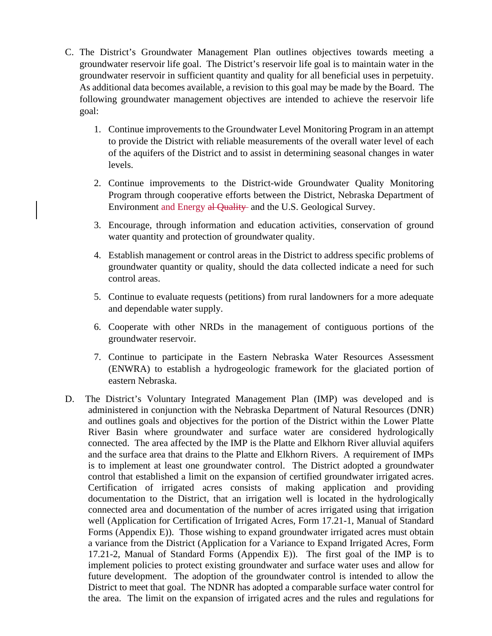- C. The District's Groundwater Management Plan outlines objectives towards meeting a groundwater reservoir life goal. The District's reservoir life goal is to maintain water in the groundwater reservoir in sufficient quantity and quality for all beneficial uses in perpetuity. As additional data becomes available, a revision to this goal may be made by the Board. The following groundwater management objectives are intended to achieve the reservoir life goal:
	- 1. Continue improvements to the Groundwater Level Monitoring Program in an attempt to provide the District with reliable measurements of the overall water level of each of the aquifers of the District and to assist in determining seasonal changes in water levels.
	- 2. Continue improvements to the District-wide Groundwater Quality Monitoring Program through cooperative efforts between the District, Nebraska Department of Environment and Energy al Quality and the U.S. Geological Survey.
	- 3. Encourage, through information and education activities, conservation of ground water quantity and protection of groundwater quality.
	- 4. Establish management or control areas in the District to address specific problems of groundwater quantity or quality, should the data collected indicate a need for such control areas.
	- 5. Continue to evaluate requests (petitions) from rural landowners for a more adequate and dependable water supply.
	- 6. Cooperate with other NRDs in the management of contiguous portions of the groundwater reservoir.
	- 7. Continue to participate in the Eastern Nebraska Water Resources Assessment (ENWRA) to establish a hydrogeologic framework for the glaciated portion of eastern Nebraska.
- D. The District's Voluntary Integrated Management Plan (IMP) was developed and is administered in conjunction with the Nebraska Department of Natural Resources (DNR) and outlines goals and objectives for the portion of the District within the Lower Platte River Basin where groundwater and surface water are considered hydrologically connected. The area affected by the IMP is the Platte and Elkhorn River alluvial aquifers and the surface area that drains to the Platte and Elkhorn Rivers. A requirement of IMPs is to implement at least one groundwater control. The District adopted a groundwater control that established a limit on the expansion of certified groundwater irrigated acres. Certification of irrigated acres consists of making application and providing documentation to the District, that an irrigation well is located in the hydrologically connected area and documentation of the number of acres irrigated using that irrigation well (Application for Certification of Irrigated Acres, Form 17.21-1, Manual of Standard Forms (Appendix E)). Those wishing to expand groundwater irrigated acres must obtain a variance from the District (Application for a Variance to Expand Irrigated Acres, Form 17.21-2, Manual of Standard Forms (Appendix E)). The first goal of the IMP is to implement policies to protect existing groundwater and surface water uses and allow for future development. The adoption of the groundwater control is intended to allow the District to meet that goal. The NDNR has adopted a comparable surface water control for the area. The limit on the expansion of irrigated acres and the rules and regulations for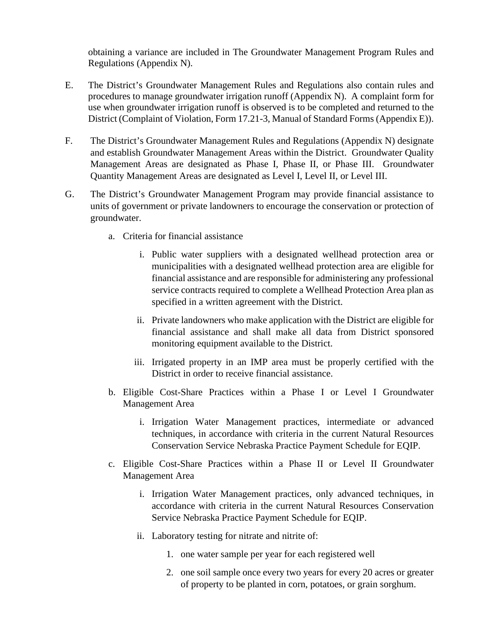obtaining a variance are included in The Groundwater Management Program Rules and Regulations (Appendix N).

- E. The District's Groundwater Management Rules and Regulations also contain rules and procedures to manage groundwater irrigation runoff (Appendix N). A complaint form for use when groundwater irrigation runoff is observed is to be completed and returned to the District (Complaint of Violation, Form 17.21-3, Manual of Standard Forms (Appendix E)).
- F. The District's Groundwater Management Rules and Regulations (Appendix N) designate and establish Groundwater Management Areas within the District. Groundwater Quality Management Areas are designated as Phase I, Phase II, or Phase III. Groundwater Quantity Management Areas are designated as Level I, Level II, or Level III.
- G. The District's Groundwater Management Program may provide financial assistance to units of government or private landowners to encourage the conservation or protection of groundwater.
	- a. Criteria for financial assistance
		- i. Public water suppliers with a designated wellhead protection area or municipalities with a designated wellhead protection area are eligible for financial assistance and are responsible for administering any professional service contracts required to complete a Wellhead Protection Area plan as specified in a written agreement with the District.
		- ii. Private landowners who make application with the District are eligible for financial assistance and shall make all data from District sponsored monitoring equipment available to the District.
		- iii. Irrigated property in an IMP area must be properly certified with the District in order to receive financial assistance.
	- b. Eligible Cost-Share Practices within a Phase I or Level I Groundwater Management Area
		- i. Irrigation Water Management practices, intermediate or advanced techniques, in accordance with criteria in the current Natural Resources Conservation Service Nebraska Practice Payment Schedule for EQIP.
	- c. Eligible Cost-Share Practices within a Phase II or Level II Groundwater Management Area
		- i. Irrigation Water Management practices, only advanced techniques, in accordance with criteria in the current Natural Resources Conservation Service Nebraska Practice Payment Schedule for EQIP.
		- ii. Laboratory testing for nitrate and nitrite of:
			- 1. one water sample per year for each registered well
			- 2. one soil sample once every two years for every 20 acres or greater of property to be planted in corn, potatoes, or grain sorghum.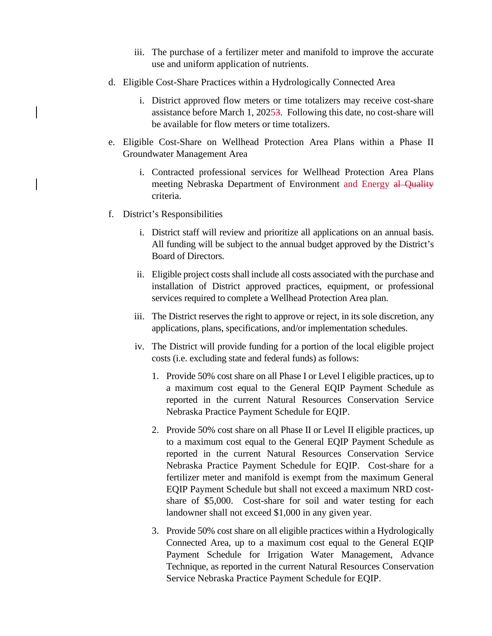- iii. The purchase of a fertilizer meter and manifold to improve the accurate use and uniform application of nutrients.
- d. Eligible Cost-Share Practices within a Hydrologically Connected Area
	- i. District approved flow meters or time totalizers may receive cost-share assistance before March 1, 20253. Following this date, no cost-share will be available for flow meters or time totalizers.
- e. Eligible Cost-Share on Wellhead Protection Area Plans within a Phase II Groundwater Management Area
	- i. Contracted professional services for Wellhead Protection Area Plans meeting Nebraska Department of Environment and Energy al Quality criteria.
- f. District's Responsibilities
	- i. District staff will review and prioritize all applications on an annual basis. All funding will be subject to the annual budget approved by the District's Board of Directors.
	- ii. Eligible project costs shall include all costs associated with the purchase and installation of District approved practices, equipment, or professional services required to complete a Wellhead Protection Area plan.
	- iii. The District reserves the right to approve or reject, in its sole discretion, any applications, plans, specifications, and/or implementation schedules.
	- iv. The District will provide funding for a portion of the local eligible project costs (i.e. excluding state and federal funds) as follows:
		- 1. Provide 50% cost share on all Phase I or Level I eligible practices, up to a maximum cost equal to the General EQIP Payment Schedule as reported in the current Natural Resources Conservation Service Nebraska Practice Payment Schedule for EQIP.
		- 2. Provide 50% cost share on all Phase II or Level II eligible practices, up to a maximum cost equal to the General EQIP Payment Schedule as reported in the current Natural Resources Conservation Service Nebraska Practice Payment Schedule for EQIP. Cost-share for a fertilizer meter and manifold is exempt from the maximum General EQIP Payment Schedule but shall not exceed a maximum NRD costshare of \$5,000. Cost-share for soil and water testing for each landowner shall not exceed \$1,000 in any given year.
		- 3. Provide 50% cost share on all eligible practices within a Hydrologically Connected Area, up to a maximum cost equal to the General EQIP Payment Schedule for Irrigation Water Management, Advance Technique, as reported in the current Natural Resources Conservation Service Nebraska Practice Payment Schedule for EQIP.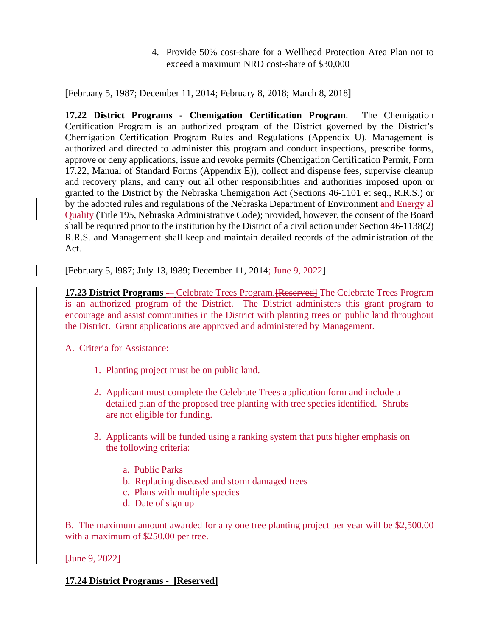4. Provide 50% cost-share for a Wellhead Protection Area Plan not to exceed a maximum NRD cost-share of \$30,000

[February 5, 1987; December 11, 2014; February 8, 2018; March 8, 2018]

**17.22 District Programs - Chemigation Certification Program**. The Chemigation Certification Program is an authorized program of the District governed by the District's Chemigation Certification Program Rules and Regulations (Appendix U). Management is authorized and directed to administer this program and conduct inspections, prescribe forms, approve or deny applications, issue and revoke permits (Chemigation Certification Permit, Form 17.22, Manual of Standard Forms (Appendix E)), collect and dispense fees, supervise cleanup and recovery plans, and carry out all other responsibilities and authorities imposed upon or granted to the District by the Nebraska Chemigation Act (Sections 46-1101 et seq., R.R.S.) or by the adopted rules and regulations of the Nebraska Department of Environment and Energy all Quality (Title 195, Nebraska Administrative Code); provided, however, the consent of the Board shall be required prior to the institution by the District of a civil action under Section 46-1138(2) R.R.S. and Management shall keep and maintain detailed records of the administration of the Act.

[February 5, l987; July 13, l989; December 11, 2014; June 9, 2022]

**17.23 District Programs** - Celebrate Trees Program. [Reserved] The Celebrate Trees Program is an authorized program of the District. The District administers this grant program to encourage and assist communities in the District with planting trees on public land throughout the District. Grant applications are approved and administered by Management.

A. Criteria for Assistance:

- 1. Planting project must be on public land.
- 2. Applicant must complete the Celebrate Trees application form and include a detailed plan of the proposed tree planting with tree species identified. Shrubs are not eligible for funding.
- 3. Applicants will be funded using a ranking system that puts higher emphasis on the following criteria:
	- a. Public Parks
	- b. Replacing diseased and storm damaged trees
	- c. Plans with multiple species
	- d. Date of sign up

B. The maximum amount awarded for any one tree planting project per year will be \$2,500.00 with a maximum of \$250.00 per tree.

[June 9, 2022]

## **17.24 District Programs - [Reserved]**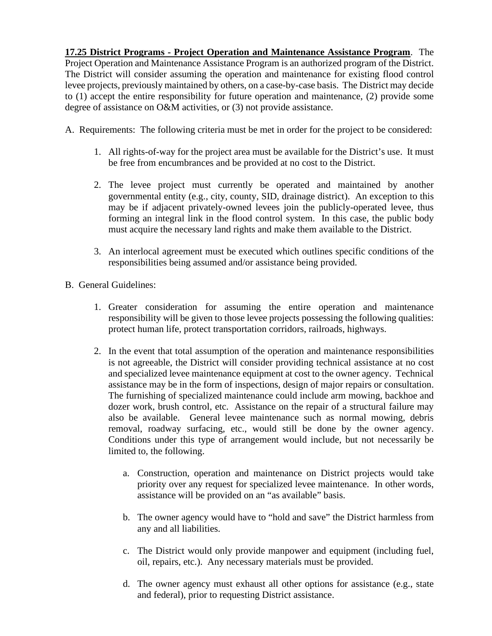**17.25 District Programs - Project Operation and Maintenance Assistance Program**. The Project Operation and Maintenance Assistance Program is an authorized program of the District. The District will consider assuming the operation and maintenance for existing flood control levee projects, previously maintained by others, on a case-by-case basis. The District may decide to (1) accept the entire responsibility for future operation and maintenance, (2) provide some degree of assistance on O&M activities, or (3) not provide assistance.

A. Requirements: The following criteria must be met in order for the project to be considered:

- 1. All rights-of-way for the project area must be available for the District's use. It must be free from encumbrances and be provided at no cost to the District.
- 2. The levee project must currently be operated and maintained by another governmental entity (e.g., city, county, SID, drainage district). An exception to this may be if adjacent privately-owned levees join the publicly-operated levee, thus forming an integral link in the flood control system. In this case, the public body must acquire the necessary land rights and make them available to the District.
- 3. An interlocal agreement must be executed which outlines specific conditions of the responsibilities being assumed and/or assistance being provided.
- B. General Guidelines:
	- 1. Greater consideration for assuming the entire operation and maintenance responsibility will be given to those levee projects possessing the following qualities: protect human life, protect transportation corridors, railroads, highways.
	- 2. In the event that total assumption of the operation and maintenance responsibilities is not agreeable, the District will consider providing technical assistance at no cost and specialized levee maintenance equipment at cost to the owner agency. Technical assistance may be in the form of inspections, design of major repairs or consultation. The furnishing of specialized maintenance could include arm mowing, backhoe and dozer work, brush control, etc. Assistance on the repair of a structural failure may also be available. General levee maintenance such as normal mowing, debris removal, roadway surfacing, etc., would still be done by the owner agency. Conditions under this type of arrangement would include, but not necessarily be limited to, the following.
		- a. Construction, operation and maintenance on District projects would take priority over any request for specialized levee maintenance. In other words, assistance will be provided on an "as available" basis.
		- b. The owner agency would have to "hold and save" the District harmless from any and all liabilities.
		- c. The District would only provide manpower and equipment (including fuel, oil, repairs, etc.). Any necessary materials must be provided.
		- d. The owner agency must exhaust all other options for assistance (e.g., state and federal), prior to requesting District assistance.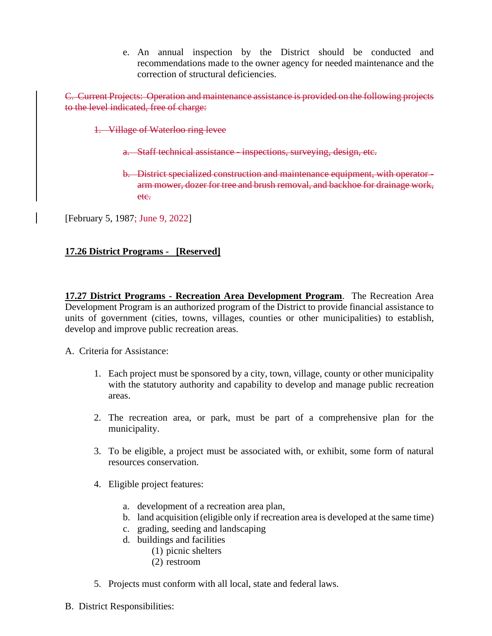e. An annual inspection by the District should be conducted and recommendations made to the owner agency for needed maintenance and the correction of structural deficiencies.

C. Current Projects: Operation and maintenance assistance is provided on the following projects to the level indicated, free of charge:

1. Village of Waterloo ring levee

- a. Staff technical assistance inspections, surveying, design, etc.
- b. District specialized construction and maintenance equipment, with operator arm mower, dozer for tree and brush removal, and backhoe for drainage work, etc.

[February 5, 1987; June 9, 2022]

## **17.26 District Programs - [Reserved]**

**17.27 District Programs - Recreation Area Development Program**. The Recreation Area Development Program is an authorized program of the District to provide financial assistance to units of government (cities, towns, villages, counties or other municipalities) to establish, develop and improve public recreation areas.

A. Criteria for Assistance:

- 1. Each project must be sponsored by a city, town, village, county or other municipality with the statutory authority and capability to develop and manage public recreation areas.
- 2. The recreation area, or park, must be part of a comprehensive plan for the municipality.
- 3. To be eligible, a project must be associated with, or exhibit, some form of natural resources conservation.
- 4. Eligible project features:
	- a. development of a recreation area plan,
	- b. land acquisition (eligible only if recreation area is developed at the same time)
	- c. grading, seeding and landscaping
	- d. buildings and facilities
		- (1) picnic shelters
		- (2) restroom
- 5. Projects must conform with all local, state and federal laws.
- B. District Responsibilities: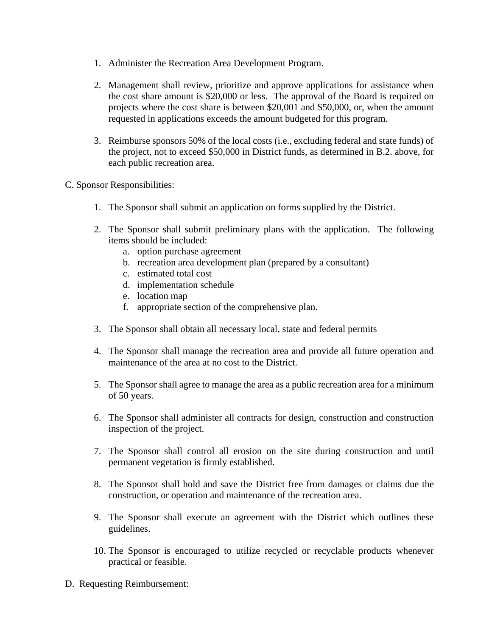- 1. Administer the Recreation Area Development Program.
- 2. Management shall review, prioritize and approve applications for assistance when the cost share amount is \$20,000 or less. The approval of the Board is required on projects where the cost share is between \$20,001 and \$50,000, or, when the amount requested in applications exceeds the amount budgeted for this program.
- 3. Reimburse sponsors 50% of the local costs (i.e., excluding federal and state funds) of the project, not to exceed \$50,000 in District funds, as determined in B.2. above, for each public recreation area.
- C. Sponsor Responsibilities:
	- 1. The Sponsor shall submit an application on forms supplied by the District.
	- 2. The Sponsor shall submit preliminary plans with the application. The following items should be included:
		- a. option purchase agreement
		- b. recreation area development plan (prepared by a consultant)
		- c. estimated total cost
		- d. implementation schedule
		- e. location map
		- f. appropriate section of the comprehensive plan.
	- 3. The Sponsor shall obtain all necessary local, state and federal permits
	- 4. The Sponsor shall manage the recreation area and provide all future operation and maintenance of the area at no cost to the District.
	- 5. The Sponsor shall agree to manage the area as a public recreation area for a minimum of 50 years.
	- 6. The Sponsor shall administer all contracts for design, construction and construction inspection of the project.
	- 7. The Sponsor shall control all erosion on the site during construction and until permanent vegetation is firmly established.
	- 8. The Sponsor shall hold and save the District free from damages or claims due the construction, or operation and maintenance of the recreation area.
	- 9. The Sponsor shall execute an agreement with the District which outlines these guidelines.
	- 10. The Sponsor is encouraged to utilize recycled or recyclable products whenever practical or feasible.
- D. Requesting Reimbursement: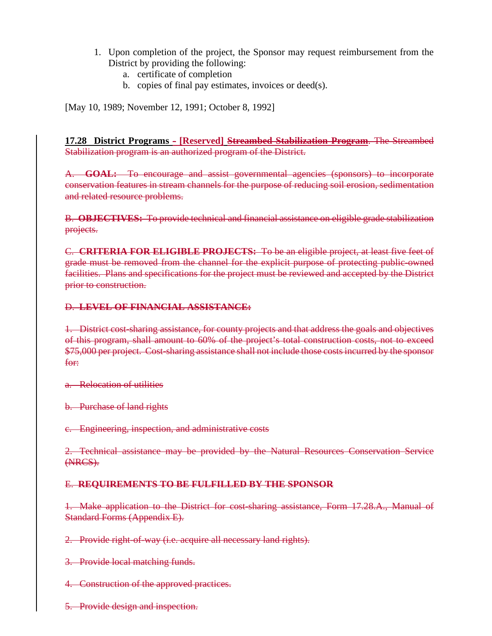- 1. Upon completion of the project, the Sponsor may request reimbursement from the District by providing the following:
	- a. certificate of completion
	- b. copies of final pay estimates, invoices or deed(s).

[May 10, 1989; November 12, 1991; October 8, 1992]

**17.28 District Programs - [Reserved] Streambed Stabilization Program**. The Streambed Stabilization program is an authorized program of the District.

A. **GOAL:** To encourage and assist governmental agencies (sponsors) to incorporate conservation features in stream channels for the purpose of reducing soil erosion, sedimentation and related resource problems.

B. **OBJECTIVES:** To provide technical and financial assistance on eligible grade stabilization projects.

C. **CRITERIA FOR ELIGIBLE PROJECTS:** To be an eligible project, at least five feet of grade must be removed from the channel for the explicit purpose of protecting public-owned facilities. Plans and specifications for the project must be reviewed and accepted by the District prior to construction.

### D. **LEVEL OF FINANCIAL ASSISTANCE:**

1. District cost-sharing assistance, for county projects and that address the goals and objectives of this program, shall amount to 60% of the project's total construction costs, not to exceed \$75,000 per project. Cost-sharing assistance shall not include those costs incurred by the sponsor for:

a. Relocation of utilities

b. Purchase of land rights

c. Engineering, inspection, and administrative costs

2. Technical assistance may be provided by the Natural Resources Conservation Service (NRCS).

## E. **REQUIREMENTS TO BE FULFILLED BY THE SPONSOR**

1. Make application to the District for cost-sharing assistance, Form 17.28.A., Manual of Standard Forms (Appendix E).

2. Provide right-of-way (i.e. acquire all necessary land rights).

3. Provide local matching funds.

4. Construction of the approved practices.

5. Provide design and inspection.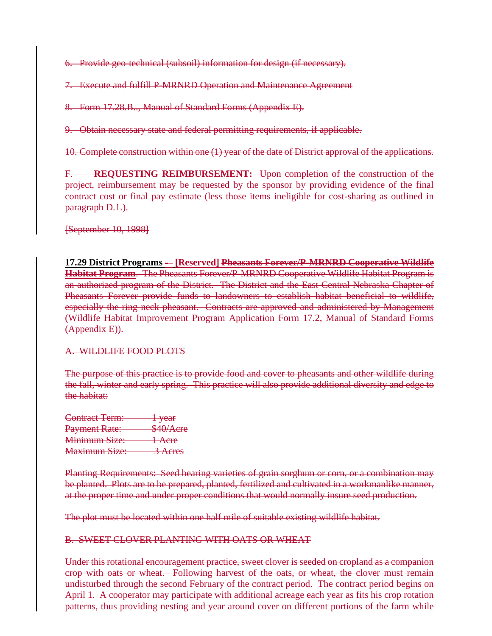6. Provide geo-technical (subsoil) information for design (if necessary).

7. Execute and fulfill P-MRNRD Operation and Maintenance Agreement

8. Form 17.28.B.., Manual of Standard Forms (Appendix E).

9. Obtain necessary state and federal permitting requirements, if applicable.

10. Complete construction within one (1) year of the date of District approval of the applications.

F. **REQUESTING REIMBURSEMENT:** Upon completion of the construction of the project, reimbursement may be requested by the sponsor by providing evidence of the final contract cost or final pay estimate (less those items ineligible for cost-sharing as outlined in paragraph D.1.).

[September 10, 1998]

# **17.29 District Programs -– [Reserved] Pheasants Forever/P-MRNRD Cooperative Wildlife**

**Habitat Program**. The Pheasants Forever/P-MRNRD Cooperative Wildlife Habitat Program is an authorized program of the District. The District and the East Central Nebraska Chapter of Pheasants Forever provide funds to landowners to establish habitat beneficial to wildlife, especially the ring neck pheasant. Contracts are approved and administered by Management (Wildlife Habitat Improvement Program Application Form 17.2, Manual of Standard Forms (Appendix E)).

### A. WILDLIFE FOOD PLOTS

The purpose of this practice is to provide food and cover to pheasants and other wildlife during the fall, winter and early spring. This practice will also provide additional diversity and edge to the habitat:

Contract Term: 1 year Payment Rate: \$40/Acre Minimum Size: 1 Acre Maximum Size: 3 Acres

Planting Requirements: Seed bearing varieties of grain sorghum or corn, or a combination may be planted. Plots are to be prepared, planted, fertilized and cultivated in a workmanlike manner, at the proper time and under proper conditions that would normally insure seed production.

The plot must be located within one half mile of suitable existing wildlife habitat.

### B. SWEET CLOVER PLANTING WITH OATS OR WHEAT

Under this rotational encouragement practice, sweet clover is seeded on cropland as a companion crop with oats or wheat. Following harvest of the oats, or wheat, the clover must remain undisturbed through the second February of the contract period. The contract period begins on April 1. A cooperator may participate with additional acreage each year as fits his crop rotation patterns, thus providing nesting and year around cover on different portions of the farm while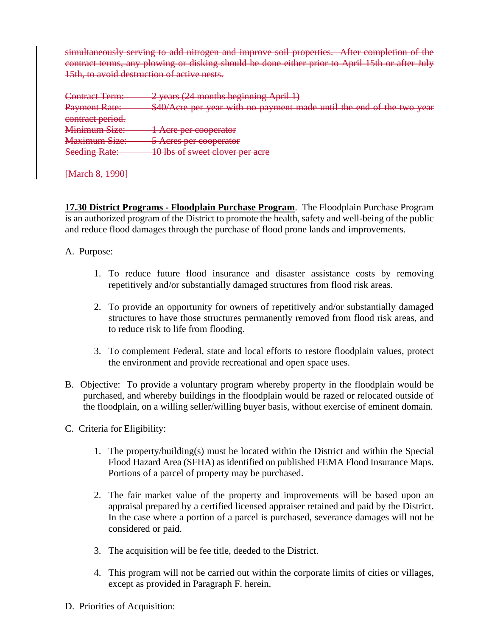simultaneously serving to add nitrogen and improve soil properties. After completion of the contract terms, any plowing or disking should be done either prior to April 15th or after July 15th, to avoid destruction of active nests.

| Contract Term:                        | 2 years (24 months beginning April 1)                                 |
|---------------------------------------|-----------------------------------------------------------------------|
| Dayment<br><del>FdVmom Kaw.</del>     | \$40/Acre per year with no payment made until the end of the two year |
| contract period.                      |                                                                       |
| Minimum Siza:<br><b>William BrzC.</b> | A era nor coongrator<br>$\blacksquare$ TVIV DUI COUPCIARUI            |
| <b>Maximum Size:</b>                  | $5. A area$ par cooperator<br><del>o noios por cooperator</del>       |
| <b>Seeding Rate:</b>                  | 10 lhe of ewgot cloyer per gera<br>10 105 01 SWCCI CIUVCI PCI ACIC    |

[March 8, 1990]

**17.30 District Programs - Floodplain Purchase Program**. The Floodplain Purchase Program is an authorized program of the District to promote the health, safety and well-being of the public and reduce flood damages through the purchase of flood prone lands and improvements.

A. Purpose:

- 1. To reduce future flood insurance and disaster assistance costs by removing repetitively and/or substantially damaged structures from flood risk areas.
- 2. To provide an opportunity for owners of repetitively and/or substantially damaged structures to have those structures permanently removed from flood risk areas, and to reduce risk to life from flooding.
- 3. To complement Federal, state and local efforts to restore floodplain values, protect the environment and provide recreational and open space uses.
- B. Objective: To provide a voluntary program whereby property in the floodplain would be purchased, and whereby buildings in the floodplain would be razed or relocated outside of the floodplain, on a willing seller/willing buyer basis, without exercise of eminent domain.
- C. Criteria for Eligibility:
	- 1. The property/building(s) must be located within the District and within the Special Flood Hazard Area (SFHA) as identified on published FEMA Flood Insurance Maps. Portions of a parcel of property may be purchased.
	- 2. The fair market value of the property and improvements will be based upon an appraisal prepared by a certified licensed appraiser retained and paid by the District. In the case where a portion of a parcel is purchased, severance damages will not be considered or paid.
	- 3. The acquisition will be fee title, deeded to the District.
	- 4. This program will not be carried out within the corporate limits of cities or villages, except as provided in Paragraph F. herein.
- D. Priorities of Acquisition: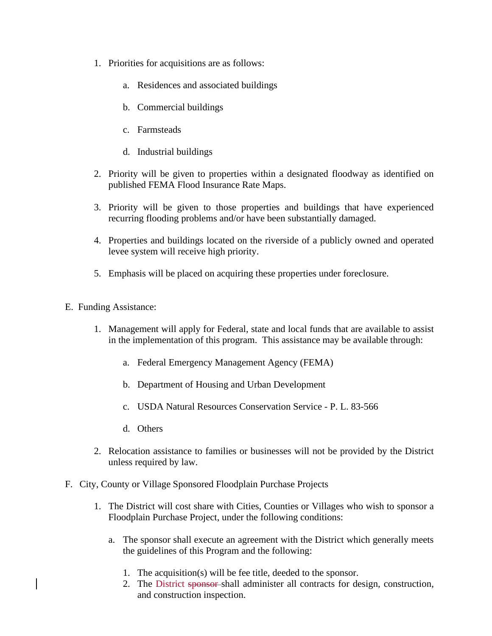- 1. Priorities for acquisitions are as follows:
	- a. Residences and associated buildings
	- b. Commercial buildings
	- c. Farmsteads
	- d. Industrial buildings
- 2. Priority will be given to properties within a designated floodway as identified on published FEMA Flood Insurance Rate Maps.
- 3. Priority will be given to those properties and buildings that have experienced recurring flooding problems and/or have been substantially damaged.
- 4. Properties and buildings located on the riverside of a publicly owned and operated levee system will receive high priority.
- 5. Emphasis will be placed on acquiring these properties under foreclosure.
- E. Funding Assistance:
	- 1. Management will apply for Federal, state and local funds that are available to assist in the implementation of this program. This assistance may be available through:
		- a. Federal Emergency Management Agency (FEMA)
		- b. Department of Housing and Urban Development
		- c. USDA Natural Resources Conservation Service P. L. 83-566
		- d. Others
	- 2. Relocation assistance to families or businesses will not be provided by the District unless required by law.
- F. City, County or Village Sponsored Floodplain Purchase Projects
	- 1. The District will cost share with Cities, Counties or Villages who wish to sponsor a Floodplain Purchase Project, under the following conditions:
		- a. The sponsor shall execute an agreement with the District which generally meets the guidelines of this Program and the following:
			- 1. The acquisition(s) will be fee title, deeded to the sponsor.
			- 2. The District sponsor shall administer all contracts for design, construction, and construction inspection.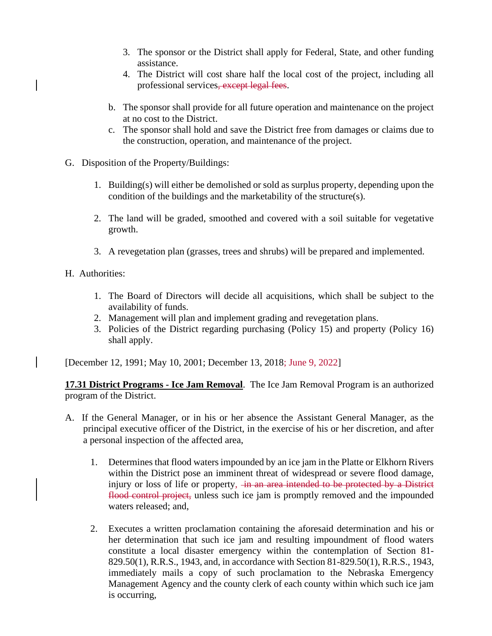- 3. The sponsor or the District shall apply for Federal, State, and other funding assistance.
- 4. The District will cost share half the local cost of the project, including all professional services, except legal fees.
- b. The sponsor shall provide for all future operation and maintenance on the project at no cost to the District.
- c. The sponsor shall hold and save the District free from damages or claims due to the construction, operation, and maintenance of the project.
- G. Disposition of the Property/Buildings:
	- 1. Building(s) will either be demolished or sold as surplus property, depending upon the condition of the buildings and the marketability of the structure(s).
	- 2. The land will be graded, smoothed and covered with a soil suitable for vegetative growth.
	- 3. A revegetation plan (grasses, trees and shrubs) will be prepared and implemented.
- H. Authorities:
	- 1. The Board of Directors will decide all acquisitions, which shall be subject to the availability of funds.
	- 2. Management will plan and implement grading and revegetation plans.
	- 3. Policies of the District regarding purchasing (Policy 15) and property (Policy 16) shall apply.

[December 12, 1991; May 10, 2001; December 13, 2018; June 9, 2022]

**17.31 District Programs - Ice Jam Removal**. The Ice Jam Removal Program is an authorized program of the District.

- A. If the General Manager, or in his or her absence the Assistant General Manager, as the principal executive officer of the District, in the exercise of his or her discretion, and after a personal inspection of the affected area,
	- 1. Determines that flood waters impounded by an ice jam in the Platte or Elkhorn Rivers within the District pose an imminent threat of widespread or severe flood damage, injury or loss of life or property, <del>in an area intended to be protected by a District</del> flood control project, unless such ice jam is promptly removed and the impounded waters released; and,
	- 2. Executes a written proclamation containing the aforesaid determination and his or her determination that such ice jam and resulting impoundment of flood waters constitute a local disaster emergency within the contemplation of Section 81- 829.50(1), R.R.S., 1943, and, in accordance with Section 81-829.50(1), R.R.S., 1943, immediately mails a copy of such proclamation to the Nebraska Emergency Management Agency and the county clerk of each county within which such ice jam is occurring,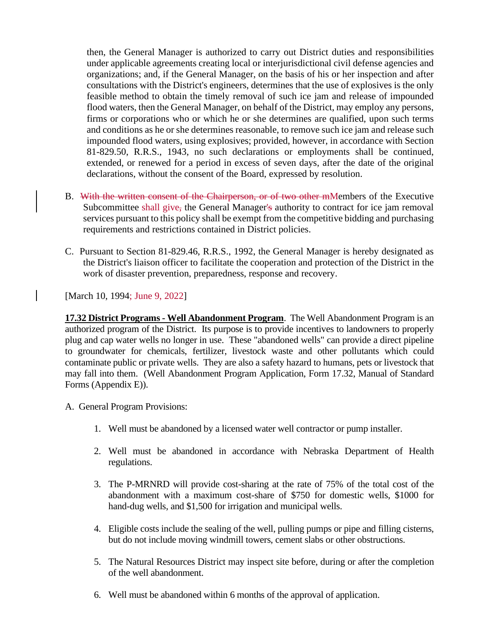then, the General Manager is authorized to carry out District duties and responsibilities under applicable agreements creating local or interjurisdictional civil defense agencies and organizations; and, if the General Manager, on the basis of his or her inspection and after consultations with the District's engineers, determines that the use of explosives is the only feasible method to obtain the timely removal of such ice jam and release of impounded flood waters, then the General Manager, on behalf of the District, may employ any persons, firms or corporations who or which he or she determines are qualified, upon such terms and conditions as he or she determines reasonable, to remove such ice jam and release such impounded flood waters, using explosives; provided, however, in accordance with Section 81-829.50, R.R.S., 1943, no such declarations or employments shall be continued, extended, or renewed for a period in excess of seven days, after the date of the original declarations, without the consent of the Board, expressed by resolution.

- B. With the written consent of the Chairperson, or of two other mMembers of the Executive Subcommittee shall give, the General Manager's authority to contract for ice jam removal services pursuant to this policy shall be exempt from the competitive bidding and purchasing requirements and restrictions contained in District policies.
- C. Pursuant to Section 81-829.46, R.R.S., 1992, the General Manager is hereby designated as the District's liaison officer to facilitate the cooperation and protection of the District in the work of disaster prevention, preparedness, response and recovery.

[March 10, 1994; June 9, 2022]

**17.32 District Programs - Well Abandonment Program**. The Well Abandonment Program is an authorized program of the District. Its purpose is to provide incentives to landowners to properly plug and cap water wells no longer in use. These "abandoned wells" can provide a direct pipeline to groundwater for chemicals, fertilizer, livestock waste and other pollutants which could contaminate public or private wells. They are also a safety hazard to humans, pets or livestock that may fall into them. (Well Abandonment Program Application, Form 17.32, Manual of Standard Forms (Appendix E)).

A. General Program Provisions:

- 1. Well must be abandoned by a licensed water well contractor or pump installer.
- 2. Well must be abandoned in accordance with Nebraska Department of Health regulations.
- 3. The P-MRNRD will provide cost-sharing at the rate of 75% of the total cost of the abandonment with a maximum cost-share of \$750 for domestic wells, \$1000 for hand-dug wells, and \$1,500 for irrigation and municipal wells.
- 4. Eligible costs include the sealing of the well, pulling pumps or pipe and filling cisterns, but do not include moving windmill towers, cement slabs or other obstructions.
- 5. The Natural Resources District may inspect site before, during or after the completion of the well abandonment.
- 6. Well must be abandoned within 6 months of the approval of application.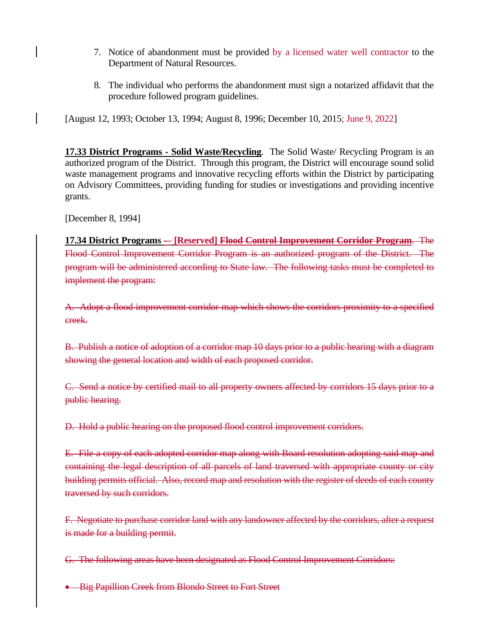- 7. Notice of abandonment must be provided by a licensed water well contractor to the Department of Natural Resources.
- 8. The individual who performs the abandonment must sign a notarized affidavit that the procedure followed program guidelines.

[August 12, 1993; October 13, 1994; August 8, 1996; December 10, 2015; June 9, 2022]

**17.33 District Programs - Solid Waste/Recycling**. The Solid Waste/ Recycling Program is an authorized program of the District. Through this program, the District will encourage sound solid waste management programs and innovative recycling efforts within the District by participating on Advisory Committees, providing funding for studies or investigations and providing incentive grants.

[December 8, 1994]

**17.34 District Programs -– [Reserved] Flood Control Improvement Corridor Program**. The Flood Control Improvement Corridor Program is an authorized program of the District. The program will be administered according to State law. The following tasks must be completed to implement the program:

A. Adopt a flood improvement corridor map which shows the corridors proximity to a specified creek.

B. Publish a notice of adoption of a corridor map 10 days prior to a public hearing with a diagram showing the general location and width of each proposed corridor.

C. Send a notice by certified mail to all property owners affected by corridors 15 days prior to a public hearing.

D. Hold a public hearing on the proposed flood control improvement corridors.

E. File a copy of each adopted corridor map along with Board resolution adopting said map and containing the legal description of all parcels of land traversed with appropriate county or city building permits official. Also, record map and resolution with the register of deeds of each county traversed by such corridors.

F. Negotiate to purchase corridor land with any landowner affected by the corridors, after a request is made for a building permit.

G. The following areas have been designated as Flood Control Improvement Corridors:

• Big Papillion Creek from Blondo Street to Fort Street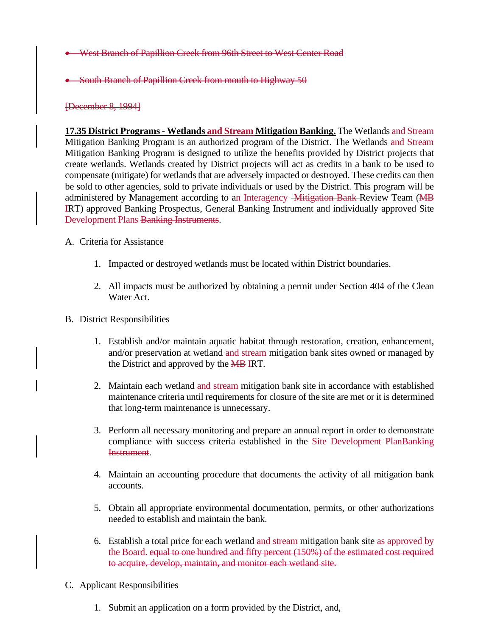- West Branch of Papillion Creek from 96th Street to West Center Road
- South Branch of Papillion Creek from mouth to Highway 50

#### [December 8, 1994]

**17.35 District Programs - Wetlands and Stream Mitigation Banking.** The Wetlands and Stream Mitigation Banking Program is an authorized program of the District. The Wetlands and Stream Mitigation Banking Program is designed to utilize the benefits provided by District projects that create wetlands. Wetlands created by District projects will act as credits in a bank to be used to compensate (mitigate) for wetlands that are adversely impacted or destroyed. These credits can then be sold to other agencies, sold to private individuals or used by the District. This program will be administered by Management according to an Interagency -Mitigation Bank Review Team (MB IRT) approved Banking Prospectus, General Banking Instrument and individually approved Site Development Plans Banking Instruments.

#### A. Criteria for Assistance

- 1. Impacted or destroyed wetlands must be located within District boundaries.
- 2. All impacts must be authorized by obtaining a permit under Section 404 of the Clean Water Act.
- B. District Responsibilities
	- 1. Establish and/or maintain aquatic habitat through restoration, creation, enhancement, and/or preservation at wetland and stream mitigation bank sites owned or managed by the District and approved by the MB IRT.
	- 2. Maintain each wetland and stream mitigation bank site in accordance with established maintenance criteria until requirements for closure of the site are met or it is determined that long-term maintenance is unnecessary.
	- 3. Perform all necessary monitoring and prepare an annual report in order to demonstrate compliance with success criteria established in the Site Development PlanBanking Instrument.
	- 4. Maintain an accounting procedure that documents the activity of all mitigation bank accounts.
	- 5. Obtain all appropriate environmental documentation, permits, or other authorizations needed to establish and maintain the bank.
	- 6. Establish a total price for each wetland and stream mitigation bank site as approved by the Board. equal to one hundred and fifty percent (150%) of the estimated cost required to acquire, develop, maintain, and monitor each wetland site.
- C. Applicant Responsibilities
	- 1. Submit an application on a form provided by the District, and,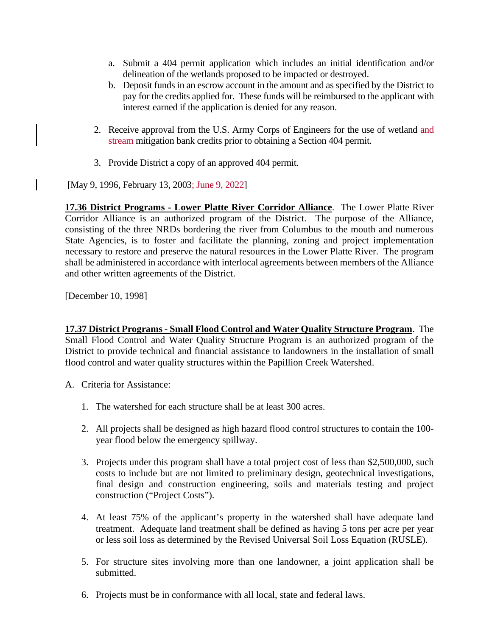- a. Submit a 404 permit application which includes an initial identification and/or delineation of the wetlands proposed to be impacted or destroyed.
- b. Deposit funds in an escrow account in the amount and as specified by the District to pay for the credits applied for. These funds will be reimbursed to the applicant with interest earned if the application is denied for any reason.
- 2. Receive approval from the U.S. Army Corps of Engineers for the use of wetland and stream mitigation bank credits prior to obtaining a Section 404 permit.
- 3. Provide District a copy of an approved 404 permit.

[May 9, 1996, February 13, 2003; June 9, 2022]

**17.36 District Programs - Lower Platte River Corridor Alliance**. The Lower Platte River Corridor Alliance is an authorized program of the District. The purpose of the Alliance, consisting of the three NRDs bordering the river from Columbus to the mouth and numerous State Agencies, is to foster and facilitate the planning, zoning and project implementation necessary to restore and preserve the natural resources in the Lower Platte River. The program shall be administered in accordance with interlocal agreements between members of the Alliance and other written agreements of the District.

[December 10, 1998]

**17.37 District Programs - Small Flood Control and Water Quality Structure Program**. The Small Flood Control and Water Quality Structure Program is an authorized program of the District to provide technical and financial assistance to landowners in the installation of small flood control and water quality structures within the Papillion Creek Watershed.

- A. Criteria for Assistance:
	- 1. The watershed for each structure shall be at least 300 acres.
	- 2. All projects shall be designed as high hazard flood control structures to contain the 100 year flood below the emergency spillway.
	- 3. Projects under this program shall have a total project cost of less than \$2,500,000, such costs to include but are not limited to preliminary design, geotechnical investigations, final design and construction engineering, soils and materials testing and project construction ("Project Costs").
	- 4. At least 75% of the applicant's property in the watershed shall have adequate land treatment. Adequate land treatment shall be defined as having 5 tons per acre per year or less soil loss as determined by the Revised Universal Soil Loss Equation (RUSLE).
	- 5. For structure sites involving more than one landowner, a joint application shall be submitted.
	- 6. Projects must be in conformance with all local, state and federal laws.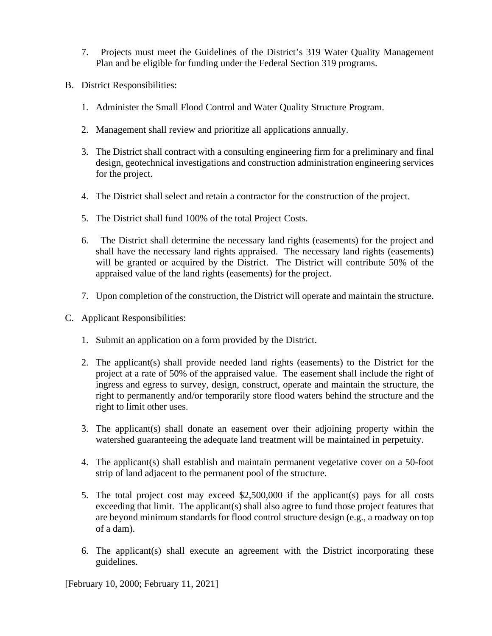- 7. Projects must meet the Guidelines of the District's 319 Water Quality Management Plan and be eligible for funding under the Federal Section 319 programs.
- B. District Responsibilities:
	- 1. Administer the Small Flood Control and Water Quality Structure Program.
	- 2. Management shall review and prioritize all applications annually.
	- 3. The District shall contract with a consulting engineering firm for a preliminary and final design, geotechnical investigations and construction administration engineering services for the project.
	- 4. The District shall select and retain a contractor for the construction of the project.
	- 5. The District shall fund 100% of the total Project Costs.
	- 6. The District shall determine the necessary land rights (easements) for the project and shall have the necessary land rights appraised. The necessary land rights (easements) will be granted or acquired by the District. The District will contribute 50% of the appraised value of the land rights (easements) for the project.
	- 7. Upon completion of the construction, the District will operate and maintain the structure.
- C. Applicant Responsibilities:
	- 1. Submit an application on a form provided by the District.
	- 2. The applicant(s) shall provide needed land rights (easements) to the District for the project at a rate of 50% of the appraised value. The easement shall include the right of ingress and egress to survey, design, construct, operate and maintain the structure, the right to permanently and/or temporarily store flood waters behind the structure and the right to limit other uses.
	- 3. The applicant(s) shall donate an easement over their adjoining property within the watershed guaranteeing the adequate land treatment will be maintained in perpetuity.
	- 4. The applicant(s) shall establish and maintain permanent vegetative cover on a 50-foot strip of land adjacent to the permanent pool of the structure.
	- 5. The total project cost may exceed \$2,500,000 if the applicant(s) pays for all costs exceeding that limit. The applicant(s) shall also agree to fund those project features that are beyond minimum standards for flood control structure design (e.g., a roadway on top of a dam).
	- 6. The applicant(s) shall execute an agreement with the District incorporating these guidelines.

[February 10, 2000; February 11, 2021]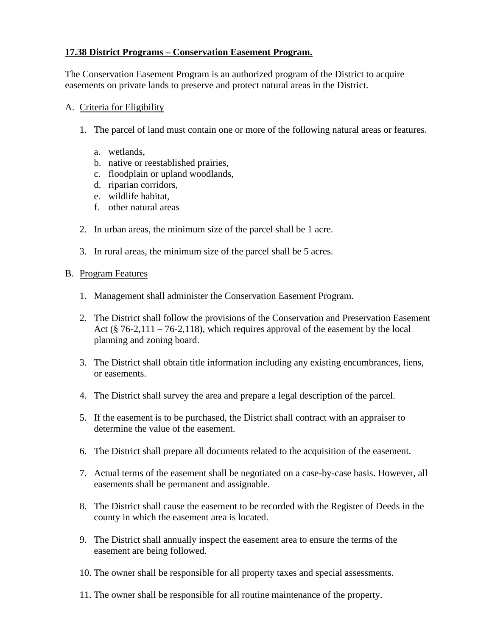# **17.38 District Programs – Conservation Easement Program.**

The Conservation Easement Program is an authorized program of the District to acquire easements on private lands to preserve and protect natural areas in the District.

## A. Criteria for Eligibility

- 1. The parcel of land must contain one or more of the following natural areas or features.
	- a. wetlands,
	- b. native or reestablished prairies,
	- c. floodplain or upland woodlands,
	- d. riparian corridors,
	- e. wildlife habitat,
	- f. other natural areas
- 2. In urban areas, the minimum size of the parcel shall be 1 acre.
- 3. In rural areas, the minimum size of the parcel shall be 5 acres.

## B. Program Features

- 1. Management shall administer the Conservation Easement Program.
- 2. The District shall follow the provisions of the Conservation and Preservation Easement Act ( $\S$  76-2,111 – 76-2,118), which requires approval of the easement by the local planning and zoning board.
- 3. The District shall obtain title information including any existing encumbrances, liens, or easements.
- 4. The District shall survey the area and prepare a legal description of the parcel.
- 5. If the easement is to be purchased, the District shall contract with an appraiser to determine the value of the easement.
- 6. The District shall prepare all documents related to the acquisition of the easement.
- 7. Actual terms of the easement shall be negotiated on a case-by-case basis. However, all easements shall be permanent and assignable.
- 8. The District shall cause the easement to be recorded with the Register of Deeds in the county in which the easement area is located.
- 9. The District shall annually inspect the easement area to ensure the terms of the easement are being followed.
- 10. The owner shall be responsible for all property taxes and special assessments.
- 11. The owner shall be responsible for all routine maintenance of the property.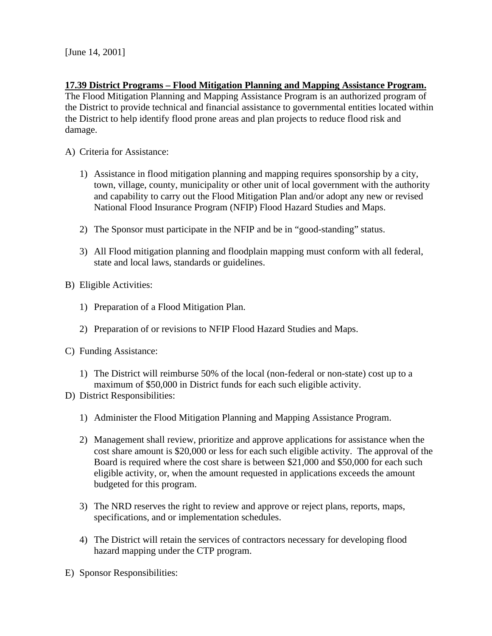### **17.39 District Programs – Flood Mitigation Planning and Mapping Assistance Program.**

The Flood Mitigation Planning and Mapping Assistance Program is an authorized program of the District to provide technical and financial assistance to governmental entities located within the District to help identify flood prone areas and plan projects to reduce flood risk and damage.

- A) Criteria for Assistance:
	- 1) Assistance in flood mitigation planning and mapping requires sponsorship by a city, town, village, county, municipality or other unit of local government with the authority and capability to carry out the Flood Mitigation Plan and/or adopt any new or revised National Flood Insurance Program (NFIP) Flood Hazard Studies and Maps.
	- 2) The Sponsor must participate in the NFIP and be in "good-standing" status.
	- 3) All Flood mitigation planning and floodplain mapping must conform with all federal, state and local laws, standards or guidelines.
- B) Eligible Activities:
	- 1) Preparation of a Flood Mitigation Plan.
	- 2) Preparation of or revisions to NFIP Flood Hazard Studies and Maps.
- C) Funding Assistance:
	- 1) The District will reimburse 50% of the local (non-federal or non-state) cost up to a maximum of \$50,000 in District funds for each such eligible activity.
- D) District Responsibilities:
	- 1) Administer the Flood Mitigation Planning and Mapping Assistance Program.
	- 2) Management shall review, prioritize and approve applications for assistance when the cost share amount is \$20,000 or less for each such eligible activity. The approval of the Board is required where the cost share is between \$21,000 and \$50,000 for each such eligible activity, or, when the amount requested in applications exceeds the amount budgeted for this program.
	- 3) The NRD reserves the right to review and approve or reject plans, reports, maps, specifications, and or implementation schedules.
	- 4) The District will retain the services of contractors necessary for developing flood hazard mapping under the CTP program.
- E) Sponsor Responsibilities: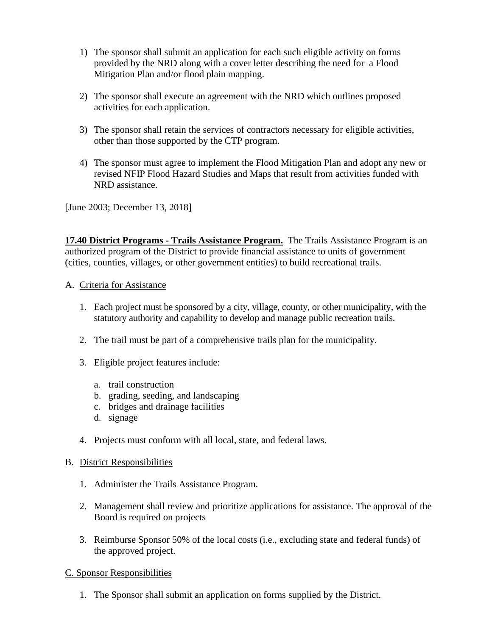- 1) The sponsor shall submit an application for each such eligible activity on forms provided by the NRD along with a cover letter describing the need for a Flood Mitigation Plan and/or flood plain mapping.
- 2) The sponsor shall execute an agreement with the NRD which outlines proposed activities for each application.
- 3) The sponsor shall retain the services of contractors necessary for eligible activities, other than those supported by the CTP program.
- 4) The sponsor must agree to implement the Flood Mitigation Plan and adopt any new or revised NFIP Flood Hazard Studies and Maps that result from activities funded with NRD assistance.

[June 2003; December 13, 2018]

**17.40 District Programs - Trails Assistance Program.** The Trails Assistance Program is an authorized program of the District to provide financial assistance to units of government (cities, counties, villages, or other government entities) to build recreational trails.

# A. Criteria for Assistance

- 1. Each project must be sponsored by a city, village, county, or other municipality, with the statutory authority and capability to develop and manage public recreation trails.
- 2. The trail must be part of a comprehensive trails plan for the municipality.
- 3. Eligible project features include:
	- a. trail construction
	- b. grading, seeding, and landscaping
	- c. bridges and drainage facilities
	- d. signage
- 4. Projects must conform with all local, state, and federal laws.

# B. District Responsibilities

- 1. Administer the Trails Assistance Program.
- 2. Management shall review and prioritize applications for assistance. The approval of the Board is required on projects
- 3. Reimburse Sponsor 50% of the local costs (i.e., excluding state and federal funds) of the approved project.

# C. Sponsor Responsibilities

1. The Sponsor shall submit an application on forms supplied by the District.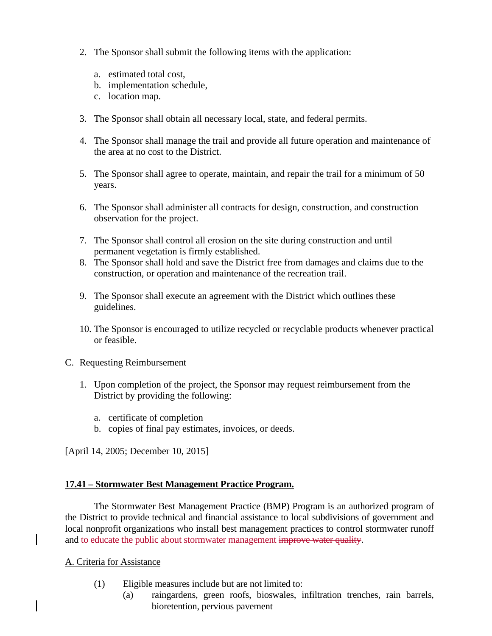- 2. The Sponsor shall submit the following items with the application:
	- a. estimated total cost,
	- b. implementation schedule,
	- c. location map.
- 3. The Sponsor shall obtain all necessary local, state, and federal permits.
- 4. The Sponsor shall manage the trail and provide all future operation and maintenance of the area at no cost to the District.
- 5. The Sponsor shall agree to operate, maintain, and repair the trail for a minimum of 50 years.
- 6. The Sponsor shall administer all contracts for design, construction, and construction observation for the project.
- 7. The Sponsor shall control all erosion on the site during construction and until permanent vegetation is firmly established.
- 8. The Sponsor shall hold and save the District free from damages and claims due to the construction, or operation and maintenance of the recreation trail.
- 9. The Sponsor shall execute an agreement with the District which outlines these guidelines.
- 10. The Sponsor is encouraged to utilize recycled or recyclable products whenever practical or feasible.

# C. Requesting Reimbursement

- 1. Upon completion of the project, the Sponsor may request reimbursement from the District by providing the following:
	- a. certificate of completion
	- b. copies of final pay estimates, invoices, or deeds.

[April 14, 2005; December 10, 2015]

# **17.41 – Stormwater Best Management Practice Program.**

The Stormwater Best Management Practice (BMP) Program is an authorized program of the District to provide technical and financial assistance to local subdivisions of government and local nonprofit organizations who install best management practices to control stormwater runoff and to educate the public about stormwater management improve water quality.

# A. Criteria for Assistance

- (1) Eligible measures include but are not limited to:
	- (a) raingardens, green roofs, bioswales, infiltration trenches, rain barrels, bioretention, pervious pavement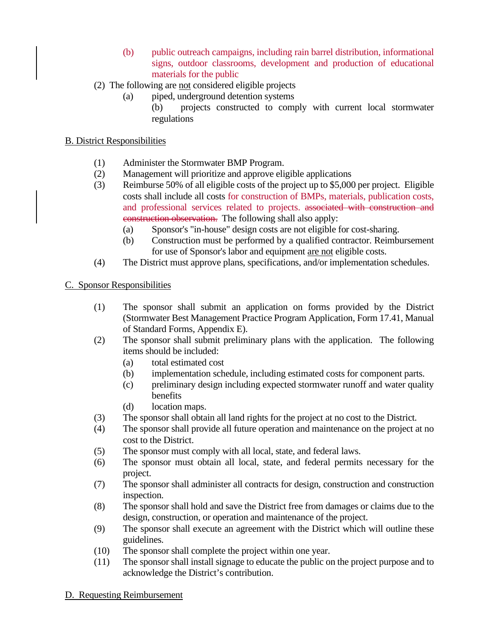- (b) public outreach campaigns, including rain barrel distribution, informational signs, outdoor classrooms, development and production of educational materials for the public
- (2) The following are not considered eligible projects
	- (a) piped, underground detention systems
		- (b) projects constructed to comply with current local stormwater regulations

## B. District Responsibilities

- (1) Administer the Stormwater BMP Program.
- (2) Management will prioritize and approve eligible applications
- (3) Reimburse 50% of all eligible costs of the project up to \$5,000 per project. Eligible costs shall include all costs for construction of BMPs, materials, publication costs, and professional services related to projects. associated with construction and construction observation. The following shall also apply:
	- (a) Sponsor's "in-house" design costs are not eligible for cost-sharing.
	- (b) Construction must be performed by a qualified contractor. Reimbursement for use of Sponsor's labor and equipment are not eligible costs.
- (4) The District must approve plans, specifications, and/or implementation schedules.

## C. Sponsor Responsibilities

- (1) The sponsor shall submit an application on forms provided by the District (Stormwater Best Management Practice Program Application, Form 17.41, Manual of Standard Forms, Appendix E).
- (2) The sponsor shall submit preliminary plans with the application. The following items should be included:
	- (a) total estimated cost
	- (b) implementation schedule, including estimated costs for component parts.
	- (c) preliminary design including expected stormwater runoff and water quality benefits
	- (d) location maps.
- (3) The sponsor shall obtain all land rights for the project at no cost to the District.
- (4) The sponsor shall provide all future operation and maintenance on the project at no cost to the District.
- (5) The sponsor must comply with all local, state, and federal laws.
- (6) The sponsor must obtain all local, state, and federal permits necessary for the project.
- (7) The sponsor shall administer all contracts for design, construction and construction inspection.
- (8) The sponsor shall hold and save the District free from damages or claims due to the design, construction, or operation and maintenance of the project.
- (9) The sponsor shall execute an agreement with the District which will outline these guidelines.
- (10) The sponsor shall complete the project within one year.
- (11) The sponsor shall install signage to educate the public on the project purpose and to acknowledge the District's contribution.

#### D. Requesting Reimbursement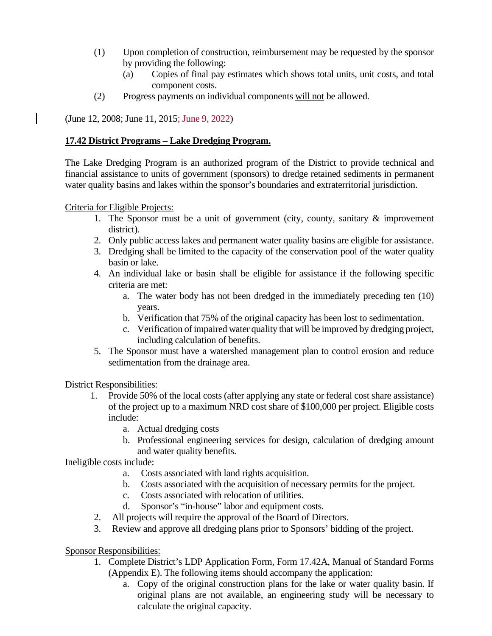- (1) Upon completion of construction, reimbursement may be requested by the sponsor by providing the following:
	- (a) Copies of final pay estimates which shows total units, unit costs, and total component costs.
- (2) Progress payments on individual components will not be allowed.

(June 12, 2008; June 11, 2015; June 9, 2022)

# **17.42 District Programs – Lake Dredging Program.**

The Lake Dredging Program is an authorized program of the District to provide technical and financial assistance to units of government (sponsors) to dredge retained sediments in permanent water quality basins and lakes within the sponsor's boundaries and extraterritorial jurisdiction.

## Criteria for Eligible Projects:

- 1. The Sponsor must be a unit of government (city, county, sanitary & improvement district).
- 2. Only public access lakes and permanent water quality basins are eligible for assistance.
- 3. Dredging shall be limited to the capacity of the conservation pool of the water quality basin or lake.
- 4. An individual lake or basin shall be eligible for assistance if the following specific criteria are met:
	- a. The water body has not been dredged in the immediately preceding ten (10) years.
	- b. Verification that 75% of the original capacity has been lost to sedimentation.
	- c. Verification of impaired water quality that will be improved by dredging project, including calculation of benefits.
- 5. The Sponsor must have a watershed management plan to control erosion and reduce sedimentation from the drainage area.

District Responsibilities:

- 1. Provide 50% of the local costs (after applying any state or federal cost share assistance) of the project up to a maximum NRD cost share of \$100,000 per project. Eligible costs include:
	- a. Actual dredging costs
	- b. Professional engineering services for design, calculation of dredging amount and water quality benefits.

Ineligible costs include:

- a. Costs associated with land rights acquisition.
- b. Costs associated with the acquisition of necessary permits for the project.
- c. Costs associated with relocation of utilities.
- d. Sponsor's "in-house" labor and equipment costs.
- 2. All projects will require the approval of the Board of Directors.
- 3. Review and approve all dredging plans prior to Sponsors' bidding of the project.

Sponsor Responsibilities:

- 1. Complete District's LDP Application Form, Form 17.42A, Manual of Standard Forms (Appendix E). The following items should accompany the application:
	- a. Copy of the original construction plans for the lake or water quality basin. If original plans are not available, an engineering study will be necessary to calculate the original capacity.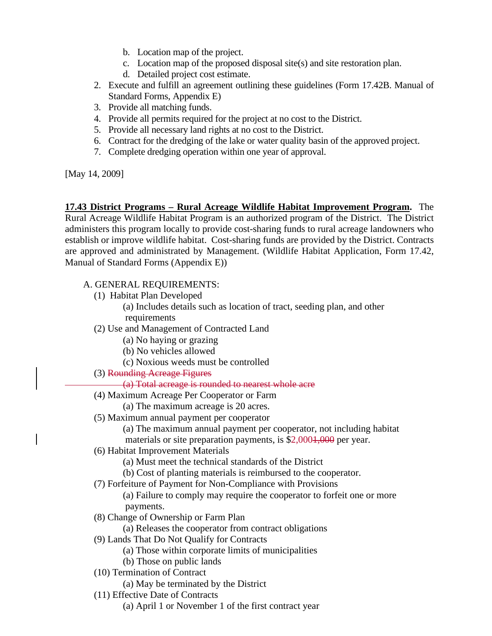- b. Location map of the project.
- c. Location map of the proposed disposal site(s) and site restoration plan.
- d. Detailed project cost estimate.
- 2. Execute and fulfill an agreement outlining these guidelines (Form 17.42B. Manual of Standard Forms, Appendix E)
- 3. Provide all matching funds.
- 4. Provide all permits required for the project at no cost to the District.
- 5. Provide all necessary land rights at no cost to the District.
- 6. Contract for the dredging of the lake or water quality basin of the approved project.
- 7. Complete dredging operation within one year of approval.

[May 14, 2009]

**17.43 District Programs – Rural Acreage Wildlife Habitat Improvement Program.** The Rural Acreage Wildlife Habitat Program is an authorized program of the District. The District administers this program locally to provide cost-sharing funds to rural acreage landowners who establish or improve wildlife habitat. Cost-sharing funds are provided by the District. Contracts are approved and administrated by Management. (Wildlife Habitat Application, Form 17.42, Manual of Standard Forms (Appendix E))

## A. GENERAL REQUIREMENTS:

- (1) Habitat Plan Developed
	- (a) Includes details such as location of tract, seeding plan, and other
	- requirements
- (2) Use and Management of Contracted Land
	- (a) No haying or grazing
	- (b) No vehicles allowed
	- (c) Noxious weeds must be controlled
- (3) Rounding Acreage Figures
	- (a) Total acreage is rounded to nearest whole acre
- (4) Maximum Acreage Per Cooperator or Farm
- (a) The maximum acreage is 20 acres.
- (5) Maximum annual payment per cooperator
	- (a) The maximum annual payment per cooperator, not including habitat
	- materials or site preparation payments, is \$2,0001,000 per year.
- (6) Habitat Improvement Materials
	- (a) Must meet the technical standards of the District
	- (b) Cost of planting materials is reimbursed to the cooperator.
- (7) Forfeiture of Payment for Non-Compliance with Provisions
	- (a) Failure to comply may require the cooperator to forfeit one or more payments.
- (8) Change of Ownership or Farm Plan
	- (a) Releases the cooperator from contract obligations
- (9) Lands That Do Not Qualify for Contracts
	- (a) Those within corporate limits of municipalities
	- (b) Those on public lands
- (10) Termination of Contract
	- (a) May be terminated by the District
- (11) Effective Date of Contracts
	- (a) April 1 or November 1 of the first contract year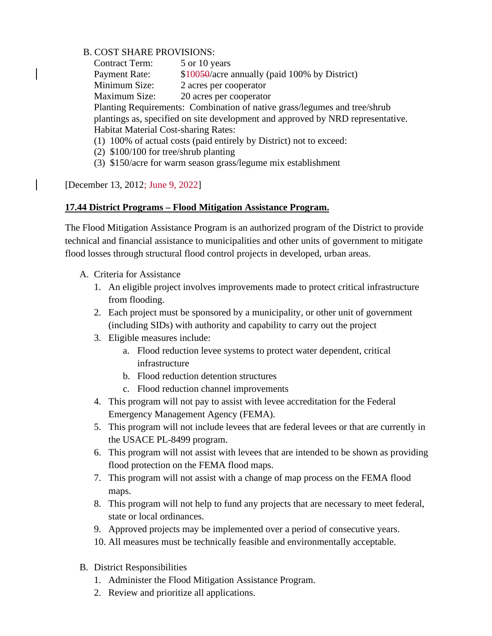## B. COST SHARE PROVISIONS:

Contract Term: 5 or 10 years Payment Rate: \$10050/acre annually (paid 100% by District) Minimum Size: 2 acres per cooperator Maximum Size: 20 acres per cooperator Planting Requirements: Combination of native grass/legumes and tree/shrub plantings as, specified on site development and approved by NRD representative. Habitat Material Cost-sharing Rates: (1) 100% of actual costs (paid entirely by District) not to exceed:

- (2) \$100/100 for tree/shrub planting
- (3) \$150/acre for warm season grass/legume mix establishment

[December 13, 2012; June 9, 2022]

## **17.44 District Programs – Flood Mitigation Assistance Program.**

The Flood Mitigation Assistance Program is an authorized program of the District to provide technical and financial assistance to municipalities and other units of government to mitigate flood losses through structural flood control projects in developed, urban areas.

- A. Criteria for Assistance
	- 1. An eligible project involves improvements made to protect critical infrastructure from flooding.
	- 2. Each project must be sponsored by a municipality, or other unit of government (including SIDs) with authority and capability to carry out the project
	- 3. Eligible measures include:
		- a. Flood reduction levee systems to protect water dependent, critical infrastructure
		- b. Flood reduction detention structures
		- c. Flood reduction channel improvements
	- 4. This program will not pay to assist with levee accreditation for the Federal Emergency Management Agency (FEMA).
	- 5. This program will not include levees that are federal levees or that are currently in the USACE PL-8499 program.
	- 6. This program will not assist with levees that are intended to be shown as providing flood protection on the FEMA flood maps.
	- 7. This program will not assist with a change of map process on the FEMA flood maps.
	- 8. This program will not help to fund any projects that are necessary to meet federal, state or local ordinances.
	- 9. Approved projects may be implemented over a period of consecutive years.
	- 10. All measures must be technically feasible and environmentally acceptable.
- B. District Responsibilities
	- 1. Administer the Flood Mitigation Assistance Program.
	- 2. Review and prioritize all applications.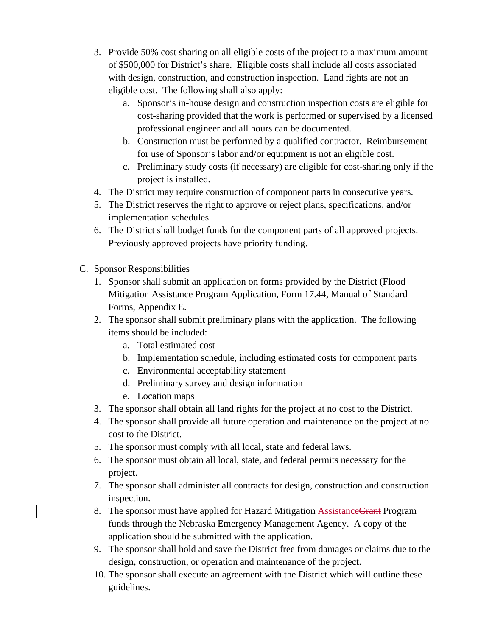- 3. Provide 50% cost sharing on all eligible costs of the project to a maximum amount of \$500,000 for District's share. Eligible costs shall include all costs associated with design, construction, and construction inspection. Land rights are not an eligible cost. The following shall also apply:
	- a. Sponsor's in-house design and construction inspection costs are eligible for cost-sharing provided that the work is performed or supervised by a licensed professional engineer and all hours can be documented.
	- b. Construction must be performed by a qualified contractor. Reimbursement for use of Sponsor's labor and/or equipment is not an eligible cost.
	- c. Preliminary study costs (if necessary) are eligible for cost-sharing only if the project is installed.
- 4. The District may require construction of component parts in consecutive years.
- 5. The District reserves the right to approve or reject plans, specifications, and/or implementation schedules.
- 6. The District shall budget funds for the component parts of all approved projects. Previously approved projects have priority funding.
- C. Sponsor Responsibilities
	- 1. Sponsor shall submit an application on forms provided by the District (Flood Mitigation Assistance Program Application, Form 17.44, Manual of Standard Forms, Appendix E.
	- 2. The sponsor shall submit preliminary plans with the application. The following items should be included:
		- a. Total estimated cost
		- b. Implementation schedule, including estimated costs for component parts
		- c. Environmental acceptability statement
		- d. Preliminary survey and design information
		- e. Location maps
	- 3. The sponsor shall obtain all land rights for the project at no cost to the District.
	- 4. The sponsor shall provide all future operation and maintenance on the project at no cost to the District.
	- 5. The sponsor must comply with all local, state and federal laws.
	- 6. The sponsor must obtain all local, state, and federal permits necessary for the project.
	- 7. The sponsor shall administer all contracts for design, construction and construction inspection.
	- 8. The sponsor must have applied for Hazard Mitigation Assistance Grant Program funds through the Nebraska Emergency Management Agency. A copy of the application should be submitted with the application.
	- 9. The sponsor shall hold and save the District free from damages or claims due to the design, construction, or operation and maintenance of the project.
	- 10. The sponsor shall execute an agreement with the District which will outline these guidelines.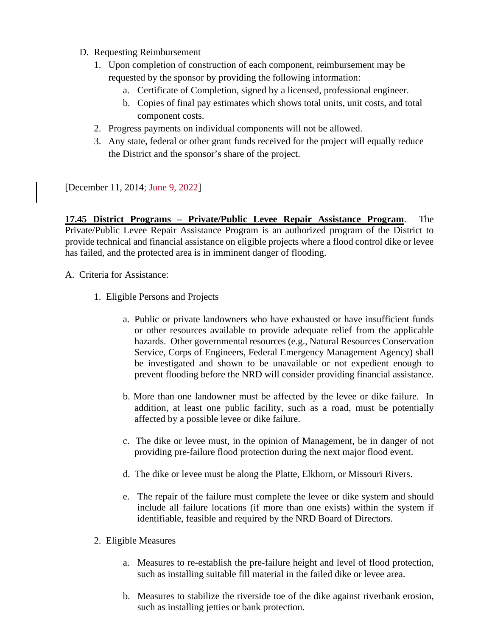- D. Requesting Reimbursement
	- 1. Upon completion of construction of each component, reimbursement may be requested by the sponsor by providing the following information:
		- a. Certificate of Completion, signed by a licensed, professional engineer.
		- b. Copies of final pay estimates which shows total units, unit costs, and total component costs.
	- 2. Progress payments on individual components will not be allowed.
	- 3. Any state, federal or other grant funds received for the project will equally reduce the District and the sponsor's share of the project.

[December 11, 2014; June 9, 2022]

**17.45 District Programs – Private/Public Levee Repair Assistance Program**. The Private/Public Levee Repair Assistance Program is an authorized program of the District to provide technical and financial assistance on eligible projects where a flood control dike or levee has failed, and the protected area is in imminent danger of flooding.

A. Criteria for Assistance:

- 1. Eligible Persons and Projects
	- a. Public or private landowners who have exhausted or have insufficient funds or other resources available to provide adequate relief from the applicable hazards. Other governmental resources (e.g., Natural Resources Conservation Service, Corps of Engineers, Federal Emergency Management Agency) shall be investigated and shown to be unavailable or not expedient enough to prevent flooding before the NRD will consider providing financial assistance.
	- b. More than one landowner must be affected by the levee or dike failure. In addition, at least one public facility, such as a road, must be potentially affected by a possible levee or dike failure.
	- c. The dike or levee must, in the opinion of Management, be in danger of not providing pre-failure flood protection during the next major flood event.
	- d. The dike or levee must be along the Platte, Elkhorn, or Missouri Rivers.
	- e. The repair of the failure must complete the levee or dike system and should include all failure locations (if more than one exists) within the system if identifiable, feasible and required by the NRD Board of Directors.
- 2. Eligible Measures
	- a. Measures to re-establish the pre-failure height and level of flood protection, such as installing suitable fill material in the failed dike or levee area.
	- b. Measures to stabilize the riverside toe of the dike against riverbank erosion, such as installing jetties or bank protection.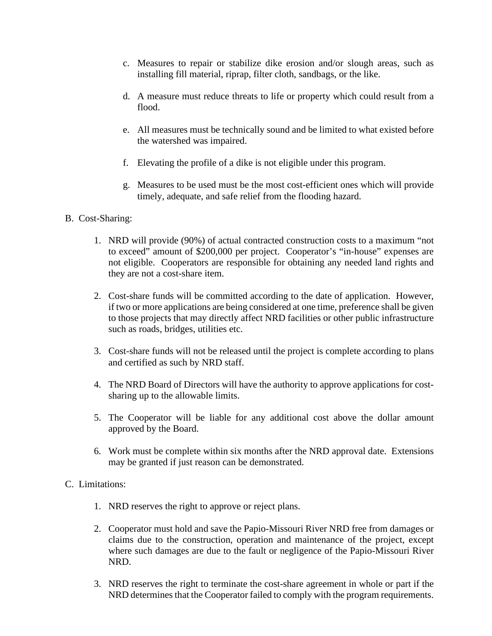- c. Measures to repair or stabilize dike erosion and/or slough areas, such as installing fill material, riprap, filter cloth, sandbags, or the like.
- d. A measure must reduce threats to life or property which could result from a flood.
- e. All measures must be technically sound and be limited to what existed before the watershed was impaired.
- f. Elevating the profile of a dike is not eligible under this program.
- g. Measures to be used must be the most cost-efficient ones which will provide timely, adequate, and safe relief from the flooding hazard.

# B. Cost-Sharing:

- 1. NRD will provide (90%) of actual contracted construction costs to a maximum "not to exceed" amount of \$200,000 per project. Cooperator's "in-house" expenses are not eligible. Cooperators are responsible for obtaining any needed land rights and they are not a cost-share item.
- 2. Cost-share funds will be committed according to the date of application. However, if two or more applications are being considered at one time, preference shall be given to those projects that may directly affect NRD facilities or other public infrastructure such as roads, bridges, utilities etc.
- 3. Cost-share funds will not be released until the project is complete according to plans and certified as such by NRD staff.
- 4. The NRD Board of Directors will have the authority to approve applications for costsharing up to the allowable limits.
- 5. The Cooperator will be liable for any additional cost above the dollar amount approved by the Board.
- 6. Work must be complete within six months after the NRD approval date. Extensions may be granted if just reason can be demonstrated.

# C. Limitations:

- 1. NRD reserves the right to approve or reject plans.
- 2. Cooperator must hold and save the Papio-Missouri River NRD free from damages or claims due to the construction, operation and maintenance of the project, except where such damages are due to the fault or negligence of the Papio-Missouri River NRD.
- 3. NRD reserves the right to terminate the cost-share agreement in whole or part if the NRD determines that the Cooperator failed to comply with the program requirements.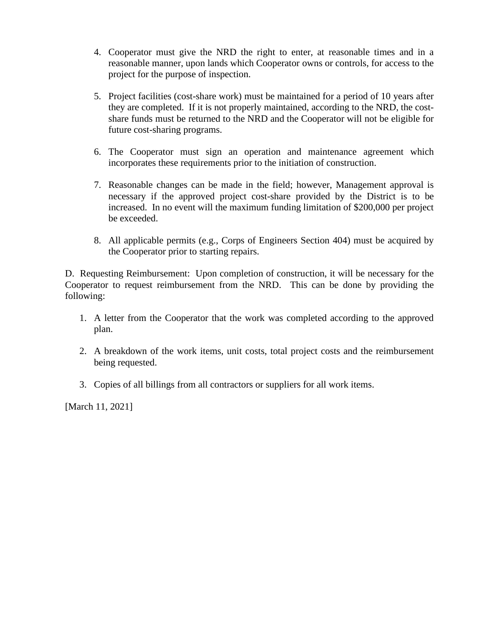- 4. Cooperator must give the NRD the right to enter, at reasonable times and in a reasonable manner, upon lands which Cooperator owns or controls, for access to the project for the purpose of inspection.
- 5. Project facilities (cost-share work) must be maintained for a period of 10 years after they are completed. If it is not properly maintained, according to the NRD, the costshare funds must be returned to the NRD and the Cooperator will not be eligible for future cost-sharing programs.
- 6. The Cooperator must sign an operation and maintenance agreement which incorporates these requirements prior to the initiation of construction.
- 7. Reasonable changes can be made in the field; however, Management approval is necessary if the approved project cost-share provided by the District is to be increased. In no event will the maximum funding limitation of \$200,000 per project be exceeded.
- 8. All applicable permits (e.g., Corps of Engineers Section 404) must be acquired by the Cooperator prior to starting repairs.

D. Requesting Reimbursement: Upon completion of construction, it will be necessary for the Cooperator to request reimbursement from the NRD. This can be done by providing the following:

- 1. A letter from the Cooperator that the work was completed according to the approved plan.
- 2. A breakdown of the work items, unit costs, total project costs and the reimbursement being requested.
- 3. Copies of all billings from all contractors or suppliers for all work items.

[March 11, 2021]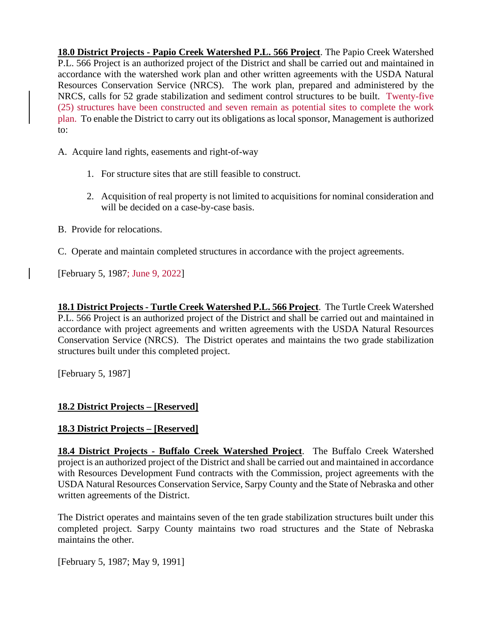**18.0 District Projects - Papio Creek Watershed P.L. 566 Project**. The Papio Creek Watershed P.L. 566 Project is an authorized project of the District and shall be carried out and maintained in accordance with the watershed work plan and other written agreements with the USDA Natural Resources Conservation Service (NRCS). The work plan, prepared and administered by the NRCS, calls for 52 grade stabilization and sediment control structures to be built. Twenty-five (25) structures have been constructed and seven remain as potential sites to complete the work plan. To enable the District to carry out its obligations as local sponsor, Management is authorized to:

A. Acquire land rights, easements and right-of-way

- 1. For structure sites that are still feasible to construct.
- 2. Acquisition of real property is not limited to acquisitions for nominal consideration and will be decided on a case-by-case basis.
- B. Provide for relocations.
- C. Operate and maintain completed structures in accordance with the project agreements.

[February 5, 1987; June 9, 2022]

**18.1 District Projects - Turtle Creek Watershed P.L. 566 Project**. The Turtle Creek Watershed P.L. 566 Project is an authorized project of the District and shall be carried out and maintained in accordance with project agreements and written agreements with the USDA Natural Resources Conservation Service (NRCS). The District operates and maintains the two grade stabilization structures built under this completed project.

[February 5, 1987]

# **18.2 District Projects – [Reserved]**

# **18.3 District Projects – [Reserved]**

**18.4 District Projects - Buffalo Creek Watershed Project**. The Buffalo Creek Watershed project is an authorized project of the District and shall be carried out and maintained in accordance with Resources Development Fund contracts with the Commission, project agreements with the USDA Natural Resources Conservation Service, Sarpy County and the State of Nebraska and other written agreements of the District.

The District operates and maintains seven of the ten grade stabilization structures built under this completed project. Sarpy County maintains two road structures and the State of Nebraska maintains the other.

[February 5, 1987; May 9, 1991]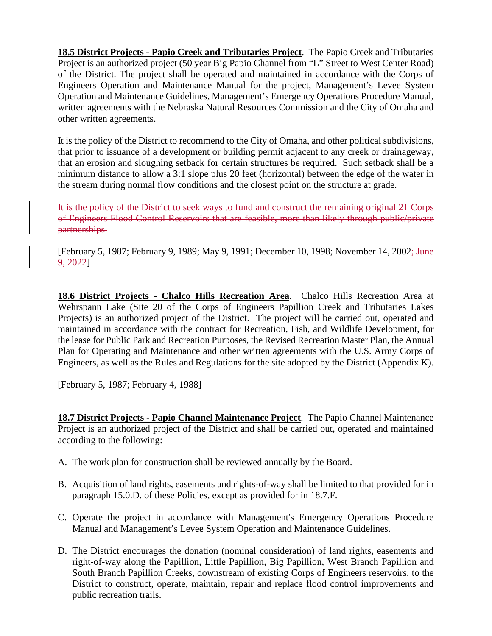**18.5 District Projects - Papio Creek and Tributaries Project**. The Papio Creek and Tributaries Project is an authorized project (50 year Big Papio Channel from "L" Street to West Center Road) of the District. The project shall be operated and maintained in accordance with the Corps of Engineers Operation and Maintenance Manual for the project, Management's Levee System Operation and Maintenance Guidelines, Management's Emergency Operations Procedure Manual, written agreements with the Nebraska Natural Resources Commission and the City of Omaha and other written agreements.

It is the policy of the District to recommend to the City of Omaha, and other political subdivisions, that prior to issuance of a development or building permit adjacent to any creek or drainageway, that an erosion and sloughing setback for certain structures be required. Such setback shall be a minimum distance to allow a 3:1 slope plus 20 feet (horizontal) between the edge of the water in the stream during normal flow conditions and the closest point on the structure at grade.

It is the policy of the District to seek ways to fund and construct the remaining original 21 Corps of Engineers Flood Control Reservoirs that are feasible, more than likely through public/private partnerships.

[February 5, 1987; February 9, 1989; May 9, 1991; December 10, 1998; November 14, 2002; June 9, 2022]

**18.6 District Projects - Chalco Hills Recreation Area**. Chalco Hills Recreation Area at Wehrspann Lake (Site 20 of the Corps of Engineers Papillion Creek and Tributaries Lakes Projects) is an authorized project of the District. The project will be carried out, operated and maintained in accordance with the contract for Recreation, Fish, and Wildlife Development, for the lease for Public Park and Recreation Purposes, the Revised Recreation Master Plan, the Annual Plan for Operating and Maintenance and other written agreements with the U.S. Army Corps of Engineers, as well as the Rules and Regulations for the site adopted by the District (Appendix K).

[February 5, 1987; February 4, 1988]

**18.7 District Projects - Papio Channel Maintenance Project**. The Papio Channel Maintenance Project is an authorized project of the District and shall be carried out, operated and maintained according to the following:

- A. The work plan for construction shall be reviewed annually by the Board.
- B. Acquisition of land rights, easements and rights-of-way shall be limited to that provided for in paragraph 15.0.D. of these Policies, except as provided for in 18.7.F.
- C. Operate the project in accordance with Management's Emergency Operations Procedure Manual and Management's Levee System Operation and Maintenance Guidelines.
- D. The District encourages the donation (nominal consideration) of land rights, easements and right-of-way along the Papillion, Little Papillion, Big Papillion, West Branch Papillion and South Branch Papillion Creeks, downstream of existing Corps of Engineers reservoirs, to the District to construct, operate, maintain, repair and replace flood control improvements and public recreation trails.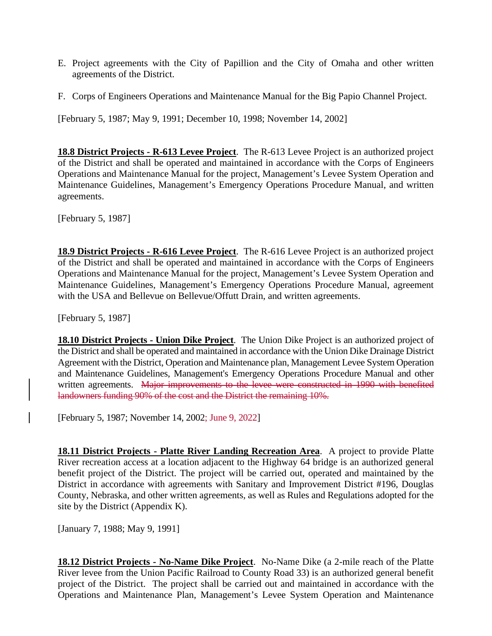- E. Project agreements with the City of Papillion and the City of Omaha and other written agreements of the District.
- F. Corps of Engineers Operations and Maintenance Manual for the Big Papio Channel Project.

[February 5, 1987; May 9, 1991; December 10, 1998; November 14, 2002]

**18.8 District Projects - R-613 Levee Project**. The R-613 Levee Project is an authorized project of the District and shall be operated and maintained in accordance with the Corps of Engineers Operations and Maintenance Manual for the project, Management's Levee System Operation and Maintenance Guidelines, Management's Emergency Operations Procedure Manual, and written agreements.

[February 5, 1987]

**18.9 District Projects - R-616 Levee Project**. The R-616 Levee Project is an authorized project of the District and shall be operated and maintained in accordance with the Corps of Engineers Operations and Maintenance Manual for the project, Management's Levee System Operation and Maintenance Guidelines, Management's Emergency Operations Procedure Manual, agreement with the USA and Bellevue on Bellevue/Offutt Drain, and written agreements.

[February 5, 1987]

**18.10 District Projects - Union Dike Project**. The Union Dike Project is an authorized project of the District and shall be operated and maintained in accordance with the Union Dike Drainage District Agreement with the District, Operation and Maintenance plan, Management Levee System Operation and Maintenance Guidelines, Management's Emergency Operations Procedure Manual and other written agreements. Major improvements to the levee were constructed in 1990 with benefited landowners funding 90% of the cost and the District the remaining 10%.

[February 5, 1987; November 14, 2002; June 9, 2022]

**18.11 District Projects - Platte River Landing Recreation Area**. A project to provide Platte River recreation access at a location adjacent to the Highway 64 bridge is an authorized general benefit project of the District. The project will be carried out, operated and maintained by the District in accordance with agreements with Sanitary and Improvement District #196, Douglas County, Nebraska, and other written agreements, as well as Rules and Regulations adopted for the site by the District (Appendix K).

[January 7, 1988; May 9, 1991]

**18.12 District Projects - No-Name Dike Project**. No-Name Dike (a 2-mile reach of the Platte River levee from the Union Pacific Railroad to County Road 33) is an authorized general benefit project of the District. The project shall be carried out and maintained in accordance with the Operations and Maintenance Plan, Management's Levee System Operation and Maintenance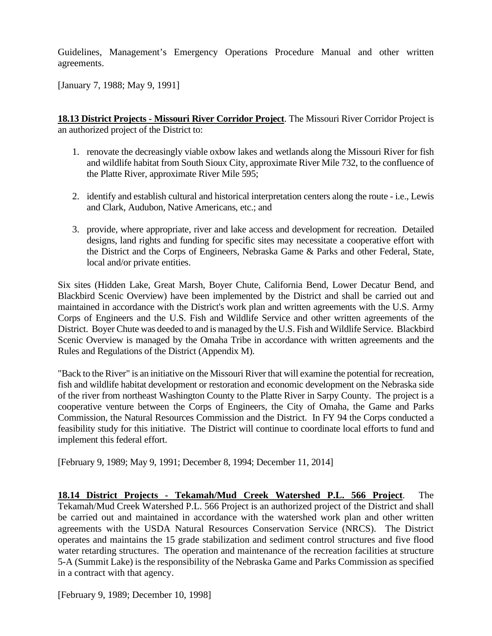Guidelines, Management's Emergency Operations Procedure Manual and other written agreements.

[January 7, 1988; May 9, 1991]

**18.13 District Projects - Missouri River Corridor Project**. The Missouri River Corridor Project is an authorized project of the District to:

- 1. renovate the decreasingly viable oxbow lakes and wetlands along the Missouri River for fish and wildlife habitat from South Sioux City, approximate River Mile 732, to the confluence of the Platte River, approximate River Mile 595;
- 2. identify and establish cultural and historical interpretation centers along the route i.e., Lewis and Clark, Audubon, Native Americans, etc.; and
- 3. provide, where appropriate, river and lake access and development for recreation. Detailed designs, land rights and funding for specific sites may necessitate a cooperative effort with the District and the Corps of Engineers, Nebraska Game & Parks and other Federal, State, local and/or private entities.

Six sites (Hidden Lake, Great Marsh, Boyer Chute, California Bend, Lower Decatur Bend, and Blackbird Scenic Overview) have been implemented by the District and shall be carried out and maintained in accordance with the District's work plan and written agreements with the U.S. Army Corps of Engineers and the U.S. Fish and Wildlife Service and other written agreements of the District. Boyer Chute was deeded to and is managed by the U.S. Fish and Wildlife Service. Blackbird Scenic Overview is managed by the Omaha Tribe in accordance with written agreements and the Rules and Regulations of the District (Appendix M).

"Back to the River" is an initiative on the Missouri River that will examine the potential for recreation, fish and wildlife habitat development or restoration and economic development on the Nebraska side of the river from northeast Washington County to the Platte River in Sarpy County. The project is a cooperative venture between the Corps of Engineers, the City of Omaha, the Game and Parks Commission, the Natural Resources Commission and the District. In FY 94 the Corps conducted a feasibility study for this initiative. The District will continue to coordinate local efforts to fund and implement this federal effort.

[February 9, 1989; May 9, 1991; December 8, 1994; December 11, 2014]

**18.14 District Projects - Tekamah/Mud Creek Watershed P.L. 566 Project**. The Tekamah/Mud Creek Watershed P.L. 566 Project is an authorized project of the District and shall be carried out and maintained in accordance with the watershed work plan and other written agreements with the USDA Natural Resources Conservation Service (NRCS). The District operates and maintains the 15 grade stabilization and sediment control structures and five flood water retarding structures. The operation and maintenance of the recreation facilities at structure 5-A (Summit Lake) is the responsibility of the Nebraska Game and Parks Commission as specified in a contract with that agency.

[February 9, 1989; December 10, 1998]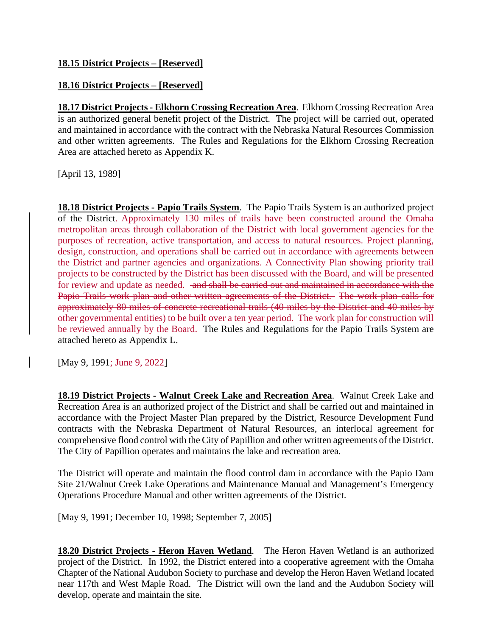# **18.16 District Projects – [Reserved]**

**18.17 District Projects - Elkhorn Crossing Recreation Area**. Elkhorn Crossing Recreation Area is an authorized general benefit project of the District. The project will be carried out, operated and maintained in accordance with the contract with the Nebraska Natural Resources Commission and other written agreements. The Rules and Regulations for the Elkhorn Crossing Recreation Area are attached hereto as Appendix K.

[April 13, 1989]

**18.18 District Projects - Papio Trails System**. The Papio Trails System is an authorized project of the District. Approximately 130 miles of trails have been constructed around the Omaha metropolitan areas through collaboration of the District with local government agencies for the purposes of recreation, active transportation, and access to natural resources. Project planning, design, construction, and operations shall be carried out in accordance with agreements between the District and partner agencies and organizations. A Connectivity Plan showing priority trail projects to be constructed by the District has been discussed with the Board, and will be presented for review and update as needed. and shall be carried out and maintained in accordance with the Papio Trails work plan and other written agreements of the District. The work plan calls for approximately 80 miles of concrete recreational trails (40 miles by the District and 40 miles by other governmental entities) to be built over a ten year period. The work plan for construction will be reviewed annually by the Board. The Rules and Regulations for the Papio Trails System are attached hereto as Appendix L.

[May 9, 1991; June 9, 2022]

**18.19 District Projects - Walnut Creek Lake and Recreation Area**. Walnut Creek Lake and Recreation Area is an authorized project of the District and shall be carried out and maintained in accordance with the Project Master Plan prepared by the District, Resource Development Fund contracts with the Nebraska Department of Natural Resources, an interlocal agreement for comprehensive flood control with the City of Papillion and other written agreements of the District. The City of Papillion operates and maintains the lake and recreation area.

The District will operate and maintain the flood control dam in accordance with the Papio Dam Site 21/Walnut Creek Lake Operations and Maintenance Manual and Management's Emergency Operations Procedure Manual and other written agreements of the District.

[May 9, 1991; December 10, 1998; September 7, 2005]

**18.20 District Projects - Heron Haven Wetland**. The Heron Haven Wetland is an authorized project of the District. In 1992, the District entered into a cooperative agreement with the Omaha Chapter of the National Audubon Society to purchase and develop the Heron Haven Wetland located near 117th and West Maple Road. The District will own the land and the Audubon Society will develop, operate and maintain the site.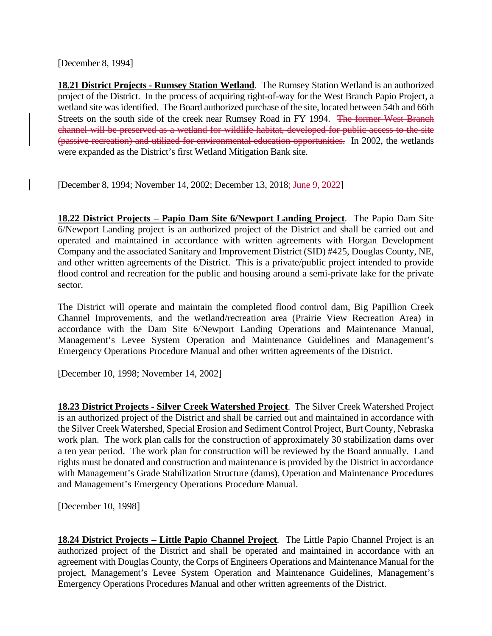[December 8, 1994]

**18.21 District Projects - Rumsey Station Wetland**. The Rumsey Station Wetland is an authorized project of the District. In the process of acquiring right-of-way for the West Branch Papio Project, a wetland site was identified. The Board authorized purchase of the site, located between 54th and 66th Streets on the south side of the creek near Rumsey Road in FY 1994. The former West Branch channel will be preserved as a wetland for wildlife habitat, developed for public access to the site (passive recreation) and utilized for environmental education opportunities. In 2002, the wetlands were expanded as the District's first Wetland Mitigation Bank site.

[December 8, 1994; November 14, 2002; December 13, 2018; June 9, 2022]

**18.22 District Projects – Papio Dam Site 6/Newport Landing Project**. The Papio Dam Site 6/Newport Landing project is an authorized project of the District and shall be carried out and operated and maintained in accordance with written agreements with Horgan Development Company and the associated Sanitary and Improvement District (SID) #425, Douglas County, NE, and other written agreements of the District. This is a private/public project intended to provide flood control and recreation for the public and housing around a semi-private lake for the private sector.

The District will operate and maintain the completed flood control dam, Big Papillion Creek Channel Improvements, and the wetland/recreation area (Prairie View Recreation Area) in accordance with the Dam Site 6/Newport Landing Operations and Maintenance Manual, Management's Levee System Operation and Maintenance Guidelines and Management's Emergency Operations Procedure Manual and other written agreements of the District.

[December 10, 1998; November 14, 2002]

**18.23 District Projects - Silver Creek Watershed Project**. The Silver Creek Watershed Project is an authorized project of the District and shall be carried out and maintained in accordance with the Silver Creek Watershed, Special Erosion and Sediment Control Project, Burt County, Nebraska work plan. The work plan calls for the construction of approximately 30 stabilization dams over a ten year period. The work plan for construction will be reviewed by the Board annually. Land rights must be donated and construction and maintenance is provided by the District in accordance with Management's Grade Stabilization Structure (dams), Operation and Maintenance Procedures and Management's Emergency Operations Procedure Manual.

[December 10, 1998]

**18.24 District Projects – Little Papio Channel Project**. The Little Papio Channel Project is an authorized project of the District and shall be operated and maintained in accordance with an agreement with Douglas County, the Corps of Engineers Operations and Maintenance Manual for the project, Management's Levee System Operation and Maintenance Guidelines, Management's Emergency Operations Procedures Manual and other written agreements of the District.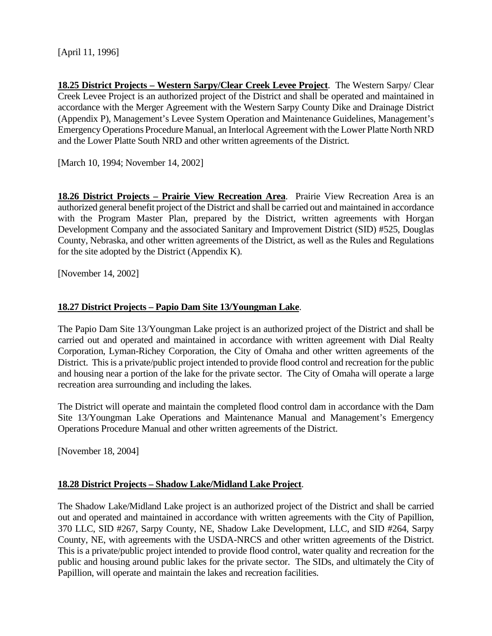[April 11, 1996]

**18.25 District Projects – Western Sarpy/Clear Creek Levee Project**. The Western Sarpy/ Clear Creek Levee Project is an authorized project of the District and shall be operated and maintained in accordance with the Merger Agreement with the Western Sarpy County Dike and Drainage District (Appendix P), Management's Levee System Operation and Maintenance Guidelines, Management's Emergency Operations Procedure Manual, an Interlocal Agreement with the Lower Platte North NRD and the Lower Platte South NRD and other written agreements of the District.

[March 10, 1994; November 14, 2002]

**18.26 District Projects – Prairie View Recreation Area**. Prairie View Recreation Area is an authorized general benefit project of the District and shall be carried out and maintained in accordance with the Program Master Plan, prepared by the District, written agreements with Horgan Development Company and the associated Sanitary and Improvement District (SID) #525, Douglas County, Nebraska, and other written agreements of the District, as well as the Rules and Regulations for the site adopted by the District (Appendix K).

[November 14, 2002]

# **18.27 District Projects – Papio Dam Site 13/Youngman Lake**.

The Papio Dam Site 13/Youngman Lake project is an authorized project of the District and shall be carried out and operated and maintained in accordance with written agreement with Dial Realty Corporation, Lyman-Richey Corporation, the City of Omaha and other written agreements of the District. This is a private/public project intended to provide flood control and recreation for the public and housing near a portion of the lake for the private sector. The City of Omaha will operate a large recreation area surrounding and including the lakes.

The District will operate and maintain the completed flood control dam in accordance with the Dam Site 13/Youngman Lake Operations and Maintenance Manual and Management's Emergency Operations Procedure Manual and other written agreements of the District.

[November 18, 2004]

#### **18.28 District Projects – Shadow Lake/Midland Lake Project**.

The Shadow Lake/Midland Lake project is an authorized project of the District and shall be carried out and operated and maintained in accordance with written agreements with the City of Papillion, 370 LLC, SID #267, Sarpy County, NE, Shadow Lake Development, LLC, and SID #264, Sarpy County, NE, with agreements with the USDA-NRCS and other written agreements of the District. This is a private/public project intended to provide flood control, water quality and recreation for the public and housing around public lakes for the private sector. The SIDs, and ultimately the City of Papillion, will operate and maintain the lakes and recreation facilities.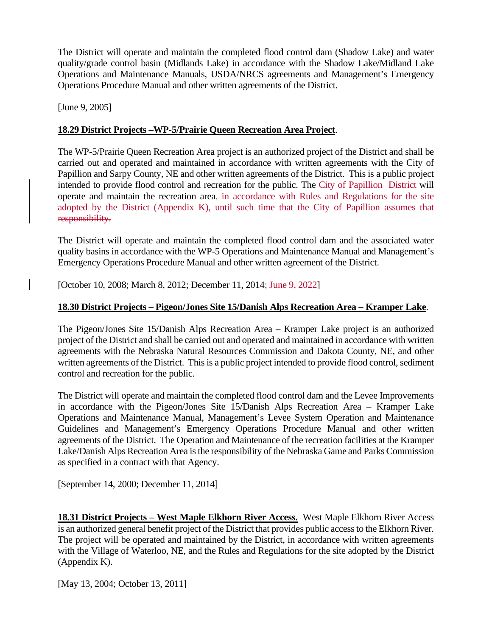The District will operate and maintain the completed flood control dam (Shadow Lake) and water quality/grade control basin (Midlands Lake) in accordance with the Shadow Lake/Midland Lake Operations and Maintenance Manuals, USDA/NRCS agreements and Management's Emergency Operations Procedure Manual and other written agreements of the District.

[June 9, 2005]

## **18.29 District Projects –WP-5/Prairie Queen Recreation Area Project**.

The WP-5/Prairie Queen Recreation Area project is an authorized project of the District and shall be carried out and operated and maintained in accordance with written agreements with the City of Papillion and Sarpy County, NE and other written agreements of the District. This is a public project intended to provide flood control and recreation for the public. The City of Papillion - District-will operate and maintain the recreation area. in accordance with Rules and Regulations for the site adopted by the District (Appendix K), until such time that the City of Papillion assumes that responsibility.

The District will operate and maintain the completed flood control dam and the associated water quality basins in accordance with the WP-5 Operations and Maintenance Manual and Management's Emergency Operations Procedure Manual and other written agreement of the District.

[October 10, 2008; March 8, 2012; December 11, 2014; June 9, 2022]

# **18.30 District Projects – Pigeon/Jones Site 15/Danish Alps Recreation Area – Kramper Lake**.

The Pigeon/Jones Site 15/Danish Alps Recreation Area – Kramper Lake project is an authorized project of the District and shall be carried out and operated and maintained in accordance with written agreements with the Nebraska Natural Resources Commission and Dakota County, NE, and other written agreements of the District. This is a public project intended to provide flood control, sediment control and recreation for the public.

The District will operate and maintain the completed flood control dam and the Levee Improvements in accordance with the Pigeon/Jones Site 15/Danish Alps Recreation Area – Kramper Lake Operations and Maintenance Manual, Management's Levee System Operation and Maintenance Guidelines and Management's Emergency Operations Procedure Manual and other written agreements of the District. The Operation and Maintenance of the recreation facilities at the Kramper Lake/Danish Alps Recreation Area is the responsibility of the Nebraska Game and Parks Commission as specified in a contract with that Agency.

[September 14, 2000; December 11, 2014]

**18.31 District Projects – West Maple Elkhorn River Access.** West Maple Elkhorn River Access is an authorized general benefit project of the District that provides public access to the Elkhorn River. The project will be operated and maintained by the District, in accordance with written agreements with the Village of Waterloo, NE, and the Rules and Regulations for the site adopted by the District (Appendix K).

[May 13, 2004; October 13, 2011]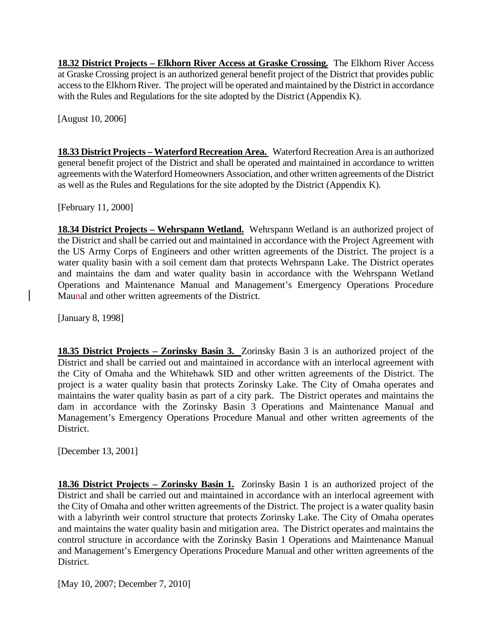**18.32 District Projects – Elkhorn River Access at Graske Crossing.** The Elkhorn River Access at Graske Crossing project is an authorized general benefit project of the District that provides public access to the Elkhorn River. The project will be operated and maintained by the District in accordance with the Rules and Regulations for the site adopted by the District (Appendix K).

[August 10, 2006]

**18.33 District Projects – Waterford Recreation Area.** Waterford Recreation Area is an authorized general benefit project of the District and shall be operated and maintained in accordance to written agreements with the Waterford Homeowners Association, and other written agreements of the District as well as the Rules and Regulations for the site adopted by the District (Appendix K).

[February 11, 2000]

**18.34 District Projects – Wehrspann Wetland.** Wehrspann Wetland is an authorized project of the District and shall be carried out and maintained in accordance with the Project Agreement with the US Army Corps of Engineers and other written agreements of the District. The project is a water quality basin with a soil cement dam that protects Wehrspann Lake. The District operates and maintains the dam and water quality basin in accordance with the Wehrspann Wetland Operations and Maintenance Manual and Management's Emergency Operations Procedure Maunal and other written agreements of the District.

[January 8, 1998]

**18.35 District Projects – Zorinsky Basin 3.** Zorinsky Basin 3 is an authorized project of the District and shall be carried out and maintained in accordance with an interlocal agreement with the City of Omaha and the Whitehawk SID and other written agreements of the District. The project is a water quality basin that protects Zorinsky Lake. The City of Omaha operates and maintains the water quality basin as part of a city park. The District operates and maintains the dam in accordance with the Zorinsky Basin 3 Operations and Maintenance Manual and Management's Emergency Operations Procedure Manual and other written agreements of the District.

[December 13, 2001]

**18.36 District Projects – Zorinsky Basin 1.** Zorinsky Basin 1 is an authorized project of the District and shall be carried out and maintained in accordance with an interlocal agreement with the City of Omaha and other written agreements of the District. The project is a water quality basin with a labyrinth weir control structure that protects Zorinsky Lake. The City of Omaha operates and maintains the water quality basin and mitigation area. The District operates and maintains the control structure in accordance with the Zorinsky Basin 1 Operations and Maintenance Manual and Management's Emergency Operations Procedure Manual and other written agreements of the District.

[May 10, 2007; December 7, 2010]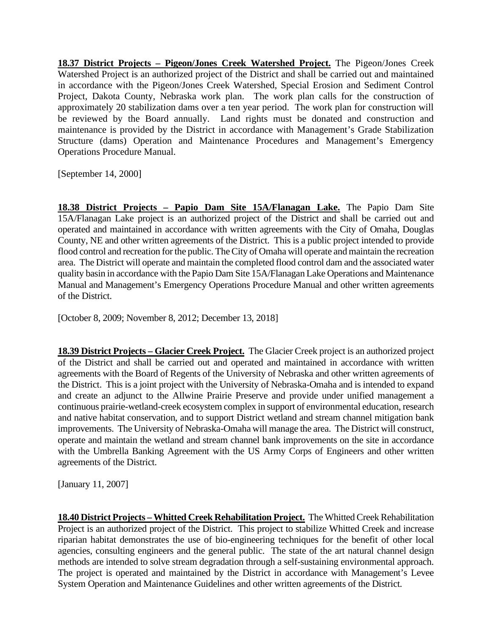**18.37 District Projects – Pigeon/Jones Creek Watershed Project.** The Pigeon/Jones Creek Watershed Project is an authorized project of the District and shall be carried out and maintained in accordance with the Pigeon/Jones Creek Watershed, Special Erosion and Sediment Control Project, Dakota County, Nebraska work plan. The work plan calls for the construction of approximately 20 stabilization dams over a ten year period. The work plan for construction will be reviewed by the Board annually. Land rights must be donated and construction and maintenance is provided by the District in accordance with Management's Grade Stabilization Structure (dams) Operation and Maintenance Procedures and Management's Emergency Operations Procedure Manual.

[September 14, 2000]

**18.38 District Projects – Papio Dam Site 15A/Flanagan Lake.** The Papio Dam Site 15A/Flanagan Lake project is an authorized project of the District and shall be carried out and operated and maintained in accordance with written agreements with the City of Omaha, Douglas County, NE and other written agreements of the District. This is a public project intended to provide flood control and recreation for the public. The City of Omaha will operate and maintain the recreation area. The District will operate and maintain the completed flood control dam and the associated water quality basin in accordance with the Papio Dam Site 15A/Flanagan Lake Operations and Maintenance Manual and Management's Emergency Operations Procedure Manual and other written agreements of the District.

[October 8, 2009; November 8, 2012; December 13, 2018]

**18.39 District Projects – Glacier Creek Project.** The Glacier Creek project is an authorized project of the District and shall be carried out and operated and maintained in accordance with written agreements with the Board of Regents of the University of Nebraska and other written agreements of the District. This is a joint project with the University of Nebraska-Omaha and is intended to expand and create an adjunct to the Allwine Prairie Preserve and provide under unified management a continuous prairie-wetland-creek ecosystem complex in support of environmental education, research and native habitat conservation, and to support District wetland and stream channel mitigation bank improvements. The University of Nebraska-Omaha will manage the area. The District will construct, operate and maintain the wetland and stream channel bank improvements on the site in accordance with the Umbrella Banking Agreement with the US Army Corps of Engineers and other written agreements of the District.

[January 11, 2007]

**18.40 District Projects –Whitted Creek Rehabilitation Project.** The Whitted Creek Rehabilitation Project is an authorized project of the District. This project to stabilize Whitted Creek and increase riparian habitat demonstrates the use of bio-engineering techniques for the benefit of other local agencies, consulting engineers and the general public. The state of the art natural channel design methods are intended to solve stream degradation through a self-sustaining environmental approach. The project is operated and maintained by the District in accordance with Management's Levee System Operation and Maintenance Guidelines and other written agreements of the District.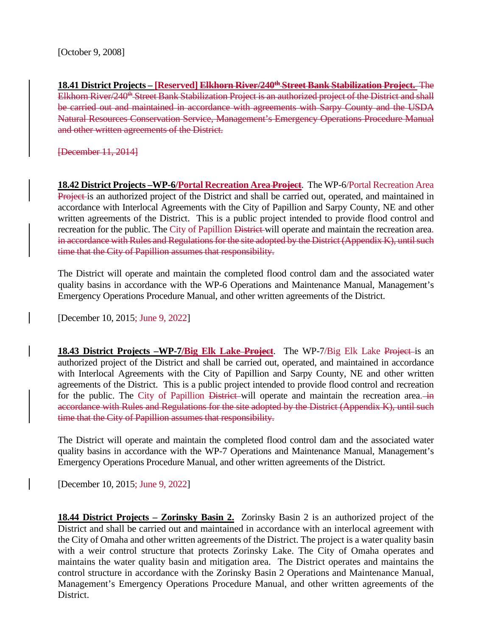**18.41 District Projects – [Reserved] Elkhorn River/240th Street Bank Stabilization Project.** The Elkhorn River/240<sup>th</sup> Street Bank Stabilization Project is an authorized project of the District and shall be carried out and maintained in accordance with agreements with Sarpy County and the USDA Natural Resources Conservation Service, Management's Emergency Operations Procedure Manual and other written agreements of the District.

[December 11, 2014]

**18.42 District Projects –WP-6/Portal Recreation Area Project**. The WP-6/Portal Recreation Area Project is an authorized project of the District and shall be carried out, operated, and maintained in accordance with Interlocal Agreements with the City of Papillion and Sarpy County, NE and other written agreements of the District. This is a public project intended to provide flood control and recreation for the public. The City of Papillion District will operate and maintain the recreation area. in accordance with Rules and Regulations for the site adopted by the District (Appendix K), until such time that the City of Papillion assumes that responsibility.

The District will operate and maintain the completed flood control dam and the associated water quality basins in accordance with the WP-6 Operations and Maintenance Manual, Management's Emergency Operations Procedure Manual, and other written agreements of the District.

[December 10, 2015; June 9, 2022]

**18.43 District Projects –WP-7/Big Elk Lake Project**. The WP-7/Big Elk Lake Project is an authorized project of the District and shall be carried out, operated, and maintained in accordance with Interlocal Agreements with the City of Papillion and Sarpy County, NE and other written agreements of the District. This is a public project intended to provide flood control and recreation for the public. The City of Papillion District-will operate and maintain the recreation area. accordance with Rules and Regulations for the site adopted by the District (Appendix K), until such time that the City of Papillion assumes that responsibility.

The District will operate and maintain the completed flood control dam and the associated water quality basins in accordance with the WP-7 Operations and Maintenance Manual, Management's Emergency Operations Procedure Manual, and other written agreements of the District.

[December 10, 2015; June 9, 2022]

**18.44 District Projects – Zorinsky Basin 2.** Zorinsky Basin 2 is an authorized project of the District and shall be carried out and maintained in accordance with an interlocal agreement with the City of Omaha and other written agreements of the District. The project is a water quality basin with a weir control structure that protects Zorinsky Lake. The City of Omaha operates and maintains the water quality basin and mitigation area. The District operates and maintains the control structure in accordance with the Zorinsky Basin 2 Operations and Maintenance Manual, Management's Emergency Operations Procedure Manual, and other written agreements of the District.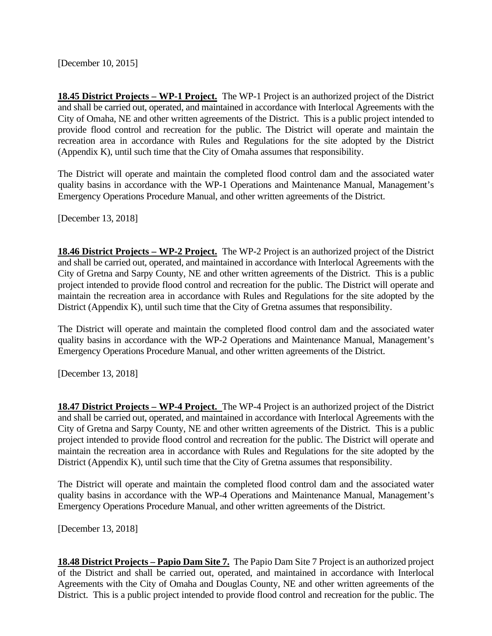[December 10, 2015]

**18.45 District Projects – WP-1 Project.** The WP-1 Project is an authorized project of the District and shall be carried out, operated, and maintained in accordance with Interlocal Agreements with the City of Omaha, NE and other written agreements of the District. This is a public project intended to provide flood control and recreation for the public. The District will operate and maintain the recreation area in accordance with Rules and Regulations for the site adopted by the District (Appendix K), until such time that the City of Omaha assumes that responsibility.

The District will operate and maintain the completed flood control dam and the associated water quality basins in accordance with the WP-1 Operations and Maintenance Manual, Management's Emergency Operations Procedure Manual, and other written agreements of the District.

[December 13, 2018]

**18.46 District Projects – WP-2 Project.** The WP-2 Project is an authorized project of the District and shall be carried out, operated, and maintained in accordance with Interlocal Agreements with the City of Gretna and Sarpy County, NE and other written agreements of the District. This is a public project intended to provide flood control and recreation for the public. The District will operate and maintain the recreation area in accordance with Rules and Regulations for the site adopted by the District (Appendix K), until such time that the City of Gretna assumes that responsibility.

The District will operate and maintain the completed flood control dam and the associated water quality basins in accordance with the WP-2 Operations and Maintenance Manual, Management's Emergency Operations Procedure Manual, and other written agreements of the District.

[December 13, 2018]

**18.47 District Projects – WP-4 Project.** The WP-4 Project is an authorized project of the District and shall be carried out, operated, and maintained in accordance with Interlocal Agreements with the City of Gretna and Sarpy County, NE and other written agreements of the District. This is a public project intended to provide flood control and recreation for the public. The District will operate and maintain the recreation area in accordance with Rules and Regulations for the site adopted by the District (Appendix K), until such time that the City of Gretna assumes that responsibility.

The District will operate and maintain the completed flood control dam and the associated water quality basins in accordance with the WP-4 Operations and Maintenance Manual, Management's Emergency Operations Procedure Manual, and other written agreements of the District.

[December 13, 2018]

**18.48 District Projects – Papio Dam Site 7.** The Papio Dam Site 7 Project is an authorized project of the District and shall be carried out, operated, and maintained in accordance with Interlocal Agreements with the City of Omaha and Douglas County, NE and other written agreements of the District. This is a public project intended to provide flood control and recreation for the public. The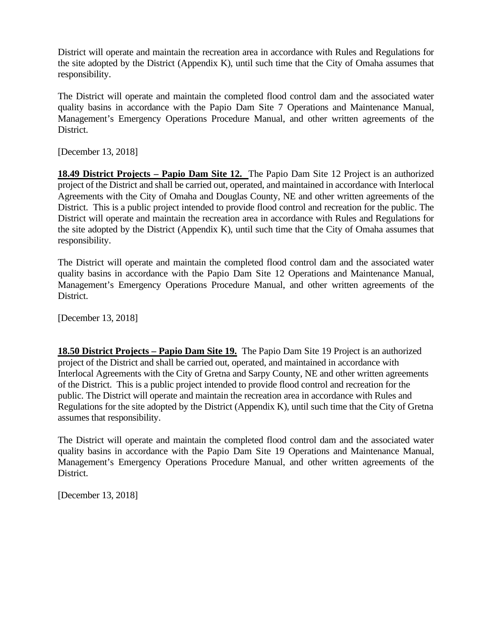District will operate and maintain the recreation area in accordance with Rules and Regulations for the site adopted by the District (Appendix K), until such time that the City of Omaha assumes that responsibility.

The District will operate and maintain the completed flood control dam and the associated water quality basins in accordance with the Papio Dam Site 7 Operations and Maintenance Manual, Management's Emergency Operations Procedure Manual, and other written agreements of the District.

[December 13, 2018]

**18.49 District Projects – Papio Dam Site 12.** The Papio Dam Site 12 Project is an authorized project of the District and shall be carried out, operated, and maintained in accordance with Interlocal Agreements with the City of Omaha and Douglas County, NE and other written agreements of the District. This is a public project intended to provide flood control and recreation for the public. The District will operate and maintain the recreation area in accordance with Rules and Regulations for the site adopted by the District (Appendix K), until such time that the City of Omaha assumes that responsibility.

The District will operate and maintain the completed flood control dam and the associated water quality basins in accordance with the Papio Dam Site 12 Operations and Maintenance Manual, Management's Emergency Operations Procedure Manual, and other written agreements of the District.

[December 13, 2018]

**18.50 District Projects – Papio Dam Site 19.** The Papio Dam Site 19 Project is an authorized project of the District and shall be carried out, operated, and maintained in accordance with Interlocal Agreements with the City of Gretna and Sarpy County, NE and other written agreements of the District. This is a public project intended to provide flood control and recreation for the public. The District will operate and maintain the recreation area in accordance with Rules and Regulations for the site adopted by the District (Appendix K), until such time that the City of Gretna assumes that responsibility.

The District will operate and maintain the completed flood control dam and the associated water quality basins in accordance with the Papio Dam Site 19 Operations and Maintenance Manual, Management's Emergency Operations Procedure Manual, and other written agreements of the District.

[December 13, 2018]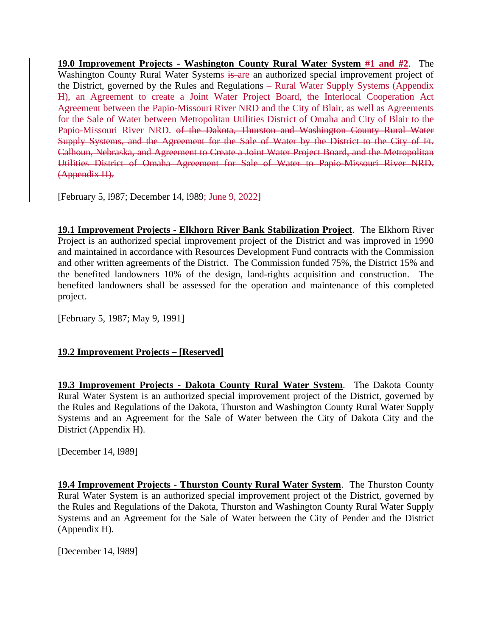**19.0 Improvement Projects - Washington County Rural Water System #1 and #2**. The Washington County Rural Water Systems is are an authorized special improvement project of the District, governed by the Rules and Regulations – Rural Water Supply Systems (Appendix H), an Agreement to create a Joint Water Project Board, the Interlocal Cooperation Act Agreement between the Papio-Missouri River NRD and the City of Blair, as well as Agreements for the Sale of Water between Metropolitan Utilities District of Omaha and City of Blair to the Papio-Missouri River NRD. of the Dakota, Thurston and Washington County Rural Water Supply Systems, and the Agreement for the Sale of Water by the District to the City of Ft. Calhoun, Nebraska, and Agreement to Create a Joint Water Project Board, and the Metropolitan Utilities District of Omaha Agreement for Sale of Water to Papio-Missouri River NRD. (Appendix H).

[February 5, l987; December 14, l989; June 9, 2022]

**19.1 Improvement Projects - Elkhorn River Bank Stabilization Project**. The Elkhorn River Project is an authorized special improvement project of the District and was improved in 1990 and maintained in accordance with Resources Development Fund contracts with the Commission and other written agreements of the District. The Commission funded 75%, the District 15% and the benefited landowners 10% of the design, land-rights acquisition and construction. The benefited landowners shall be assessed for the operation and maintenance of this completed project.

[February 5, 1987; May 9, 1991]

# **19.2 Improvement Projects – [Reserved]**

**19.3 Improvement Projects - Dakota County Rural Water System**. The Dakota County Rural Water System is an authorized special improvement project of the District, governed by the Rules and Regulations of the Dakota, Thurston and Washington County Rural Water Supply Systems and an Agreement for the Sale of Water between the City of Dakota City and the District (Appendix H).

[December 14, l989]

**19.4 Improvement Projects - Thurston County Rural Water System**. The Thurston County Rural Water System is an authorized special improvement project of the District, governed by the Rules and Regulations of the Dakota, Thurston and Washington County Rural Water Supply Systems and an Agreement for the Sale of Water between the City of Pender and the District (Appendix H).

[December 14, l989]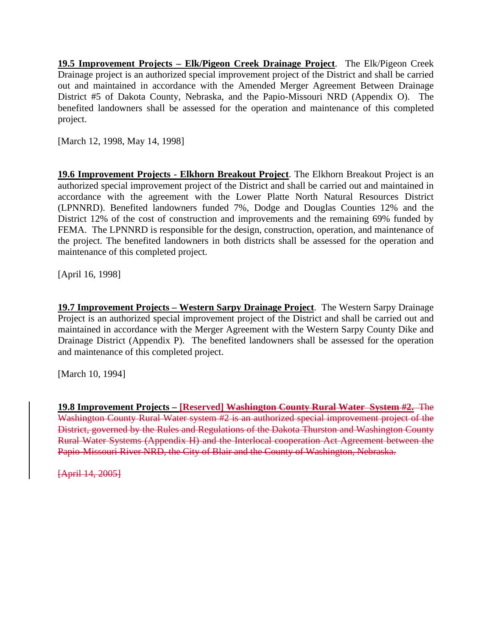**19.5 Improvement Projects – Elk/Pigeon Creek Drainage Project**. The Elk/Pigeon Creek Drainage project is an authorized special improvement project of the District and shall be carried out and maintained in accordance with the Amended Merger Agreement Between Drainage District #5 of Dakota County, Nebraska, and the Papio-Missouri NRD (Appendix O). The benefited landowners shall be assessed for the operation and maintenance of this completed project.

[March 12, 1998, May 14, 1998]

**19.6 Improvement Projects - Elkhorn Breakout Project**. The Elkhorn Breakout Project is an authorized special improvement project of the District and shall be carried out and maintained in accordance with the agreement with the Lower Platte North Natural Resources District (LPNNRD). Benefited landowners funded 7%, Dodge and Douglas Counties 12% and the District 12% of the cost of construction and improvements and the remaining 69% funded by FEMA. The LPNNRD is responsible for the design, construction, operation, and maintenance of the project. The benefited landowners in both districts shall be assessed for the operation and maintenance of this completed project.

[April 16, 1998]

**19.7 Improvement Projects – Western Sarpy Drainage Project**. The Western Sarpy Drainage Project is an authorized special improvement project of the District and shall be carried out and maintained in accordance with the Merger Agreement with the Western Sarpy County Dike and Drainage District (Appendix P). The benefited landowners shall be assessed for the operation and maintenance of this completed project.

[March 10, 1994]

**19.8 Improvement Projects – [Reserved] Washington County Rural Water System #2.** The Washington County Rural Water system #2 is an authorized special improvement project of the District, governed by the Rules and Regulations of the Dakota Thurston and Washington County Rural Water Systems (Appendix H) and the Interlocal cooperation Act Agreement between the Papio-Missouri River NRD, the City of Blair and the County of Washington, Nebraska.

[April 14, 2005]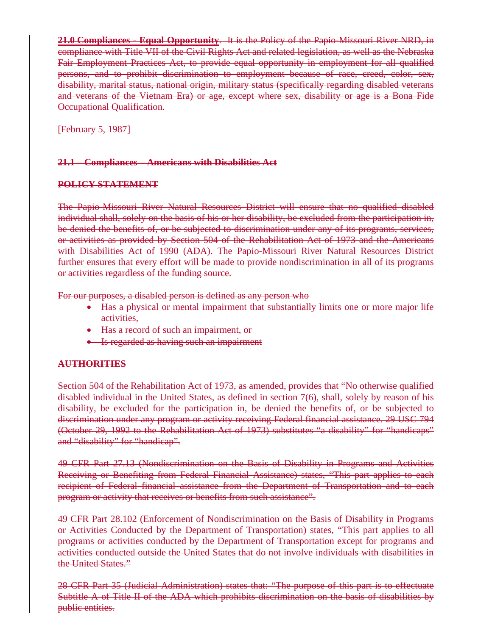**21.0 Compliances - Equal Opportunity**. It is the Policy of the Papio-Missouri River NRD, in compliance with Title VII of the Civil Rights Act and related legislation, as well as the Nebraska Fair Employment Practices Act, to provide equal opportunity in employment for all qualified persons, and to prohibit discrimination to employment because of race, creed, color, sex, disability, marital status, national origin, military status (specifically regarding disabled veterans and veterans of the Vietnam Era) or age, except where sex, disability or age is a Bona Fide Occupational Qualification.

[February 5, 1987]

## **21.1 – Compliances – Americans with Disabilities Act**

## **POLICY STATEMENT**

The Papio-Missouri River Natural Resources District will ensure that no qualified disabled individual shall, solely on the basis of his or her disability, be excluded from the participation in, be denied the benefits of, or be subjected to discrimination under any of its programs, services, or activities as provided by Section 504 of the Rehabilitation Act of 1973 and the Americans with Disabilities Act of 1990 (ADA). The Papio-Missouri River Natural Resources District further ensures that every effort will be made to provide nondiscrimination in all of its programs or activities regardless of the funding source.

For our purposes, a disabled person is defined as any person who

- Has a physical or mental impairment that substantially limits one or more major life activities,
- Has a record of such an impairment, or
- Is regarded as having such an impairment

#### **AUTHORITIES**

Section 504 of the Rehabilitation Act of 1973, as amended, provides that "No otherwise qualified disabled individual in the United States, as defined in section 7(6), shall, solely by reason of his disability, be excluded for the participation in, be denied the benefits of, or be subjected to discrimination under any program or activity receiving Federal financial assistance. 29 USC 794 (October 29, 1992 to the Rehabilitation Act of 1973) substitutes "a disability" for "handicaps" and "disability" for "handicap".

49 CFR Part 27.13 (Nondiscrimination on the Basis of Disability in Programs and Activities Receiving or Benefiting from Federal Financial Assistance) states, "This part applies to each recipient of Federal financial assistance from the Department of Transportation and to each program or activity that receives or benefits from such assistance".

49 CFR Part 28.102 (Enforcement of Nondiscrimination on the Basis of Disability in Programs or Activities Conducted by the Department of Transportation) states, "This part applies to all programs or activities conducted by the Department of Transportation except for programs and activities conducted outside the United States that do not involve individuals with disabilities in the United States."

28 CFR Part 35 (Judicial Administration) states that: "The purpose of this part is to effectuate Subtitle A of Title II of the ADA which prohibits discrimination on the basis of disabilities by public entities.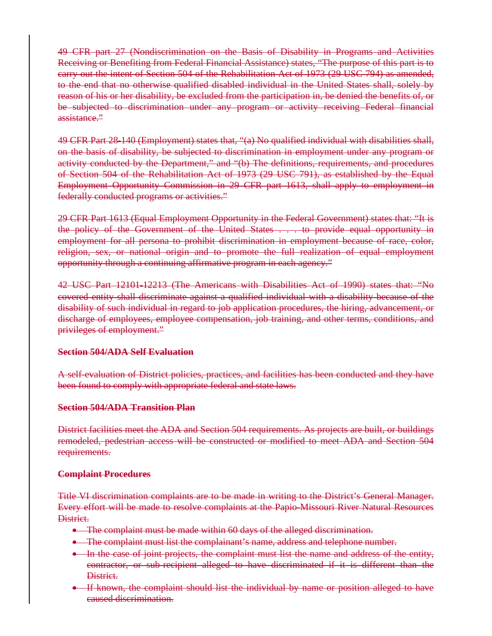49 CFR part 27 (Nondiscrimination on the Basis of Disability in Programs and Activities Receiving or Benefiting from Federal Financial Assistance) states, "The purpose of this part is to carry out the intent of Section 504 of the Rehabilitation Act of 1973 (29 USC 794) as amended, to the end that no otherwise qualified disabled individual in the United States shall, solely by reason of his or her disability, be excluded from the participation in, be denied the benefits of, or be subjected to discrimination under any program or activity receiving Federal financial assistance."

49 CFR Part 28‐140 (Employment) states that, "(a) No qualified individual with disabilities shall, on the basis of disability, be subjected to discrimination in employment under any program or activity conducted by the Department," and "(b) The definitions, requirements, and procedures of Section 504 of the Rehabilitation Act of 1973 (29 USC 791), as established by the Equal Employment Opportunity Commission in 29 CFR part 1613, shall apply to employment in federally conducted programs or activities."

29 CFR Part 1613 (Equal Employment Opportunity in the Federal Government) states that: "It is the policy of the Government of the United States . . . to provide equal opportunity in employment for all persona to prohibit discrimination in employment because of race, color, religion, sex, or national origin and to promote the full realization of equal employment opportunity through a continuing affirmative program in each agency."

42 USC Part 12101‐12213 (The Americans with Disabilities Act of 1990) states that: "No covered entity shall discriminate against a qualified individual with a disability because of the disability of such individual in regard to job application procedures, the hiring, advancement, or discharge of employees, employee compensation, job training, and other terms, conditions, and privileges of employment."

#### **Section 504/ADA Self Evaluation**

A self-evaluation of District policies, practices, and facilities has been conducted and they have been found to comply with appropriate federal and state laws.

#### **Section 504/ADA Transition Plan**

District facilities meet the ADA and Section 504 requirements. As projects are built, or buildings remodeled, pedestrian access will be constructed or modified to meet ADA and Section 504 requirements.

#### **Complaint Procedures**

Title VI discrimination complaints are to be made in writing to the District's General Manager. Every effort will be made to resolve complaints at the Papio-Missouri River Natural Resources District.

- The complaint must be made within 60 days of the alleged discrimination.
- The complaint must list the complainant's name, address and telephone number.
- In the case of joint projects, the complaint must list the name and address of the entity, contractor, or sub-recipient alleged to have discriminated if it is different than the District.
- If known, the complaint should list the individual by name or position alleged to have caused discrimination.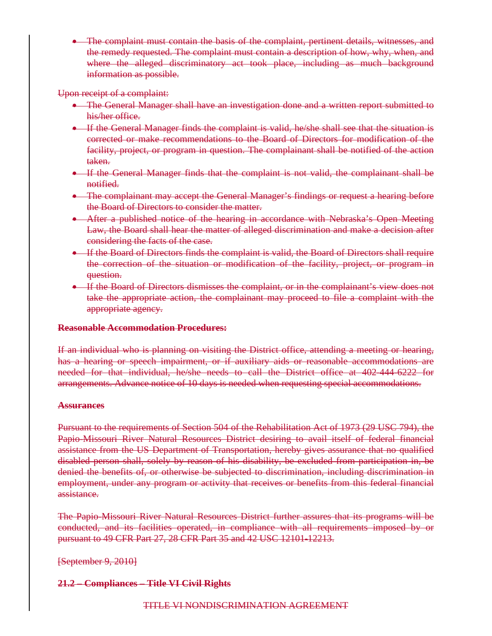• The complaint must contain the basis of the complaint, pertinent details, witnesses, and the remedy requested. The complaint must contain a description of how, why, when, and where the alleged discriminatory act took place, including as much background information as possible.

#### Upon receipt of a complaint:

- The General Manager shall have an investigation done and a written report submitted to his/her office.
- If the General Manager finds the complaint is valid, he/she shall see that the situation is corrected or make recommendations to the Board of Directors for modification of the facility, project, or program in question. The complainant shall be notified of the action taken.
- If the General Manager finds that the complaint is not valid, the complainant shall be notified.
- The complainant may accept the General Manager's findings or request a hearing before the Board of Directors to consider the matter.
- After a published notice of the hearing in accordance with Nebraska's Open Meeting Law, the Board shall hear the matter of alleged discrimination and make a decision after considering the facts of the case.
- If the Board of Directors finds the complaint is valid, the Board of Directors shall require the correction of the situation or modification of the facility, project, or program in question.
- If the Board of Directors dismisses the complaint, or in the complainant's view does not take the appropriate action, the complainant may proceed to file a complaint with the appropriate agency.

#### **Reasonable Accommodation Procedures:**

If an individual who is planning on visiting the District office, attending a meeting or hearing, has a hearing or speech impairment, or if auxiliary aids or reasonable accommodations are needed for that individual, he/she needs to call the District office at 402-444-6222 for arrangements. Advance notice of 10 days is needed when requesting special accommodations.

#### **Assurances**

Pursuant to the requirements of Section 504 of the Rehabilitation Act of 1973 (29 USC 794), the Papio-Missouri River Natural Resources District desiring to avail itself of federal financial assistance from the US Department of Transportation, hereby gives assurance that no qualified disabled person shall, solely by reason of his disability, be excluded from participation in, be denied the benefits of, or otherwise be subjected to discrimination, including discrimination in employment, under any program or activity that receives or benefits from this federal financial assistance.

The Papio-Missouri River Natural Resources District further assures that its programs will be conducted, and its facilities operated, in compliance with all requirements imposed by or pursuant to 49 CFR Part 27, 28 CFR Part 35 and 42 USC 12101‐12213.

[September 9, 2010]

# **21.2 – Compliances – Title VI Civil Rights**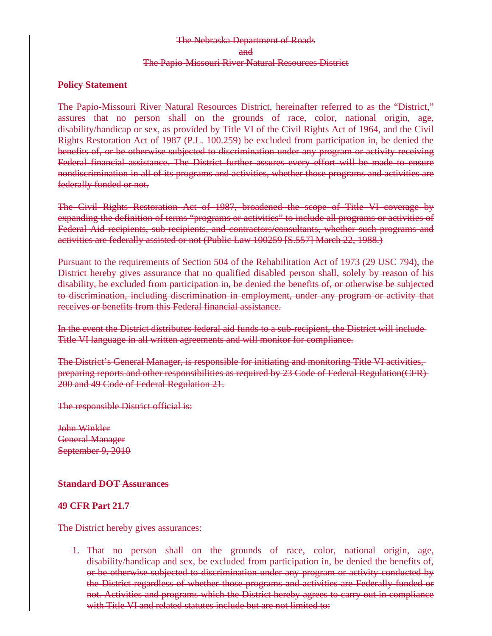# The Nebraska Department of Roads and The Papio-Missouri River Natural Resources District

#### **Policy Statement**

The Papio-Missouri River Natural Resources District, hereinafter referred to as the "District," assures that no person shall on the grounds of race, color, national origin, age, disability/handicap or sex, as provided by Title VI of the Civil Rights Act of 1964, and the Civil Rights Restoration Act of 1987 (P.L. 100.259) be excluded from participation in, be denied the benefits of, or be otherwise subjected to discrimination under any program or activity receiving Federal financial assistance. The District further assures every effort will be made to ensure nondiscrimination in all of its programs and activities, whether those programs and activities are federally funded or not.

The Civil Rights Restoration Act of 1987, broadened the scope of Title VI coverage by expanding the definition of terms "programs or activities" to include all programs or activities of Federal Aid recipients, sub-recipients, and contractors/consultants, whether such programs and activities are federally assisted or not (Public Law 100259 [S.557] March 22, 1988.)

Pursuant to the requirements of Section 504 of the Rehabilitation Act of 1973 (29 USC 794), the District hereby gives assurance that no qualified disabled person shall, solely by reason of his disability, be excluded from participation in, be denied the benefits of, or otherwise be subjected to discrimination, including discrimination in employment, under any program or activity that receives or benefits from this Federal financial assistance.

In the event the District distributes federal aid funds to a sub-recipient, the District will include Title VI language in all written agreements and will monitor for compliance.

The District's General Manager, is responsible for initiating and monitoring Title VI activities, preparing reports and other responsibilities as required by 23 Code of Federal Regulation(CFR) 200 and 49 Code of Federal Regulation 21.

The responsible District official is:

John Winkler General Manager September 9, 2010

#### **Standard DOT Assurances**

#### **49 CFR Part 21.7**

The District hereby gives assurances:

1. That no person shall on the grounds of race, color, national origin, age, disability/handicap and sex, be excluded from participation in, be denied the benefits of, or be otherwise subjected to discrimination under any program or activity conducted by the District regardless of whether those programs and activities are Federally funded or not. Activities and programs which the District hereby agrees to carry out in compliance with Title VI and related statutes include but are not limited to: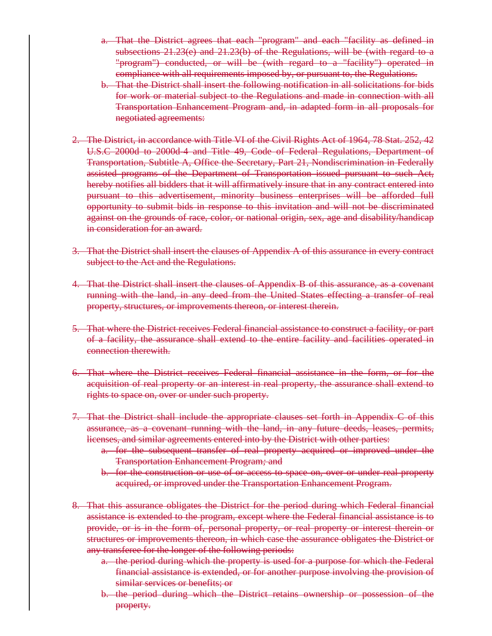- a. That the District agrees that each "program" and each "facility as defined in subsections  $21.23(e)$  and  $21.23(b)$  of the Regulations, will be (with regard to a "program") conducted, or will be (with regard to a "facility") operated in compliance with all requirements imposed by, or pursuant to, the Regulations.
- b. That the District shall insert the following notification in all solicitations for bids for work or material subject to the Regulations and made in connection with all Transportation Enhancement Program and, in adapted form in all proposals for negotiated agreements:
- 2. The District, in accordance with Title VI of the Civil Rights Act of 1964, 78 Stat. 252, 42 U.S.C 2000d to 2000d-4 and Title 49, Code of Federal Regulations, Department of Transportation, Subtitle A, Office the Secretary, Part 21, Nondiscrimination in Federally assisted programs of the Department of Transportation issued pursuant to such Act, hereby notifies all bidders that it will affirmatively insure that in any contract entered into pursuant to this advertisement, minority business enterprises will be afforded full opportunity to submit bids in response to this invitation and will not be discriminated against on the grounds of race, color, or national origin, sex, age and disability/handicap in consideration for an award.
- 3. That the District shall insert the clauses of Appendix A of this assurance in every contract subject to the Act and the Regulations.
- 4. That the District shall insert the clauses of Appendix B of this assurance, as a covenant running with the land, in any deed from the United States effecting a transfer of real property, structures, or improvements thereon, or interest therein.
- 5. That where the District receives Federal financial assistance to construct a facility, or part of a facility, the assurance shall extend to the entire facility and facilities operated in connection therewith.
- 6. That where the District receives Federal financial assistance in the form, or for the acquisition of real property or an interest in real property, the assurance shall extend to rights to space on, over or under such property.
- 7. That the District shall include the appropriate clauses set forth in Appendix C of this assurance, as a covenant running with the land, in any future deeds, leases, permits, licenses, and similar agreements entered into by the District with other parties:
	- a. for the subsequent transfer of real property acquired or improved under the Transportation Enhancement Program*;* and
	- b. for the construction or use of or access to space on, over or under real property acquired, or improved under the Transportation Enhancement Program.
- 8. That this assurance obligates the District for the period during which Federal financial assistance is extended to the program, except where the Federal financial assistance is to provide, or is in the form of, personal property, or real property or interest therein or structures or improvements thereon, in which case the assurance obligates the District or any transferee for the longer of the following periods:
	- a. the period during which the property is used for a purpose for which the Federal financial assistance is extended, or for another purpose involving the provision of similar services or benefits; or
	- b. the period during which the District retains ownership or possession of the property.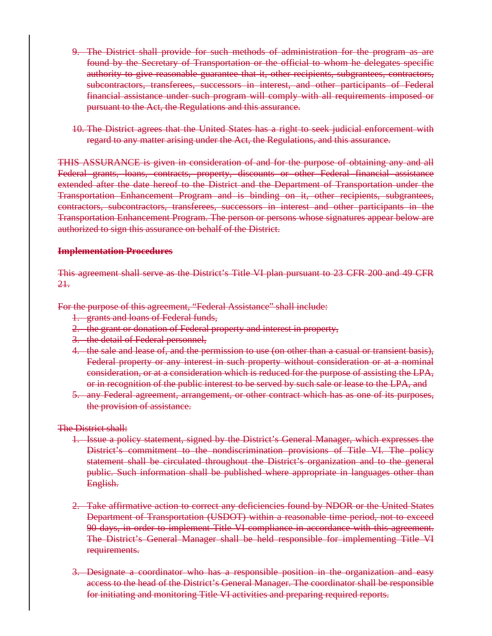- 9. The District shall provide for such methods of administration for the program as are found by the Secretary of Transportation or the official to whom he delegates specific authority to give reasonable guarantee that it, other recipients, subgrantees, contractors, subcontractors, transferees, successors in interest, and other participants of Federal financial assistance under such program will comply with all requirements imposed or pursuant to the Act, the Regulations and this assurance.
- 10. The District agrees that the United States has a right to seek judicial enforcement with regard to any matter arising under the Act, the Regulations, and this assurance.

THIS ASSURANCE is given in consideration of and for the purpose of obtaining any and all Federal grants, loans, contracts, property, discounts or other Federal financial assistance extended after the date hereof to the District and the Department of Transportation under the Transportation Enhancement Program and is binding on it, other recipients, subgrantees, contractors, subcontractors, transferees, successors in interest and other participants in the Transportation Enhancement Program. The person or persons whose signatures appear below are authorized to sign this assurance on behalf of the District.

#### **Implementation Procedures**

This agreement shall serve as the District's Title VI plan pursuant to 23 CFR 200 and 49 CFR 21.

For the purpose of this agreement, "Federal Assistance" shall include:

- 1. grants and loans of Federal funds,
- 2. the grant or donation of Federal property and interest in property,
- 3. the detail of Federal personnel,
- 4. the sale and lease of, and the permission to use (on other than a casual or transient basis), Federal property or any interest in such property without consideration or at a nominal consideration, or at a consideration which is reduced for the purpose of assisting the LPA, or in recognition of the public interest to be served by such sale or lease to the LPA, and
- 5. any Federal agreement, arrangement, or other contract which has as one of its purposes, the provision of assistance.

The District shall:

- 1. Issue a policy statement, signed by the District's General Manager, which expresses the District's commitment to the nondiscrimination provisions of Title VI. The policy statement shall be circulated throughout the District's organization and to the general public. Such information shall be published where appropriate in languages other than English.
- 2. Take affirmative action to correct any deficiencies found by NDOR or the United States Department of Transportation (USDOT) within a reasonable time period, not to exceed 90 days, in order to implement Title VI compliance in accordance with this agreement. The District's General Manager shall be held responsible for implementing Title VI requirements.
- 3. Designate a coordinator who has a responsible position in the organization and easy access to the head of the District's General Manager. The coordinator shall be responsible for initiating and monitoring Title VI activities and preparing required reports.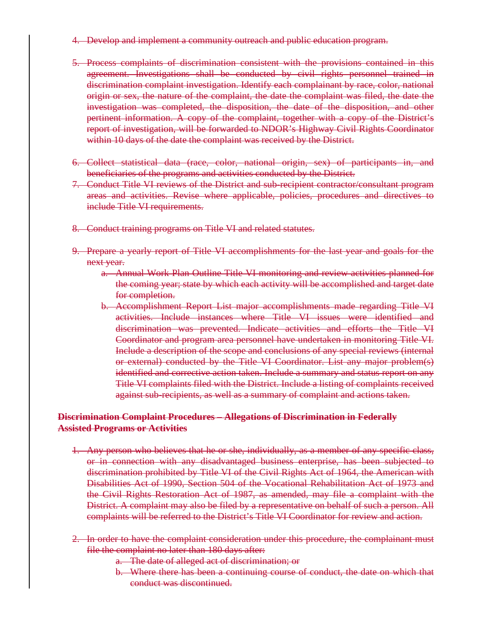- 4. Develop and implement a community outreach and public education program.
- 5. Process complaints of discrimination consistent with the provisions contained in this agreement. Investigations shall be conducted by civil rights personnel trained in discrimination complaint investigation. Identify each complainant by race, color, national origin or sex, the nature of the complaint, the date the complaint was filed, the date the investigation was completed, the disposition, the date of the disposition, and other pertinent information. A copy of the complaint, together with a copy of the District's report of investigation, will be forwarded to NDOR's Highway Civil Rights Coordinator within 10 days of the date the complaint was received by the District.
- 6. Collect statistical data (race, color, national origin, sex) of participants in, and beneficiaries of the programs and activities conducted by the District.
- 7. Conduct Title VI reviews of the District and sub-recipient contractor/consultant program areas and activities. Revise where applicable, policies, procedures and directives to include Title VI requirements.
- 8. Conduct training programs on Title VI and related statutes.
- 9. Prepare a yearly report of Title VI accomplishments for the last year and goals for the next year.
	- a. Annual Work Plan Outline Title VI monitoring and review activities planned for the coming year; state by which each activity will be accomplished and target date for completion.
	- b. Accomplishment Report List major accomplishments made regarding Title VI activities. Include instances where Title VI issues were identified and discrimination was prevented. Indicate activities and efforts the Title VI Coordinator and program area personnel have undertaken in monitoring Title VI. Include a description of the scope and conclusions of any special reviews (internal or external) conducted by the Title VI Coordinator. List any major problem(s) identified and corrective action taken. Include a summary and status report on any Title VI complaints filed with the District. Include a listing of complaints received against sub-recipients, as well as a summary of complaint and actions taken.

## **Discrimination Complaint Procedures – Allegations of Discrimination in Federally Assisted Programs or Activities**

- 1. Any person who believes that he or she, individually, as a member of any specific class, or in connection with any disadvantaged business enterprise, has been subjected to discrimination prohibited by Title VI of the Civil Rights Act of 1964, the American with Disabilities Act of 1990, Section 504 of the Vocational Rehabilitation Act of 1973 and the Civil Rights Restoration Act of 1987, as amended, may file a complaint with the District. A complaint may also be filed by a representative on behalf of such a person. All complaints will be referred to the District's Title VI Coordinator for review and action.
- 2. In order to have the complaint consideration under this procedure, the complainant must file the complaint no later than 180 days after:
	- a. The date of alleged act of discrimination; or
	- b. Where there has been a continuing course of conduct, the date on which that conduct was discontinued.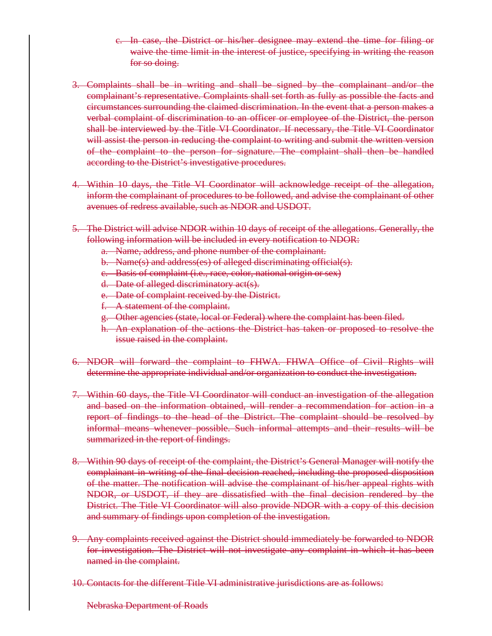- c. In case, the District or his/her designee may extend the time for filing or waive the time limit in the interest of justice, specifying in writing the reason for so doing.
- 3. Complaints shall be in writing and shall be signed by the complainant and/or the complainant's representative. Complaints shall set forth as fully as possible the facts and circumstances surrounding the claimed discrimination. In the event that a person makes a verbal complaint of discrimination to an officer or employee of the District, the person shall be interviewed by the Title VI Coordinator. If necessary, the Title VI Coordinator will assist the person in reducing the complaint to writing and submit the written version of the complaint to the person for signature. The complaint shall then be handled according to the District's investigative procedures.
- 4. Within 10 days, the Title VI Coordinator will acknowledge receipt of the allegation, inform the complainant of procedures to be followed, and advise the complainant of other avenues of redress available, such as NDOR and USDOT.
- 5. The District will advise NDOR within 10 days of receipt of the allegations. Generally, the following information will be included in every notification to NDOR:
	- a. Name, address, and phone number of the complainant.
	- b. Name(s) and address(es) of alleged discriminating official(s).
	- c. Basis of complaint (i.e., race, color, national origin or sex)
	- d. Date of alleged discriminatory act(s).
	- e. Date of complaint received by the District.
	- f. A statement of the complaint.
	- g. Other agencies (state, local or Federal) where the complaint has been filed.
	- h. An explanation of the actions the District has taken or proposed to resolve the issue raised in the complaint.
- 6. NDOR will forward the complaint to FHWA. FHWA Office of Civil Rights will determine the appropriate individual and/or organization to conduct the investigation.
- 7. Within 60 days, the Title VI Coordinator will conduct an investigation of the allegation and based on the information obtained, will render a recommendation for action in a report of findings to the head of the District. The complaint should be resolved by informal means whenever possible. Such informal attempts and their results will be summarized in the report of findings.
- 8. Within 90 days of receipt of the complaint, the District's General Manager will notify the complainant in writing of the final decision reached, including the proposed disposition of the matter. The notification will advise the complainant of his/her appeal rights with NDOR, or USDOT, if they are dissatisfied with the final decision rendered by the District. The Title VI Coordinator will also provide NDOR with a copy of this decision and summary of findings upon completion of the investigation.
- 9. Any complaints received against the District should immediately be forwarded to NDOR for investigation. The District will not investigate any complaint in which it has been named in the complaint.
- 10. Contacts for the different Title VI administrative jurisdictions are as follows:

Nebraska Department of Roads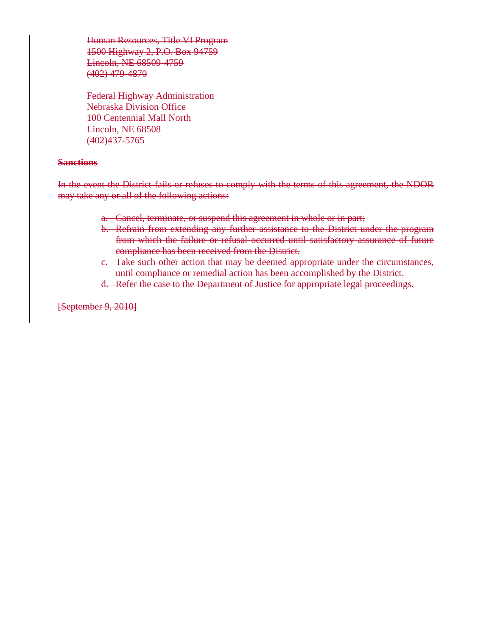Human Resources, Title VI Program 1500 Highway 2, P.O. Box 94759 Lincoln, NE 68509-4759 (402) 479-4870

Federal Highway Administration Nebraska Division Office 100 Centennial Mall North Lincoln, NE 68508 (402)437-5765

#### **Sanctions**

In the event the District fails or refuses to comply with the terms of this agreement, the NDOR may take any or all of the following actions:

- a. Cancel, terminate, or suspend this agreement in whole or in part;
- b. Refrain from extending any further assistance to the District under the program from which the failure or refusal occurred until satisfactory assurance of future compliance has been received from the District.
- c. Take such other action that may be deemed appropriate under the circumstances, until compliance or remedial action has been accomplished by the District.
- d. Refer the case to the Department of Justice for appropriate legal proceedings.

[September 9, 2010]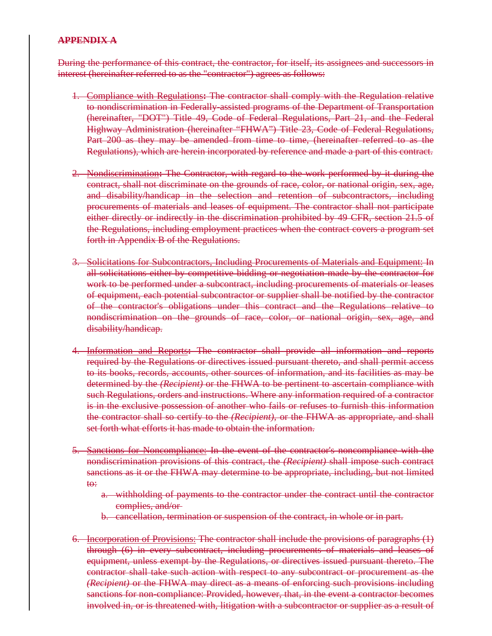# **APPENDIX A**

During the performance of this contract, the contractor, for itself, its assignees and successors in interest (hereinafter referred to as the "contractor") agrees as follows:

- 1. Compliance with Regulations**:** The contractor shall comply with the Regulation relative to nondiscrimination in Federally-assisted programs of the Department of Transportation (hereinafter, "DOT") Title 49, Code of Federal Regulations, Part 21, and the Federal Highway Administration (hereinafter "FHWA") Title 23, Code of Federal Regulations, Part 200 as they may be amended from time to time, (hereinafter referred to as the Regulations), which are herein incorporated by reference and made a part of this contract.
- 2. Nondiscrimination**:** The Contractor, with regard to the work performed by it during the contract, shall not discriminate on the grounds of race, color, or national origin, sex, age, and disability/handicap in the selection and retention of subcontractors, including procurements of materials and leases of equipment. The contractor shall not participate either directly or indirectly in the discrimination prohibited by 49 CFR, section 21.5 of the Regulations, including employment practices when the contract covers a program set forth in Appendix B of the Regulations.
- 3. Solicitations for Subcontractors, Including Procurements of Materials and Equipment: In all solicitations either by competitive bidding or negotiation made by the contractor for work to be performed under a subcontract, including procurements of materials or leases of equipment, each potential subcontractor or supplier shall be notified by the contractor of the contractor's obligations under this contract and the Regulations relative to nondiscrimination on the grounds of race, color, or national origin, sex, age, and disability/handicap.
- 4. Information and Reports**:** The contractor shall provide all information and reports required by the Regulations or directives issued pursuant thereto, and shall permit access to its books, records, accounts, other sources of information, and its facilities as may be determined by the *(Recipient)* or the FHWA to be pertinent to ascertain compliance with such Regulations, orders and instructions. Where any information required of a contractor is in the exclusive possession of another who fails or refuses to furnish this information the contractor shall so certify to the *(Recipient)*, or the FHWA as appropriate, and shall set forth what efforts it has made to obtain the information.
- 5. Sanctions for Noncompliance: In the event of the contractor's noncompliance with the nondiscrimination provisions of this contract, the *(Recipient)* shall impose such contract sanctions as it or the FHWA may determine to be appropriate, including, but not limited to:
	- a. withholding of payments to the contractor under the contract until the contractor complies, and/or
	- b. cancellation, termination or suspension of the contract, in whole or in part.
- 6. Incorporation of Provisions: The contractor shall include the provisions of paragraphs (1) through (6) in every subcontract, including procurements of materials and leases of equipment, unless exempt by the Regulations, or directives issued pursuant thereto. The contractor shall take such action with respect to any subcontract or procurement as the *(Recipient)* or the FHWA may direct as a means of enforcing such provisions including sanctions for non-compliance: Provided, however, that, in the event a contractor becomes involved in, or is threatened with, litigation with a subcontractor or supplier as a result of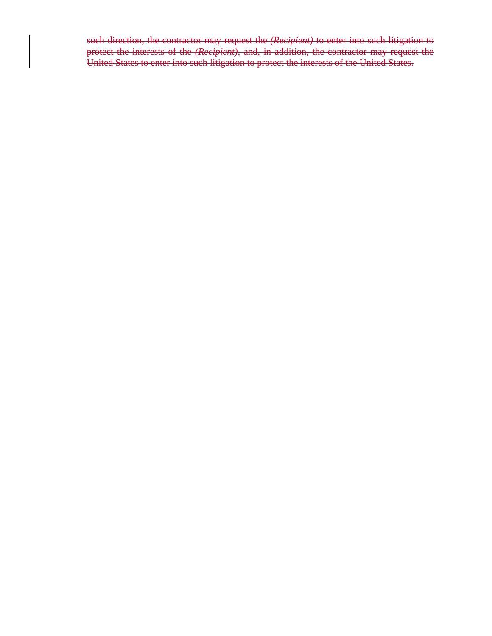such direction, the contractor may request the *(Recipient)* to enter into such litigation to protect the interests of the *(Recipient)*, and, in addition, the contractor may request the United States to enter into such litigation to protect the interests of the United States.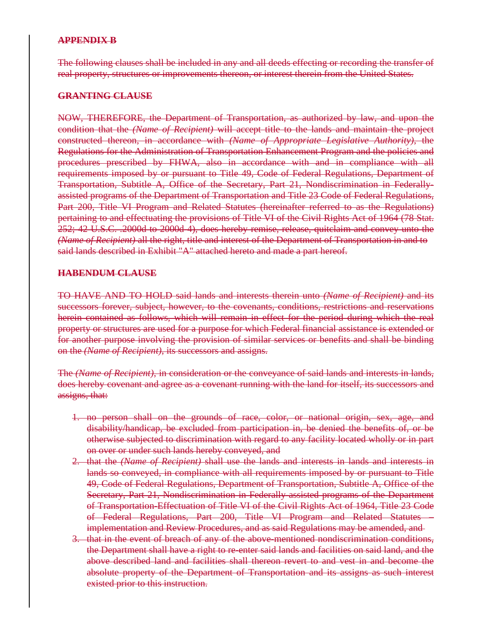## **APPENDIX B**

The following clauses shall be included in any and all deeds effecting or recording the transfer of real property, structures or improvements thereon, or interest therein from the United States.

### **GRANTING CLAUSE**

NOW, THEREFORE, the Department of Transportation, as authorized by law, and upon the condition that the *(Name of Recipient)* will accept title to the lands and maintain the project constructed thereon, in accordance with *(Name of Appropriate Legislative Authority)*, the Regulations for the Administration of Transportation Enhancement Program and the policies and procedures prescribed by FHWA, also in accordance with and in compliance with all requirements imposed by or pursuant to Title 49, Code of Federal Regulations, Department of Transportation, Subtitle A, Office of the Secretary, Part 21, Nondiscrimination in Federallyassisted programs of the Department of Transportation and Title 23 Code of Federal Regulations, Part 200, Title VI Program and Related Statutes (hereinafter referred to as the Regulations) pertaining to and effectuating the provisions of Title VI of the Civil Rights Act of 1964 (78 Stat. 252; 42 U.S.C. .2000d to 2000d-4), does hereby remise, release, quitclaim and convey unto the *(Name of Recipient)* all the right, title and interest of the Department of Transportation in and to said lands described in Exhibit "A" attached hereto and made a part hereof.

## **HABENDUM CLAUSE**

TO HAVE AND TO HOLD said lands and interests therein unto *(Name of Recipient)* and its successors forever, subject, however, to the covenants, conditions, restrictions and reservations herein contained as follows, which will remain in effect for the period during which the real property or structures are used for a purpose for which Federal financial assistance is extended or for another purpose involving the provision of similar services or benefits and shall be binding on the *(Name of Recipient)*, its successors and assigns.

The *(Name of Recipient)*, in consideration or the conveyance of said lands and interests in lands, does hereby covenant and agree as a covenant running with the land for itself, its successors and assigns, that:

- 1. no person shall on the grounds of race, color, or national origin, sex, age, and disability/handicap, be excluded from participation in, be denied the benefits of, or be otherwise subjected to discrimination with regard to any facility located wholly or in part on over or under such lands hereby conveyed, and
- 2. that the *(Name of Recipient)* shall use the lands and interests in lands and interests in lands so conveyed, in compliance with all requirements imposed by or pursuant to Title 49, Code of Federal Regulations, Department of Transportation, Subtitle A, Office of the Secretary, Part 21, Nondiscrimination in Federally-assisted programs of the Department of Transportation-Effectuation of Title VI of the Civil Rights Act of 1964, Title 23 Code of Federal Regulations, Part 200, Title VI Program and Related Statutes – implementation and Review Procedures, and as said Regulations may be amended, and
- 3. that in the event of breach of any of the above-mentioned nondiscrimination conditions, the Department shall have a right to re-enter said lands and facilities on said land, and the above described land and facilities shall thereon revert to and vest in and become the absolute property of the Department of Transportation and its assigns as such interest existed prior to this instruction.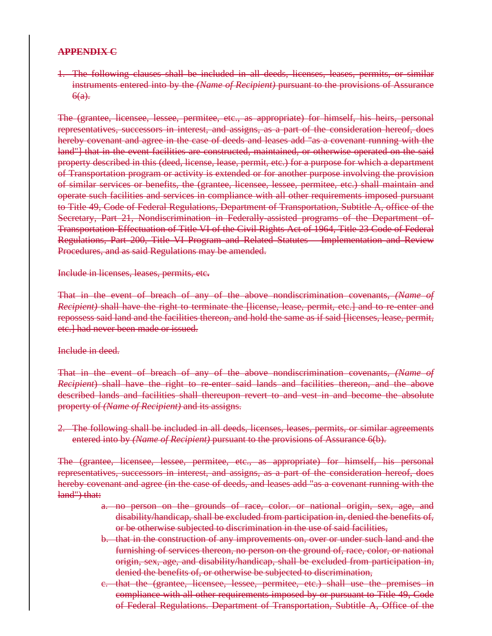## **APPENDIX C**

1. The following clauses shall be included in all deeds, licenses, leases, permits, or similar instruments entered into by the *(Name of Recipient)* pursuant to the provisions of Assurance  $6(a)$ .

The (grantee, licensee, lessee, permitee, etc., as appropriate) for himself, his heirs, personal representatives, successors in interest, and assigns, as a part of the consideration hereof, does hereby covenant and agree in the case of deeds and leases add "as a covenant running with the land"] that in the event facilities are constructed, maintained, or otherwise operated on the said property described in this (deed, license, lease, permit, etc.) for a purpose for which a department of Transportation program or activity is extended or for another purpose involving the provision of similar services or benefits, the (grantee, licensee, lessee, permitee, etc.) shall maintain and operate such facilities and services in compliance with all other requirements imposed pursuant to Title 49, Code of Federal Regulations, Department of Transportation, Subtitle A, office of the Secretary, Part 21, Nondiscrimination in Federally-assisted programs of the Department of-Transportation-Effectuation of Title VI of the Civil Rights Act of 1964, Title 23 Code of Federal Regulations, Part 200, Title VI Program and Related Statutes – Implementation and Review Procedures, and as said Regulations may be amended.

#### Include in licenses, leases, permits, etc**.**

That in the event of breach of any of the above nondiscrimination covenants, *(Name of Recipient*) shall have the right to terminate the Hicense, lease, permit, etc.] and to re-enter and repossess said land and the facilities thereon, and hold the same as if said [licenses, lease, permit, etc.] had never been made or issued.

#### Include in deed.

That in the event of breach of any of the above nondiscrimination covenants, *(Name of Recipient*) shall have the right to re-enter said lands and facilities thereon, and the above described lands and facilities shall thereupon revert to and vest in and become the absolute property of *(Name of Recipient)* and its assigns.

2. The following shall be included in all deeds, licenses, leases, permits, or similar agreements entered into by *(Name of Recipient)* pursuant to the provisions of Assurance 6(b).

The (grantee, licensee, lessee, permitee, etc., as appropriate) for himself, his personal representatives, successors in interest, and assigns, as a part of the consideration hereof, does hereby covenant and agree (in the case of deeds, and leases add "as a covenant running with the land") that:

- a. no person on the grounds of race, color. or national origin, sex, age, and disability/handicap, shall be excluded from participation in, denied the benefits of, or be otherwise subjected to discrimination in the use of said facilities,
- b. that in the construction of any improvements on, over or under such land and the furnishing of services thereon, no person on the ground of, race, color, or national origin, sex, age, and disability/handicap, shall be excluded from participation in, denied the benefits of, or otherwise be subjected to discrimination,
- c. that the (grantee, licensee, lessee, permitee, etc.) shall use the premises in compliance with all other requirements imposed by or pursuant to Title 49, Code of Federal Regulations. Department of Transportation, Subtitle A, Office of the